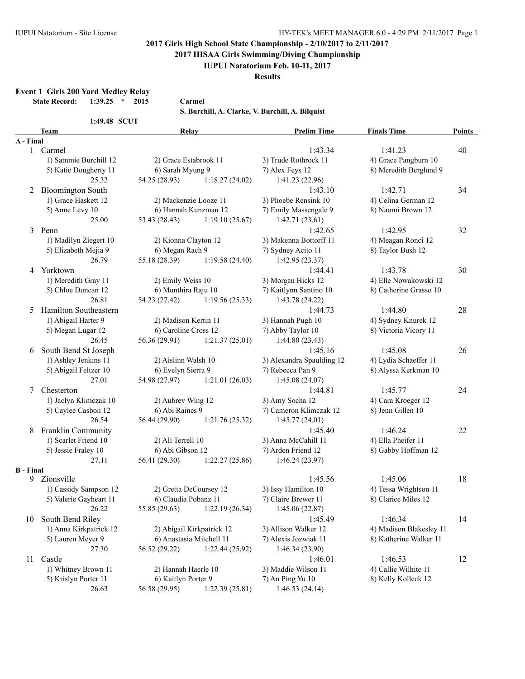**2017 IHSAA Girls Swimming/Diving Championship**

#### **IUPUI Natatorium Feb. 10-11, 2017**

**Results**

**Event 1 Girls 200 Yard Medley Relay**

**State Record: 1:39.25 \* 2015 Carmel**

**S. Burchill, A. Clarke, V. Burchill, A. Bilquist**

| 1:49.48 SCUT |  |
|--------------|--|
|              |  |

| S. Burchill, A. Clarke, V. Burchill, A. Bilquist |  |  |
|--------------------------------------------------|--|--|
|--------------------------------------------------|--|--|

|                  | <b>Team</b>              | <b>Relay</b>                                        |                 | <b>Prelim Time</b>        | <b>Finals Time</b>      | <b>Points</b> |
|------------------|--------------------------|-----------------------------------------------------|-----------------|---------------------------|-------------------------|---------------|
| A - Final        |                          |                                                     |                 |                           |                         |               |
|                  | 1 Carmel                 |                                                     |                 | 1:43.34                   | 1:41.23                 | 40            |
|                  | 1) Sammie Burchill 12    | 2) Grace Estabrook 11                               |                 | 3) Trude Rothrock 11      | 4) Grace Pangburn 10    |               |
|                  | 5) Katie Dougherty 11    | 6) Sarah Myung 9                                    |                 | 7) Alex Feys 12           | 8) Meredith Berglund 9  |               |
|                  | 25.32                    | 54.25 (28.93)                                       | 1:18.27(24.02)  | 1:41.23(22.96)            |                         |               |
| 2                | <b>Bloomington South</b> |                                                     |                 | 1:43.10                   | 1:42.71                 | 34            |
|                  | 1) Grace Haskett 12      | 2) Mackenzie Looze 11                               |                 | 3) Phoebe Rensink 10      | 4) Celina German 12     |               |
|                  | 5) Anne Levy 10          | 6) Hannah Kunzman 12                                |                 | 7) Emily Massengale 9     | 8) Naomi Brown 12       |               |
|                  | 25.00                    | 53.43 (28.43)                                       | 1:19.10(25.67)  | 1:42.71(23.61)            |                         |               |
| 3                | Penn                     |                                                     |                 | 1:42.65                   | 1:42.95                 | 32            |
|                  | 1) Madilyn Ziegert 10    | 2) Kionna Clayton 12                                |                 | 3) Makenna Bottorff 11    | 4) Meagan Ronci 12      |               |
|                  | 5) Elizabeth Mejia 9     | 6) Megan Rach 9                                     |                 | 7) Sydney Acito 11        | 8) Taylor Bush 12       |               |
|                  | 26.79                    | 55.18 (28.39)                                       | 1:19.58(24.40)  | 1:42.95(23.37)            |                         |               |
| 4                | Yorktown                 |                                                     |                 | 1:44.41                   | 1:43.78                 | 30            |
|                  | 1) Meredith Gray 11      | 2) Emily Weiss 10                                   |                 | 3) Morgan Hicks 12        | 4) Elle Nowakowski 12   |               |
|                  | 5) Chloe Duncan 12       | 6) Munthira Raju 10                                 |                 | 7) Kaitlynn Santino 10    | 8) Catherine Grasso 10  |               |
|                  | 26.81                    | 54.23 (27.42)                                       | 1:19.56(25.33)  | 1:43.78(24.22)            |                         |               |
| 5                | Hamilton Southeastern    |                                                     |                 | 1:44.73                   | 1:44.80                 | 28            |
|                  | 1) Abigail Harter 9      | 2) Madison Kertin 11                                |                 | 3) Hannah Pugh 10         | 4) Sydney Knurek 12     |               |
|                  | 5) Megan Lugar 12        | 6) Caroline Cross 12                                |                 | 7) Abby Taylor 10         | 8) Victoria Vicory 11   |               |
|                  | 26.45                    | 56.36 (29.91)                                       | 1:21.37(25.01)  | 1:44.80(23.43)            |                         |               |
| 6                | South Bend St Joseph     |                                                     |                 | 1:45.16                   | 1:45.08                 | 26            |
|                  | 1) Ashley Jenkins 11     | 2) Aislinn Walsh 10                                 |                 | 3) Alexandra Spaulding 12 | 4) Lydia Schaeffer 11   |               |
|                  | 5) Abigail Feltzer 10    | 6) Evelyn Sierra 9                                  |                 | 7) Rebecca Pan 9          | 8) Alyssa Kerkman 10    |               |
|                  | 27.01                    | 54.98 (27.97)                                       | 1:21.01(26.03)  | 1:45.08(24.07)            |                         |               |
| 7                | Chesterton               |                                                     |                 | 1:44.81                   | 1:45.77                 | 24            |
|                  | 1) Jaclyn Klimczak 10    | 2) Aubrey Wing 12                                   |                 | 3) Amy Socha 12           | 4) Cara Kroeger 12      |               |
|                  | 5) Caylee Casbon 12      | 6) Abi Raines 9                                     |                 | 7) Cameron Klimczak 12    | 8) Jenn Gillen 10       |               |
|                  | 26.54                    | 56.44 (29.90)                                       | 1:21.76(25.32)  | 1:45.77(24.01)            |                         |               |
| 8                | Franklin Community       |                                                     |                 | 1:45.40                   | 1:46.24                 | 22            |
|                  | 1) Scarlet Friend 10     | 2) Ali Terrell 10                                   |                 | 3) Anna McCahill 11       | 4) Ella Pheifer 11      |               |
|                  | 5) Jessie Fraley 10      |                                                     |                 | 7) Arden Friend 12        | 8) Gabby Hoffman 12     |               |
|                  | 27.11                    | 6) Abi Gibson 12<br>56.41 (29.30)<br>1:22.27(25.86) |                 | 1:46.24(23.97)            |                         |               |
| <b>B</b> - Final |                          |                                                     |                 |                           |                         |               |
|                  | 9 Zionsville             |                                                     |                 | 1:45.56                   | 1:45.06                 | 18            |
|                  | 1) Cassidy Sampson 12    | 2) Gretta DeCoursey 12                              |                 | 3) Issy Hamilton 10       | 4) Tessa Wrightson 11   |               |
|                  | 5) Valerie Gayheart 11   | 6) Claudia Pobanz 11                                |                 | 7) Claire Brewer 11       | 8) Clarice Miles 12     |               |
|                  | 26.22                    | 55.85 (29.63) 1:22.19 (26.34)                       |                 | 1:45.06(22.87)            |                         |               |
| 10               | South Bend Riley         |                                                     |                 | 1:45.49                   | 1:46.34                 | 14            |
|                  | 1) Anna Kirkpatrick 12   | 2) Abigail Kirkpatrick 12                           |                 | 3) Allison Walker 12      | 4) Madison Blakesley 11 |               |
|                  | 5) Lauren Meyer 9        | 6) Anastasia Mitchell 11                            |                 | 7) Alexis Jozwiak 11      | 8) Katherine Walker 11  |               |
|                  | 27.30                    | 56.52 (29.22)                                       | 1:22.44 (25.92) | 1:46.34(23.90)            |                         |               |
| 11               | Castle                   |                                                     |                 | 1:46.01                   | 1:46.53                 | 12            |
|                  | 1) Whitney Brown 11      | 2) Hannah Haerle 10                                 |                 | 3) Maddie Wilson 11       | 4) Callie Wilhite 11    |               |
|                  | 5) Krislyn Porter 11     | 6) Kaitlyn Porter 9                                 |                 | 7) An Ping Yu 10          | 8) Kelly Kolleck 12     |               |
|                  | 26.63                    | 56.58 (29.95)                                       | 1:22.39(25.81)  | 1:46.53(24.14)            |                         |               |
|                  |                          |                                                     |                 |                           |                         |               |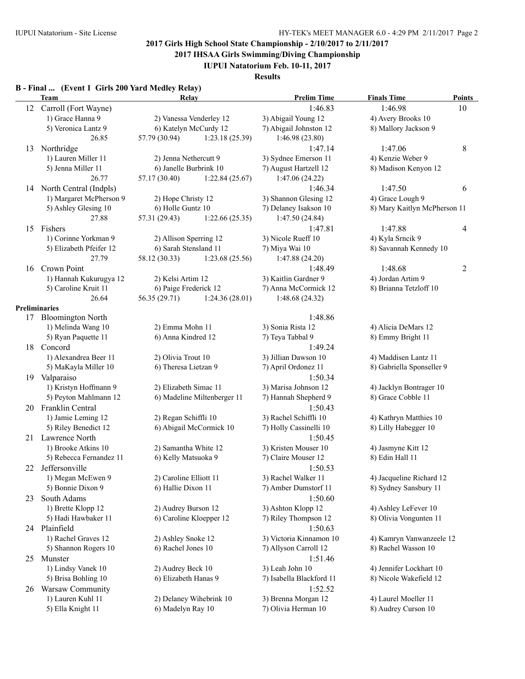**2017 IHSAA Girls Swimming/Diving Championship**

**IUPUI Natatorium Feb. 10-11, 2017**

**Results**

#### **B - Final ... (Event 1 Girls 200 Yard Medley Relay)**

|    | Team                      | Relay                  |                             | <b>Prelim Time</b>       | <b>Finals Time</b>                             | <b>Points</b>  |
|----|---------------------------|------------------------|-----------------------------|--------------------------|------------------------------------------------|----------------|
| 12 | Carroll (Fort Wayne)      |                        |                             | 1:46.83                  | 1:46.98                                        | 10             |
|    | 1) Grace Hanna 9          |                        | 2) Vanessa Venderley 12     | 3) Abigail Young 12      | 4) Avery Brooks 10                             |                |
|    | 5) Veronica Lantz 9       | 6) Katelyn McCurdy 12  |                             | 7) Abigail Johnston 12   | 8) Mallory Jackson 9                           |                |
|    | 26.85                     | 57.79 (30.94)          | 1:23.18(25.39)              | 1:46.98(23.80)           |                                                |                |
| 13 | Northridge                |                        |                             | 1:47.14                  | 1:47.06                                        | 8              |
|    | 1) Lauren Miller 11       | 2) Jenna Nethercutt 9  |                             | 3) Sydnee Emerson 11     | 4) Kenzie Weber 9                              |                |
|    | 5) Jenna Miller 11        | 6) Janelle Burbrink 10 |                             | 7) August Hartzell 12    | 8) Madison Kenyon 12                           |                |
|    | 26.77                     | 57.17 (30.40)          | 1:22.84(25.67)              | 1:47.06(24.22)           |                                                |                |
|    | 14 North Central (Indpls) |                        |                             | 1:46.34                  | 1:47.50                                        | 6              |
|    | 1) Margaret McPherson 9   | 2) Hope Christy 12     |                             | 3) Shannon Glesing 12    | 4) Grace Lough 9                               |                |
|    | 5) Ashley Glesing 10      | 6) Holle Guntz 10      |                             | 7) Delaney Isakson 10    | 8) Mary Kaitlyn McPherson 11                   |                |
|    | 27.88                     | 57.31 (29.43)          | 1:22.66(25.35)              | 1:47.50 (24.84)          |                                                |                |
| 15 | Fishers                   |                        |                             | 1:47.81                  | 1:47.88                                        | 4              |
|    | 1) Corinne Yorkman 9      | 2) Allison Sperring 12 |                             | 3) Nicole Rueff 10       | 4) Kyla Srncik 9                               |                |
|    | 5) Elizabeth Pfeifer 12   | 6) Sarah Stensland 11  |                             | 7) Miya Wai 10           | 8) Savannah Kennedy 10                         |                |
|    | 27.79                     | 58.12 (30.33)          | 1:23.68(25.56)              | 1:47.88(24.20)           |                                                |                |
| 16 | Crown Point               |                        |                             | 1:48.49                  | 1:48.68                                        | $\overline{c}$ |
|    | 1) Hannah Kukurugya 12    | 2) Kelsi Artim 12      |                             | 3) Kaitlin Gardner 9     | 4) Jordan Artim 9                              |                |
|    | 5) Caroline Kruit 11      | 6) Paige Frederick 12  |                             | 7) Anna McCormick 12     | 8) Brianna Tetzloff 10                         |                |
|    | 26.64                     | 56.35 (29.71)          | 1:24.36(28.01)              | 1:48.68 (24.32)          |                                                |                |
|    | <b>Preliminaries</b>      |                        |                             |                          |                                                |                |
| 17 | <b>Bloomington North</b>  |                        |                             | 1:48.86                  |                                                |                |
|    | 1) Melinda Wang 10        | 2) Emma Mohn 11        |                             | 3) Sonia Rista 12        | 4) Alicia DeMars 12                            |                |
|    | 5) Ryan Paquette 11       | 6) Anna Kindred 12     |                             | 7) Teya Tabbal 9         | 8) Emmy Bright 11                              |                |
|    | 18 Concord                |                        |                             | 1:49.24                  |                                                |                |
|    | 1) Alexandrea Beer 11     | 2) Olivia Trout 10     |                             | 3) Jillian Dawson 10     | 4) Maddisen Lantz 11                           |                |
|    | 5) MaKayla Miller 10      | 6) Theresa Lietzan 9   |                             | 7) April Ordonez 11      | 8) Gabriella Sponseller 9                      |                |
|    | 19 Valparaiso             |                        |                             | 1:50.34                  |                                                |                |
|    | 1) Kristyn Hoffmann 9     | 2) Elizabeth Simac 11  |                             | 3) Marisa Johnson 12     | 4) Jacklyn Bontrager 10                        |                |
|    | 5) Peyton Mahlmann 12     |                        | 6) Madeline Miltenberger 11 | 7) Hannah Shepherd 9     | 8) Grace Cobble 11                             |                |
|    | 20 Franklin Central       |                        |                             | 1:50.43                  |                                                |                |
|    | 1) Jamie Leming 12        | 2) Regan Schiffli 10   |                             | 3) Rachel Schiffli 10    | 4) Kathryn Matthies 10                         |                |
|    | 5) Riley Benedict 12      |                        | 6) Abigail McCormick 10     | 7) Holly Cassinelli 10   | 8) Lilly Habegger 10                           |                |
|    | 21 Lawrence North         |                        |                             | 1:50.45                  |                                                |                |
|    | 1) Brooke Atkins 10       | 2) Samantha White 12   |                             | 3) Kristen Mouser 10     | 4) Jasmyne Kitt 12                             |                |
|    | 5) Rebecca Fernandez 11   | 6) Kelly Matsuoka 9    |                             | 7) Claire Mouser 12      | 8) Edin Hall 11                                |                |
|    | 22 Jeffersonville         |                        |                             | 1:50.53                  |                                                |                |
|    | 1) Megan McEwen 9         | 2) Caroline Elliott 11 |                             | 3) Rachel Walker 11      | 4) Jacqueline Richard 12                       |                |
|    | 5) Bonnie Dixon 9         | 6) Hallie Dixon 11     |                             | 7) Amber Dumstorf 11     | 8) Sydney Sansbury 11                          |                |
|    | South Adams               |                        |                             | 1:50.60                  |                                                |                |
| 23 | 1) Brette Klopp 12        | 2) Audrey Burson 12    |                             | 3) Ashton Klopp 12       |                                                |                |
|    | 5) Hadi Hawbaker 11       |                        | 6) Caroline Kloepper 12     | 7) Riley Thompson 12     | 4) Ashley LeFever 10<br>8) Olivia Vongunten 11 |                |
|    | 24 Plainfield             |                        |                             |                          |                                                |                |
|    |                           |                        |                             | 1:50.63                  |                                                |                |
|    | 1) Rachel Graves 12       | 2) Ashley Snoke 12     |                             | 3) Victoria Kinnamon 10  | 4) Kamryn Vanwanzeele 12                       |                |
|    | 5) Shannon Rogers 10      | 6) Rachel Jones 10     |                             | 7) Allyson Carroll 12    | 8) Rachel Wasson 10                            |                |
| 25 | Munster                   |                        |                             | 1:51.46                  |                                                |                |
|    | 1) Lindsy Vanek 10        | 2) Audrey Beck 10      |                             | 3) Leah John 10          | 4) Jennifer Lockhart 10                        |                |
|    | 5) Brisa Bohling 10       | 6) Elizabeth Hanas 9   |                             | 7) Isabella Blackford 11 | 8) Nicole Wakefield 12                         |                |
| 26 | Warsaw Community          |                        |                             | 1:52.52                  |                                                |                |
|    | 1) Lauren Kuhl 11         |                        | 2) Delaney Wihebrink 10     | 3) Brenna Morgan 12      | 4) Laurel Moeller 11                           |                |
|    | 5) Ella Knight 11         | 6) Madelyn Ray 10      |                             | 7) Olivia Herman 10      | 8) Audrey Curson 10                            |                |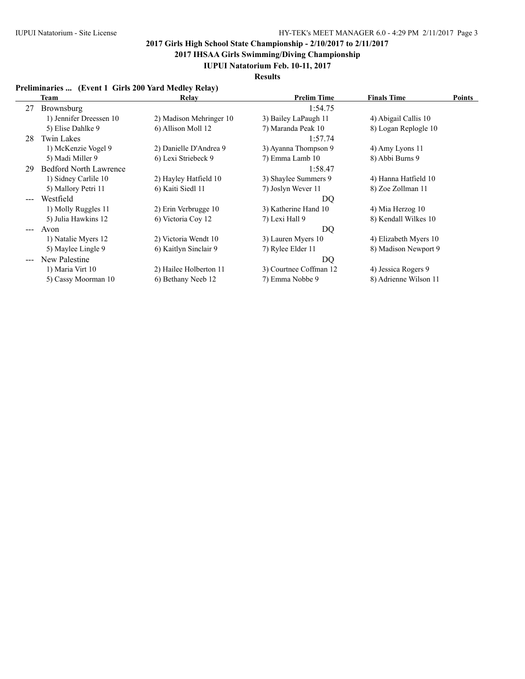**2017 IHSAA Girls Swimming/Diving Championship**

### **IUPUI Natatorium Feb. 10-11, 2017**

**Results**

### **Preliminaries ... (Event 1 Girls 200 Yard Medley Relay)**

|                                                                                                                                                                                                                                                                                                                                                                                              | Team                          | Relay                   | <b>Prelim Time</b>     | <b>Finals Time</b>    | Points |
|----------------------------------------------------------------------------------------------------------------------------------------------------------------------------------------------------------------------------------------------------------------------------------------------------------------------------------------------------------------------------------------------|-------------------------------|-------------------------|------------------------|-----------------------|--------|
| 27                                                                                                                                                                                                                                                                                                                                                                                           | Brownsburg                    |                         | 1:54.75                |                       |        |
|                                                                                                                                                                                                                                                                                                                                                                                              | 1) Jennifer Dreessen 10       | 2) Madison Mehringer 10 | 3) Bailey LaPaugh 11   | 4) Abigail Callis 10  |        |
|                                                                                                                                                                                                                                                                                                                                                                                              | 5) Elise Dahlke 9             | 6) Allison Moll 12      | 7) Maranda Peak 10     | 8) Logan Replogle 10  |        |
| 28                                                                                                                                                                                                                                                                                                                                                                                           | <b>Twin Lakes</b>             |                         | 1:57.74                |                       |        |
|                                                                                                                                                                                                                                                                                                                                                                                              | 1) McKenzie Vogel 9           | 2) Danielle D'Andrea 9  | 3) Ayanna Thompson 9   | 4) Amy Lyons 11       |        |
|                                                                                                                                                                                                                                                                                                                                                                                              | 5) Madi Miller 9              | 6) Lexi Striebeck 9     | 7) Emma Lamb 10        | 8) Abbi Burns 9       |        |
| 29                                                                                                                                                                                                                                                                                                                                                                                           | <b>Bedford North Lawrence</b> |                         | 1:58.47                |                       |        |
|                                                                                                                                                                                                                                                                                                                                                                                              | 1) Sidney Carlile 10          | 2) Hayley Hatfield 10   | 3) Shaylee Summers 9   | 4) Hanna Hatfield 10  |        |
|                                                                                                                                                                                                                                                                                                                                                                                              | 5) Mallory Petri 11           | 6) Kaiti Siedl 11       | 7) Joslyn Wever 11     | 8) Zoe Zollman 11     |        |
| $\frac{1}{2} \frac{1}{2} \frac{1}{2} \frac{1}{2} \frac{1}{2} \frac{1}{2} \frac{1}{2} \frac{1}{2} \frac{1}{2} \frac{1}{2} \frac{1}{2} \frac{1}{2} \frac{1}{2} \frac{1}{2} \frac{1}{2} \frac{1}{2} \frac{1}{2} \frac{1}{2} \frac{1}{2} \frac{1}{2} \frac{1}{2} \frac{1}{2} \frac{1}{2} \frac{1}{2} \frac{1}{2} \frac{1}{2} \frac{1}{2} \frac{1}{2} \frac{1}{2} \frac{1}{2} \frac{1}{2} \frac{$ | Westfield                     |                         | DQ                     |                       |        |
|                                                                                                                                                                                                                                                                                                                                                                                              | 1) Molly Ruggles 11           | 2) Erin Verbrugge 10    | 3) Katherine Hand 10   | 4) Mia Herzog 10      |        |
|                                                                                                                                                                                                                                                                                                                                                                                              | 5) Julia Hawkins 12           | 6) Victoria Coy 12      | 7) Lexi Hall 9         | 8) Kendall Wilkes 10  |        |
| $\qquad \qquad -$                                                                                                                                                                                                                                                                                                                                                                            | Avon                          |                         | DQ                     |                       |        |
|                                                                                                                                                                                                                                                                                                                                                                                              | 1) Natalie Myers 12           | 2) Victoria Wendt 10    | 3) Lauren Myers 10     | 4) Elizabeth Myers 10 |        |
|                                                                                                                                                                                                                                                                                                                                                                                              | 5) Maylee Lingle 9            | 6) Kaitlyn Sinclair 9   | 7) Rylee Elder 11      | 8) Madison Newport 9  |        |
|                                                                                                                                                                                                                                                                                                                                                                                              | New Palestine                 |                         | DQ                     |                       |        |
|                                                                                                                                                                                                                                                                                                                                                                                              | 1) Maria Virt 10              | 2) Hailee Holberton 11  | 3) Courtnee Coffman 12 | 4) Jessica Rogers 9   |        |
|                                                                                                                                                                                                                                                                                                                                                                                              | 5) Cassy Moorman 10           | 6) Bethany Neeb 12      | 7) Emma Nobbe 9        | 8) Adrienne Wilson 11 |        |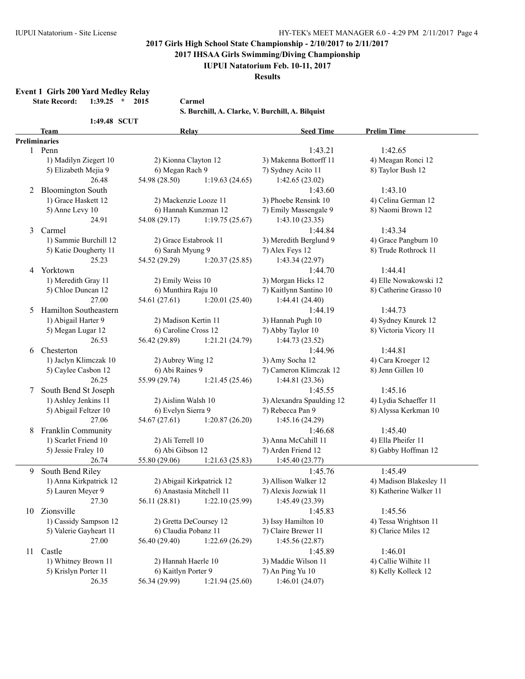**2017 IHSAA Girls Swimming/Diving Championship**

**IUPUI Natatorium Feb. 10-11, 2017**

**Results**

**Event 1 Girls 200 Yard Medley Relay**

**State Record: 1:39.25 \* 2015 Carmel**

**S. Burchill, A. Clarke, V. Burchill, A. Bilquist**

|  |  |  | 1:49.48 SCUT |
|--|--|--|--------------|
|--|--|--|--------------|

|    | <b>Team</b>              | Relay                     |                | <b>Seed Time</b>          | <b>Prelim Time</b>      |
|----|--------------------------|---------------------------|----------------|---------------------------|-------------------------|
|    | Preliminaries            |                           |                |                           |                         |
|    | 1 Penn                   |                           |                | 1:43.21                   | 1:42.65                 |
|    | 1) Madilyn Ziegert 10    | 2) Kionna Clayton 12      |                | 3) Makenna Bottorff 11    | 4) Meagan Ronci 12      |
|    | 5) Elizabeth Mejia 9     | 6) Megan Rach 9           |                | 7) Sydney Acito 11        | 8) Taylor Bush 12       |
|    | 26.48                    | 54.98 (28.50)             | 1:19.63(24.65) | 1:42.65(23.02)            |                         |
| 2  | <b>Bloomington South</b> |                           |                | 1:43.60                   | 1:43.10                 |
|    | 1) Grace Haskett 12      | 2) Mackenzie Looze 11     |                | 3) Phoebe Rensink 10      | 4) Celina German 12     |
|    | 5) Anne Levy 10          | 6) Hannah Kunzman 12      |                | 7) Emily Massengale 9     | 8) Naomi Brown 12       |
|    | 24.91                    | 54.08 (29.17)             | 1:19.75(25.67) | 1:43.10(23.35)            |                         |
|    |                          |                           |                |                           |                         |
| 3  | Carmel                   |                           |                | 1:44.84                   | 1:43.34                 |
|    | 1) Sammie Burchill 12    | 2) Grace Estabrook 11     |                | 3) Meredith Berglund 9    | 4) Grace Pangburn 10    |
|    | 5) Katie Dougherty 11    | 6) Sarah Myung 9          |                | 7) Alex Feys 12           | 8) Trude Rothrock 11    |
|    | 25.23                    | 54.52 (29.29)             | 1:20.37(25.85) | 1:43.34 (22.97)           |                         |
| 4  | Yorktown                 |                           |                | 1:44.70                   | 1:44.41                 |
|    | 1) Meredith Gray 11      | 2) Emily Weiss 10         |                | 3) Morgan Hicks 12        | 4) Elle Nowakowski 12   |
|    | 5) Chloe Duncan 12       | 6) Munthira Raju 10       |                | 7) Kaitlynn Santino 10    | 8) Catherine Grasso 10  |
|    | 27.00                    | 54.61 (27.61)             | 1:20.01(25.40) | 1:44.41(24.40)            |                         |
| 5  | Hamilton Southeastern    |                           |                | 1:44.19                   | 1:44.73                 |
|    | 1) Abigail Harter 9      | 2) Madison Kertin 11      |                | 3) Hannah Pugh 10         | 4) Sydney Knurek 12     |
|    | 5) Megan Lugar 12        | 6) Caroline Cross 12      |                | 7) Abby Taylor 10         | 8) Victoria Vicory 11   |
|    | 26.53                    | 56.42 (29.89)             | 1:21.21(24.79) | 1:44.73 (23.52)           |                         |
| 6  | Chesterton               |                           |                | 1:44.96                   | 1:44.81                 |
|    | 1) Jaclyn Klimczak 10    | 2) Aubrey Wing 12         |                | 3) Amy Socha 12           | 4) Cara Kroeger 12      |
|    | 5) Caylee Casbon 12      | 6) Abi Raines 9           |                | 7) Cameron Klimczak 12    | 8) Jenn Gillen 10       |
|    | 26.25                    | 55.99 (29.74)             | 1:21.45(25.46) | 1:44.81 (23.36)           |                         |
| 7  | South Bend St Joseph     |                           |                | 1:45.55                   | 1:45.16                 |
|    | 1) Ashley Jenkins 11     | 2) Aislinn Walsh 10       |                | 3) Alexandra Spaulding 12 | 4) Lydia Schaeffer 11   |
|    | 5) Abigail Feltzer 10    | 6) Evelyn Sierra 9        |                | 7) Rebecca Pan 9          | 8) Alyssa Kerkman 10    |
|    | 27.06                    | 54.67 (27.61)             | 1:20.87(26.20) | 1:45.16 (24.29)           |                         |
| 8  | Franklin Community       |                           |                | 1:46.68                   | 1:45.40                 |
|    | 1) Scarlet Friend 10     | 2) Ali Terrell 10         |                | 3) Anna McCahill 11       | 4) Ella Pheifer 11      |
|    | 5) Jessie Fraley 10      | 6) Abi Gibson 12          |                | 7) Arden Friend 12        | 8) Gabby Hoffman 12     |
|    | 26.74                    | 55.80 (29.06)             | 1:21.63(25.83) | 1:45.40(23.77)            |                         |
|    |                          |                           |                |                           |                         |
| 9  | South Bend Riley         |                           |                | 1:45.76                   | 1:45.49                 |
|    | 1) Anna Kirkpatrick 12   | 2) Abigail Kirkpatrick 12 |                | 3) Allison Walker 12      | 4) Madison Blakesley 11 |
|    | 5) Lauren Meyer 9        | 6) Anastasia Mitchell 11  |                | 7) Alexis Jozwiak 11      | 8) Katherine Walker 11  |
|    | 27.30                    | 56.11 (28.81)             | 1:22.10(25.99) | 1:45.49 (23.39)           |                         |
|    | 10 Zionsville            |                           |                | 1:45.83                   | 1:45.56                 |
|    | 1) Cassidy Sampson 12    | 2) Gretta DeCoursey 12    |                | 3) Issy Hamilton 10       | 4) Tessa Wrightson 11   |
|    | 5) Valerie Gayheart 11   | 6) Claudia Pobanz 11      |                | 7) Claire Brewer 11       | 8) Clarice Miles 12     |
|    | 27.00                    | 56.40 (29.40)             | 1:22.69(26.29) | 1:45.56(22.87)            |                         |
| 11 | Castle                   |                           |                | 1:45.89                   | 1:46.01                 |
|    | 1) Whitney Brown 11      | 2) Hannah Haerle 10       |                | 3) Maddie Wilson 11       | 4) Callie Wilhite 11    |
|    | 5) Krislyn Porter 11     | 6) Kaitlyn Porter 9       |                | 7) An Ping Yu 10          | 8) Kelly Kolleck 12     |
|    | 26.35                    | 56.34 (29.99)             | 1:21.94(25.60) | 1:46.01(24.07)            |                         |
|    |                          |                           |                |                           |                         |
|    |                          |                           |                |                           |                         |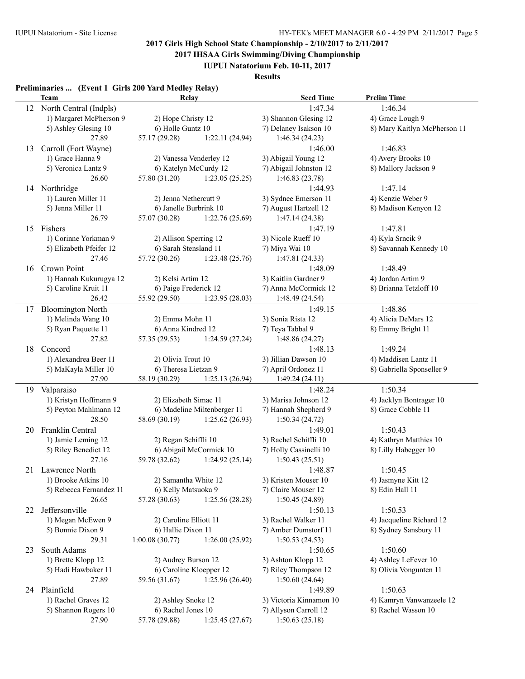**2017 IHSAA Girls Swimming/Diving Championship**

**IUPUI Natatorium Feb. 10-11, 2017**

**Results**

### **Preliminaries ... (Event 1 Girls 200 Yard Medley Relay)**

|    | <b>Team</b>                             | Relay                           |                             | <b>Seed Time</b>                 | <b>Prelim Time</b>           |
|----|-----------------------------------------|---------------------------------|-----------------------------|----------------------------------|------------------------------|
| 12 | North Central (Indpls)                  |                                 |                             | 1:47.34                          | 1:46.34                      |
|    | 1) Margaret McPherson 9                 | 2) Hope Christy 12              |                             | 3) Shannon Glesing 12            | 4) Grace Lough 9             |
|    | 5) Ashley Glesing 10                    | 6) Holle Guntz 10               |                             | 7) Delaney Isakson 10            | 8) Mary Kaitlyn McPherson 11 |
|    | 27.89                                   | 57.17 (29.28)                   | 1:22.11(24.94)              | 1:46.34(24.23)                   |                              |
| 13 | Carroll (Fort Wayne)                    |                                 |                             | 1:46.00                          | 1:46.83                      |
|    | 1) Grace Hanna 9                        | 2) Vanessa Venderley 12         |                             | 3) Abigail Young 12              | 4) Avery Brooks 10           |
|    | 5) Veronica Lantz 9                     | 6) Katelyn McCurdy 12           |                             | 7) Abigail Johnston 12           | 8) Mallory Jackson 9         |
|    | 26.60                                   | 57.80 (31.20)                   | 1:23.05(25.25)              | 1:46.83(23.78)                   |                              |
| 14 | Northridge                              |                                 |                             | 1:44.93                          | 1:47.14                      |
|    | 1) Lauren Miller 11                     | 2) Jenna Nethercutt 9           |                             | 3) Sydnee Emerson 11             | 4) Kenzie Weber 9            |
|    | 5) Jenna Miller 11                      | 6) Janelle Burbrink 10          |                             | 7) August Hartzell 12            | 8) Madison Kenyon 12         |
|    | 26.79                                   | 57.07 (30.28)                   | 1:22.76 (25.69)             | 1:47.14(24.38)                   |                              |
| 15 | Fishers                                 |                                 |                             | 1:47.19                          | 1:47.81                      |
|    | 1) Corinne Yorkman 9                    | 2) Allison Sperring 12          |                             | 3) Nicole Rueff 10               | 4) Kyla Srncik 9             |
|    | 5) Elizabeth Pfeifer 12                 | 6) Sarah Stensland 11           |                             | 7) Miya Wai 10                   | 8) Savannah Kennedy 10       |
|    | 27.46                                   | 57.72 (30.26)                   | 1:23.48(25.76)              | 1:47.81(24.33)                   |                              |
| 16 | Crown Point                             |                                 |                             | 1:48.09                          | 1:48.49                      |
|    | 1) Hannah Kukurugya 12                  | 2) Kelsi Artim 12               |                             | 3) Kaitlin Gardner 9             | 4) Jordan Artim 9            |
|    | 5) Caroline Kruit 11                    | 6) Paige Frederick 12           |                             | 7) Anna McCormick 12             | 8) Brianna Tetzloff 10       |
|    | 26.42                                   | 55.92 (29.50)                   | 1:23.95(28.03)              | 1:48.49(24.54)                   |                              |
| 17 | <b>Bloomington North</b>                |                                 |                             | 1:49.15                          | 1:48.86                      |
|    | 1) Melinda Wang 10                      | 2) Emma Mohn 11                 |                             | 3) Sonia Rista 12                | 4) Alicia DeMars 12          |
|    | 5) Ryan Paquette 11                     | 6) Anna Kindred 12              |                             | 7) Teya Tabbal 9                 | 8) Emmy Bright 11            |
|    | 27.82                                   | 57.35 (29.53)                   | 1:24.59(27.24)              | 1:48.86 (24.27)                  |                              |
| 18 | Concord                                 |                                 |                             | 1:48.13                          | 1:49.24                      |
|    | 1) Alexandrea Beer 11                   | 2) Olivia Trout 10              |                             | 3) Jillian Dawson 10             | 4) Maddisen Lantz 11         |
|    | 5) MaKayla Miller 10                    | 6) Theresa Lietzan 9            |                             | 7) April Ordonez 11              | 8) Gabriella Sponseller 9    |
|    | 27.90                                   | 58.19 (30.29)                   | 1:25.13(26.94)              | 1:49.24(24.11)                   |                              |
|    | 19 Valparaiso                           |                                 |                             | 1:48.24                          | 1:50.34                      |
|    | 1) Kristyn Hoffmann 9                   | 2) Elizabeth Simac 11           |                             | 3) Marisa Johnson 12             | 4) Jacklyn Bontrager 10      |
|    | 5) Peyton Mahlmann 12                   |                                 | 6) Madeline Miltenberger 11 | 7) Hannah Shepherd 9             | 8) Grace Cobble 11           |
|    | 28.50<br>Franklin Central               | 58.69 (30.19)                   | 1:25.62(26.93)              | 1:50.34(24.72)                   | 1:50.43                      |
| 20 | 1) Jamie Leming 12                      | 2) Regan Schiffli 10            |                             | 1:49.01<br>3) Rachel Schiffli 10 | 4) Kathryn Matthies 10       |
|    | 5) Riley Benedict 12                    |                                 | 6) Abigail McCormick 10     | 7) Holly Cassinelli 10           | 8) Lilly Habegger 10         |
|    | 27.16                                   | 59.78 (32.62)                   | 1:24.92(25.14)              | 1:50.43(25.51)                   |                              |
| 21 | Lawrence North                          |                                 |                             | 1:48.87                          | 1:50.45                      |
|    | 1) Brooke Atkins 10                     | 2) Samantha White 12            |                             | 3) Kristen Mouser 10             | 4) Jasmyne Kitt 12           |
|    | 5) Rebecca Fernandez 11                 | 6) Kelly Matsuoka 9             |                             | 7) Claire Mouser 12              | 8) Edin Hall 11              |
|    | 26.65                                   | 57.28 (30.63)<br>1:25.56(28.28) |                             | 1:50.45(24.89)                   |                              |
| 22 | Jeffersonville                          |                                 |                             | 1:50.13                          | 1:50.53                      |
|    | 1) Megan McEwen 9                       | 2) Caroline Elliott 11          |                             | 3) Rachel Walker 11              | 4) Jacqueline Richard 12     |
|    | 5) Bonnie Dixon 9<br>6) Hallie Dixon 11 |                                 | 7) Amber Dumstorf 11        | 8) Sydney Sansbury 11            |                              |
|    | 29.31                                   | 1:00.08(30.77)                  | 1:26.00(25.92)              | 1:50.53(24.53)                   |                              |
| 23 | South Adams                             |                                 |                             | 1:50.65                          | 1:50.60                      |
|    | 1) Brette Klopp 12                      | 2) Audrey Burson 12             |                             | 3) Ashton Klopp 12               | 4) Ashley LeFever 10         |
|    | 5) Hadi Hawbaker 11                     | 6) Caroline Kloepper 12         |                             | 7) Riley Thompson 12             | 8) Olivia Vongunten 11       |
|    | 27.89                                   | 59.56 (31.67)                   | 1:25.96(26.40)              | 1:50.60(24.64)                   |                              |
|    | 24 Plainfield                           |                                 |                             | 1:49.89                          | 1:50.63                      |
|    | 1) Rachel Graves 12                     | 2) Ashley Snoke 12              |                             | 3) Victoria Kinnamon 10          | 4) Kamryn Vanwanzeele 12     |
|    | 5) Shannon Rogers 10                    | 6) Rachel Jones 10              |                             | 7) Allyson Carroll 12            | 8) Rachel Wasson 10          |
|    | 27.90                                   | 57.78 (29.88)                   | 1:25.45(27.67)              | 1:50.63(25.18)                   |                              |
|    |                                         |                                 |                             |                                  |                              |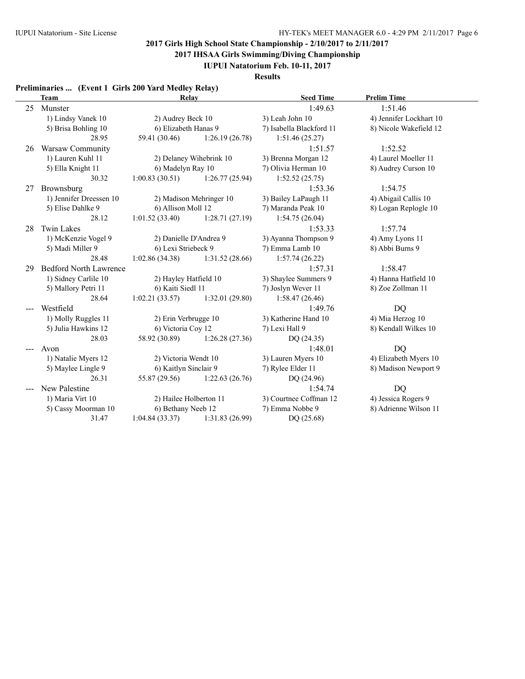**2017 IHSAA Girls Swimming/Diving Championship**

**IUPUI Natatorium Feb. 10-11, 2017**

**Results**

## **Preliminaries ... (Event 1 Girls 200 Yard Medley Relay)**

|    | <b>Team</b>                   | <b>Relay</b>           |                         | <b>Seed Time</b>         | <b>Prelim Time</b>      |
|----|-------------------------------|------------------------|-------------------------|--------------------------|-------------------------|
| 25 | Munster                       |                        |                         | 1:49.63                  | 1:51.46                 |
|    | 1) Lindsy Vanek 10            | 2) Audrey Beck 10      |                         | 3) Leah John 10          | 4) Jennifer Lockhart 10 |
|    | 5) Brisa Bohling 10           | 6) Elizabeth Hanas 9   |                         | 7) Isabella Blackford 11 | 8) Nicole Wakefield 12  |
|    | 28.95                         | 59.41 (30.46)          | 1:26.19(26.78)          | 1:51.46(25.27)           |                         |
| 26 | Warsaw Community              |                        |                         | 1:51.57                  | 1:52.52                 |
|    | 1) Lauren Kuhl 11             |                        | 2) Delaney Wihebrink 10 | 3) Brenna Morgan 12      | 4) Laurel Moeller 11    |
|    | 5) Ella Knight 11             | 6) Madelyn Ray 10      |                         | 7) Olivia Herman 10      | 8) Audrey Curson 10     |
|    | 30.32                         | 1:00.83(30.51)         | 1:26.77(25.94)          | 1:52.52(25.75)           |                         |
| 27 | Brownsburg                    |                        |                         | 1:53.36                  | 1:54.75                 |
|    | 1) Jennifer Dreessen 10       |                        | 2) Madison Mehringer 10 | 3) Bailey LaPaugh 11     | 4) Abigail Callis 10    |
|    | 5) Elise Dahlke 9             | 6) Allison Moll 12     |                         | 7) Maranda Peak 10       | 8) Logan Replogle 10    |
|    | 28.12                         | 1:01.52(33.40)         | 1:28.71(27.19)          | 1:54.75(26.04)           |                         |
| 28 | Twin Lakes                    |                        |                         | 1:53.33                  | 1:57.74                 |
|    | 1) McKenzie Vogel 9           | 2) Danielle D'Andrea 9 |                         | 3) Ayanna Thompson 9     | 4) Amy Lyons 11         |
|    | 5) Madi Miller 9              | 6) Lexi Striebeck 9    |                         | 7) Emma Lamb 10          | 8) Abbi Burns 9         |
|    | 28.48                         | 1:02.86(34.38)         | 1:31.52(28.66)          | 1:57.74(26.22)           |                         |
| 29 | <b>Bedford North Lawrence</b> |                        |                         | 1:57.31                  | 1:58.47                 |
|    | 1) Sidney Carlile 10          | 2) Hayley Hatfield 10  |                         | 3) Shaylee Summers 9     | 4) Hanna Hatfield 10    |
|    | 5) Mallory Petri 11           | 6) Kaiti Siedl 11      |                         | 7) Joslyn Wever 11       | 8) Zoe Zollman 11       |
|    | 28.64                         | 1:02.21(33.57)         | 1:32.01(29.80)          | 1:58.47(26.46)           |                         |
|    | Westfield                     |                        |                         | 1:49.76                  | <b>DQ</b>               |
|    | 1) Molly Ruggles 11           | 2) Erin Verbrugge 10   |                         | 3) Katherine Hand 10     | 4) Mia Herzog 10        |
|    | 5) Julia Hawkins 12           | 6) Victoria Coy 12     |                         | 7) Lexi Hall 9           | 8) Kendall Wilkes 10    |
|    | 28.03                         | 58.92 (30.89)          | 1:26.28(27.36)          | DQ (24.35)               |                         |
|    | Avon                          |                        |                         | 1:48.01                  | <b>DQ</b>               |
|    | 1) Natalie Myers 12           | 2) Victoria Wendt 10   |                         | 3) Lauren Myers 10       | 4) Elizabeth Myers 10   |
|    | 5) Maylee Lingle 9            | 6) Kaitlyn Sinclair 9  |                         | 7) Rylee Elder 11        | 8) Madison Newport 9    |
|    | 26.31                         | 55.87 (29.56)          | 1:22.63(26.76)          | DQ (24.96)               |                         |
|    | New Palestine                 |                        |                         | 1:54.74                  | DQ                      |
|    | 1) Maria Virt 10              | 2) Hailee Holberton 11 |                         | 3) Courtnee Coffman 12   | 4) Jessica Rogers 9     |
|    | 5) Cassy Moorman 10           | 6) Bethany Neeb 12     |                         | 7) Emma Nobbe 9          | 8) Adrienne Wilson 11   |
|    | 31.47                         | 1:04.84(33.37)         | 1:31.83(26.99)          | DQ (25.68)               |                         |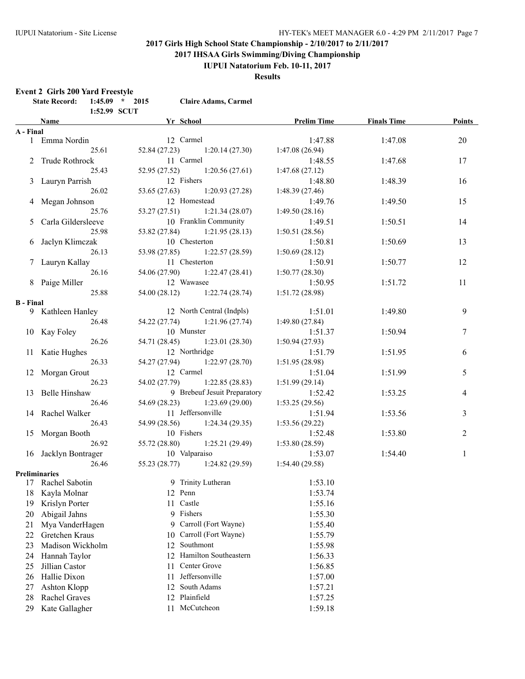**2017 IHSAA Girls Swimming/Diving Championship**

### **IUPUI Natatorium Feb. 10-11, 2017**

**Results**

#### **Event 2 Girls 200 Yard Freestyle**

|                  | Name and the same state of the state of the state of the state of the state of the state of the state of the state of the state of the state of the state of the state of the state of the state of the state of the state of | 1:52.99 SCUT | <b>School</b> |         |                                 | <b>Prelim Time</b> | <b>Finals Time</b> | Points         |
|------------------|-------------------------------------------------------------------------------------------------------------------------------------------------------------------------------------------------------------------------------|--------------|---------------|---------|---------------------------------|--------------------|--------------------|----------------|
| A - Final        |                                                                                                                                                                                                                               |              |               |         |                                 |                    |                    |                |
|                  | 1 Emma Nordin                                                                                                                                                                                                                 |              |               |         | 12 Carmel                       | 1:47.88            | 1:47.08            | 20             |
|                  |                                                                                                                                                                                                                               | 25.61        |               |         | $52.84(27.23)$ $1:20.14(27.30)$ | 1:47.08(26.94)     |                    |                |
|                  | 2 Trude Rothrock                                                                                                                                                                                                              |              |               |         | 11 Carmel                       | 1:48.55            | 1:47.68            | 17             |
|                  |                                                                                                                                                                                                                               | 25.43        |               |         | $52.95(27.52)$ 1:20.56 (27.61)  | 1:47.68(27.12)     |                    |                |
|                  | 3 Lauryn Parrish                                                                                                                                                                                                              |              |               |         | 12 Fishers                      | 1:48.80            | 1:48.39            | 16             |
|                  |                                                                                                                                                                                                                               | 26.02        |               |         | $53.65(27.63)$ 1:20.93 (27.28)  | 1:48.39(27.46)     |                    |                |
|                  | 4 Megan Johnson                                                                                                                                                                                                               |              | 12 Homestead  |         |                                 | 1:49.76            | 1:49.50            | 15             |
|                  |                                                                                                                                                                                                                               | 25.76        |               |         | $53.27(27.51)$ 1:21.34 (28.07)  | 1:49.50(28.16)     |                    |                |
|                  | 5 Carla Gildersleeve                                                                                                                                                                                                          |              |               |         | 10 Franklin Community           | 1:49.51            | 1:50.51            | 14             |
|                  |                                                                                                                                                                                                                               | 25.98        |               |         | 53.82 (27.84) 1:21.95 (28.13)   | 1:50.51(28.56)     |                    |                |
|                  | 6 Jaclyn Klimczak                                                                                                                                                                                                             |              | 10 Chesterton |         |                                 | 1:50.81            | 1:50.69            | 13             |
|                  |                                                                                                                                                                                                                               | 26.13        |               |         | 53.98 (27.85) 1:22.57 (28.59)   | 1:50.69(28.12)     |                    |                |
|                  | 7 Lauryn Kallay                                                                                                                                                                                                               |              | 11 Chesterton |         |                                 | 1:50.91            | 1:50.77            | 12             |
|                  |                                                                                                                                                                                                                               | 26.16        |               |         | 54.06 (27.90) 1:22.47 (28.41)   | 1:50.77(28.30)     |                    |                |
|                  | 8 Paige Miller                                                                                                                                                                                                                |              | 12 Wawasee    |         |                                 | 1:50.95            | 1:51.72            | 11             |
|                  |                                                                                                                                                                                                                               | 25.88        |               |         | 54.00 (28.12) 1:22.74 (28.74)   | 1:51.72(28.98)     |                    |                |
| <b>B</b> - Final |                                                                                                                                                                                                                               |              |               |         |                                 |                    |                    |                |
|                  | 9 Kathleen Hanley                                                                                                                                                                                                             |              |               |         | 12 North Central (Indpls)       | 1:51.01            | 1:49.80            | 9              |
|                  |                                                                                                                                                                                                                               | 26.48        |               |         | 54.22 (27.74) 1:21.96 (27.74)   | 1:49.80(27.84)     |                    |                |
|                  | 10 Kay Foley                                                                                                                                                                                                                  |              |               |         | 10 Munster                      | 1:51.37            | 1:50.94            | 7              |
|                  |                                                                                                                                                                                                                               | 26.26        |               |         | 54.71 (28.45) 1:23.01 (28.30)   | 1:50.94(27.93)     |                    |                |
|                  | 11 Katie Hughes                                                                                                                                                                                                               |              |               |         | 12 Northridge                   | 1:51.79            | 1:51.95            | 6              |
|                  |                                                                                                                                                                                                                               | 26.33        |               |         | 54.27 (27.94) 1:22.97 (28.70)   | 1:51.95(28.98)     |                    |                |
|                  | 12 Morgan Grout                                                                                                                                                                                                               |              |               |         | 12 Carmel                       | 1:51.04            | 1:51.99            | 5              |
|                  |                                                                                                                                                                                                                               | 26.23        |               |         | 54.02 (27.79) 1:22.85 (28.83)   | 1:51.99(29.14)     |                    |                |
|                  | 13 Belle Hinshaw                                                                                                                                                                                                              |              |               |         | 9 Brebeuf Jesuit Preparatory    | 1:52.42            | 1:53.25            | 4              |
|                  |                                                                                                                                                                                                                               | 26.46        | 54.69 (28.23) |         | 1:23.69(29.00)                  | 1:53.25(29.56)     |                    |                |
|                  | 14 Rachel Walker                                                                                                                                                                                                              |              |               |         | 11 Jeffersonville               | 1:51.94            | 1:53.56            | 3              |
|                  |                                                                                                                                                                                                                               | 26.43        | 54.99 (28.56) |         | 1:24.34(29.35)                  | 1:53.56(29.22)     |                    |                |
|                  | 15 Morgan Booth                                                                                                                                                                                                               |              |               |         | 10 Fishers                      | 1:52.48            | 1:53.80            | $\overline{2}$ |
|                  |                                                                                                                                                                                                                               | 26.92        | 55.72 (28.80) |         | 1:25.21(29.49)                  | 1:53.80(28.59)     |                    |                |
|                  | 16 Jacklyn Bontrager                                                                                                                                                                                                          |              |               |         | 10 Valparaiso                   | 1:53.07            | 1:54.40            | $\mathbf{1}$   |
|                  |                                                                                                                                                                                                                               | 26.46        |               |         | $55.23(28.77)$ 1:24.82 (29.59)  | 1:54.40(29.58)     |                    |                |
|                  | <b>Preliminaries</b>                                                                                                                                                                                                          |              |               |         |                                 |                    |                    |                |
|                  | 17 Rachel Sabotin                                                                                                                                                                                                             |              |               |         | 9 Trinity Lutheran              | 1:53.10            |                    |                |
| 18               | Kayla Molnar                                                                                                                                                                                                                  |              |               | 12 Penn |                                 | 1:53.74            |                    |                |
| 19               | Krislyn Porter                                                                                                                                                                                                                |              |               | 11      | Castle                          | 1:55.16            |                    |                |
| 20               | Abigail Jahns                                                                                                                                                                                                                 |              |               | 9       | Fishers                         | 1:55.30            |                    |                |
| 21               | Mya VanderHagen                                                                                                                                                                                                               |              |               | 9       | Carroll (Fort Wayne)            | 1:55.40            |                    |                |
| 22               | Gretchen Kraus                                                                                                                                                                                                                |              |               | 10      | Carroll (Fort Wayne)            | 1:55.79            |                    |                |
| 23               | Madison Wickholm                                                                                                                                                                                                              |              |               | 12      | Southmont                       | 1:55.98            |                    |                |
| 24               | Hannah Taylor                                                                                                                                                                                                                 |              |               | 12      | Hamilton Southeastern           | 1:56.33            |                    |                |
| 25               | Jillian Castor                                                                                                                                                                                                                |              |               | 11      | Center Grove                    | 1:56.85            |                    |                |
| 26               | Hallie Dixon                                                                                                                                                                                                                  |              |               | 11      | Jeffersonville                  | 1:57.00            |                    |                |
| 27               | Ashton Klopp                                                                                                                                                                                                                  |              |               | 12      | South Adams                     | 1:57.21            |                    |                |
| 28               | Rachel Graves                                                                                                                                                                                                                 |              |               | 12      | Plainfield                      | 1:57.25            |                    |                |
| 29               | Kate Gallagher                                                                                                                                                                                                                |              |               | 11      | McCutcheon                      | 1:59.18            |                    |                |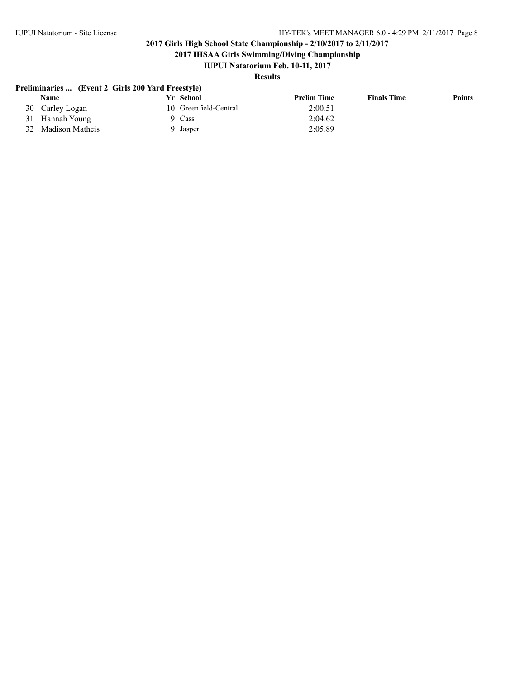**2017 IHSAA Girls Swimming/Diving Championship**

## **IUPUI Natatorium Feb. 10-11, 2017**

## **Results**

### **Preliminaries ... (Event 2 Girls 200 Yard Freestyle)**

| Name               | Yr School             | <b>Prelim Time</b> | <b>Finals Time</b> | <b>Points</b> |
|--------------------|-----------------------|--------------------|--------------------|---------------|
| 30 Carley Logan    | 10 Greenfield-Central | 2:00.51            |                    |               |
| Hannah Young<br>31 | Cass                  | 2:04.62            |                    |               |
| 32 Madison Matheis | Jasper                | 2:05.89            |                    |               |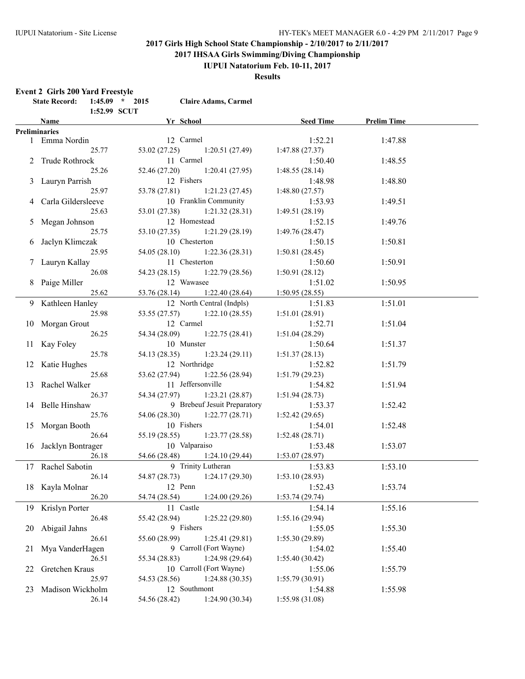**2017 IHSAA Girls Swimming/Diving Championship**

### **IUPUI Natatorium Feb. 10-11, 2017**

**Results**

#### **Event 2 Girls 200 Yard Freestyle**

|    | <b>State Record:</b><br>$1:45.09$ * 2015<br>1:52.99 SCUT |               | <b>Claire Adams, Carmel</b>              |                 |                       |  |
|----|----------------------------------------------------------|---------------|------------------------------------------|-----------------|-----------------------|--|
|    | <b>Name</b>                                              | Yr School     |                                          |                 | Seed Time Prelim Time |  |
|    | <b>Preliminaries</b>                                     |               |                                          |                 |                       |  |
|    | 1 Emma Nordin                                            |               | 12 Carmel                                | 1:52.21         | 1:47.88               |  |
|    | 25.77                                                    |               | 53.02 (27.25) 1:20.51 (27.49)            | 1:47.88(27.37)  |                       |  |
|    | 2 Trude Rothrock                                         |               | 11 Carmel                                | 1:50.40         | 1:48.55               |  |
|    | 25.26                                                    |               | 52.46 (27.20) 1:20.41 (27.95)            | 1:48.55(28.14)  |                       |  |
|    | 3 Lauryn Parrish                                         |               | 12 Fishers                               | 1:48.98         | 1:48.80               |  |
|    | 25.97                                                    |               | 53.78 (27.81) 1:21.23 (27.45)            | 1:48.80(27.57)  |                       |  |
|    | 4 Carla Gildersleeve                                     |               | 10 Franklin Community                    | 1:53.93         | 1:49.51               |  |
|    | 25.63                                                    |               | $53.01(27.38)$ 1:21.32 (28.31)           | 1:49.51(28.19)  |                       |  |
|    | 5 Megan Johnson                                          |               | 12 Homestead                             | 1:52.15         | 1:49.76               |  |
|    | 25.75                                                    |               | 53.10 (27.35) 1:21.29 (28.19)            | 1:49.76(28.47)  |                       |  |
|    | 6 Jaclyn Klimczak                                        | 10 Chesterton |                                          | 1:50.15         | 1:50.81               |  |
|    | 25.95                                                    |               | 54.05 (28.10) 1:22.36 (28.31)            | 1:50.81(28.45)  |                       |  |
|    | 7 Lauryn Kallay                                          |               | 11 Chesterton                            | 1:50.60         | 1:50.91               |  |
|    | 26.08                                                    |               | 54.23 (28.15) 1:22.79 (28.56)            | 1:50.91(28.12)  |                       |  |
|    | 8 Paige Miller                                           | 12 Wawasee    |                                          | 1:51.02         | 1:50.95               |  |
|    | 25.62                                                    |               | 53.76 (28.14) 1:22.40 (28.64)            | 1:50.95(28.55)  |                       |  |
|    | 9 Kathleen Hanley                                        |               | 12 North Central (Indpls)                | 1:51.83         | 1:51.01               |  |
|    | 25.98                                                    |               | 1:22.10(28.55)                           | 1:51.01(28.91)  |                       |  |
|    | 10 Morgan Grout                                          |               | 12 Carmel                                | 1:52.71         | 1:51.04               |  |
|    | 26.25                                                    |               | 54.34 (28.09) 1:22.75 (28.41)            | 1:51.04(28.29)  |                       |  |
|    | 11 Kay Foley                                             |               | 10 Munster                               | 1:50.64         | 1:51.37               |  |
|    | 25.78                                                    |               | 54.13 (28.35) 1:23.24 (29.11)            | 1:51.37(28.13)  |                       |  |
|    | 12 Katie Hughes                                          |               | 12 Northridge                            | 1:52.82         | 1:51.79               |  |
|    | 25.68                                                    |               | 53.62 (27.94) 1:22.56 (28.94)            | 1:51.79(29.23)  |                       |  |
|    | 13 Rachel Walker                                         |               | 11 Jeffersonville                        | 1:54.82         | 1:51.94               |  |
|    | 26.37                                                    |               | 54.34 (27.97) 1:23.21 (28.87)            | 1:51.94(28.73)  |                       |  |
|    | 14 Belle Hinshaw                                         |               | 9 Brebeuf Jesuit Preparatory             | 1:53.37         | 1:52.42               |  |
|    | 25.76                                                    |               | 54.06 (28.30) 1:22.77 (28.71)            | 1:52.42(29.65)  |                       |  |
|    | 15 Morgan Booth                                          |               | 10 Fishers                               | 1:54.01         | 1:52.48               |  |
|    | 26.64                                                    | 55.19 (28.55) | 1:23.77(28.58)                           | 1:52.48(28.71)  |                       |  |
|    | 16 Jacklyn Bontrager                                     | 10 Valparaiso |                                          | 1:53.48         | 1:53.07               |  |
|    | 26.18                                                    |               | 54.66 (28.48) 1:24.10 (29.44)            | 1:53.07(28.97)  |                       |  |
|    | 17 Rachel Sabotin                                        |               | 9 Trinity Lutheran                       | 1:53.83         | 1:53.10               |  |
|    | 26.14                                                    |               | 54.87 (28.73) 1:24.17 (29.30)            | 1:53.10(28.93)  |                       |  |
|    | 18 Kayla Molnar                                          |               | 12 Penn                                  | 1:52.43         | 1:53.74               |  |
|    | 26.20                                                    | 54.74 (28.54) | 1:24.00(29.26)                           | 1:53.74(29.74)  |                       |  |
| 19 | Krislyn Porter                                           |               | 11 Castle                                | 1:54.14         | 1:55.16               |  |
|    | 26.48                                                    | 55.42 (28.94) | 1:25.22(29.80)                           | 1:55.16(29.94)  |                       |  |
| 20 | Abigail Jahns                                            |               | 9 Fishers                                | 1:55.05         | 1:55.30               |  |
|    |                                                          |               |                                          |                 |                       |  |
|    | 26.61                                                    | 55.60 (28.99) | 1:25.41(29.81)<br>9 Carroll (Fort Wayne) | 1:55.30(29.89)  |                       |  |
| 21 | Mya VanderHagen                                          |               |                                          | 1:54.02         | 1:55.40               |  |
|    | 26.51                                                    | 55.34 (28.83) | 1:24.98(29.64)                           | 1:55.40(30.42)  |                       |  |
| 22 | Gretchen Kraus                                           |               | 10 Carroll (Fort Wayne)                  | 1:55.06         | 1:55.79               |  |
|    | 25.97                                                    | 54.53 (28.56) | 1:24.88(30.35)                           | 1:55.79(30.91)  |                       |  |
| 23 | Madison Wickholm                                         |               | 12 Southmont                             | 1:54.88         | 1:55.98               |  |
|    | 26.14                                                    | 54.56 (28.42) | 1:24.90 (30.34)                          | 1:55.98 (31.08) |                       |  |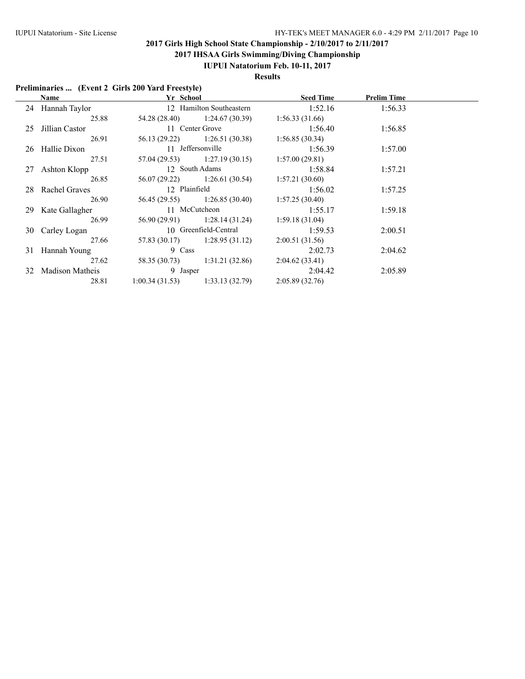**2017 IHSAA Girls Swimming/Diving Championship**

### **IUPUI Natatorium Feb. 10-11, 2017**

**Results**

### **Preliminaries ... (Event 2 Girls 200 Yard Freestyle)**

| <b>Name</b>        | Yr School      |                                | <b>Seed Time</b> | <b>Prelim Time</b> |  |
|--------------------|----------------|--------------------------------|------------------|--------------------|--|
| 24 Hannah Taylor   |                | 12 Hamilton Southeastern       | 1:52.16          | 1:56.33            |  |
| 25.88              |                | 54.28 (28.40) 1:24.67 (30.39)  | 1:56.33(31.66)   |                    |  |
| 25 Jillian Castor  |                | 11 Center Grove                | 1:56.40          | 1:56.85            |  |
| 26.91              |                | 56.13 (29.22) 1:26.51 (30.38)  | 1:56.85(30.34)   |                    |  |
| 26 Hallie Dixon    |                | 11 Jeffersonville              | 1:56.39          | 1:57.00            |  |
| 27.51              |                | $57.04(29.53)$ 1:27.19 (30.15) | 1:57.00(29.81)   |                    |  |
| 27 Ashton Klopp    |                | 12 South Adams                 | 1:58.84          | 1:57.21            |  |
| 26.85              |                | 56.07 (29.22) 1:26.61 (30.54)  | 1:57.21(30.60)   |                    |  |
| 28 Rachel Graves   | 12 Plainfield  |                                | 1:56.02          | 1:57.25            |  |
| 26.90              |                | 1:26.85(30.40)                 | 1:57.25(30.40)   |                    |  |
| 29 Kate Gallagher  |                | 11 McCutcheon                  | 1:55.17          | 1:59.18            |  |
| 26.99              |                | $56.90(29.91)$ 1:28.14 (31.24) | 1:59.18(31.04)   |                    |  |
| 30 Carley Logan    |                | 10 Greenfield-Central          | 1:59.53          | 2:00.51            |  |
| 27.66              |                | $57.83(30.17)$ 1:28.95 (31.12) | 2:00.51(31.56)   |                    |  |
| 31 Hannah Young    | 9 Cass         |                                | 2:02.73          | 2:04.62            |  |
| 27.62              | 58.35 (30.73)  | 1:31.21 (32.86)                | 2:04.62(33.41)   |                    |  |
| 32 Madison Matheis | 9 Jasper       |                                | 2:04.42          | 2:05.89            |  |
| 28.81              | 1:00.34(31.53) | 1:33.13(32.79)                 | 2:05.89(32.76)   |                    |  |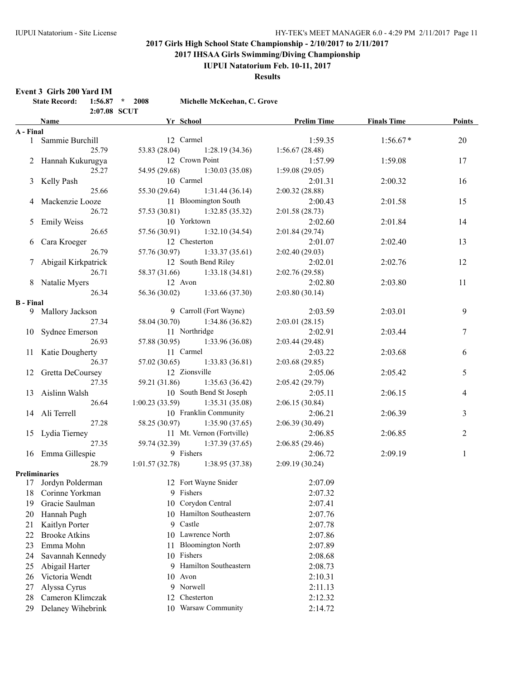**2017 IHSAA Girls Swimming/Diving Championship**

**IUPUI Natatorium Feb. 10-11, 2017**

**Results**

#### **Event 3 Girls 200 Yard IM**

|                  | <b>State Record:</b><br>2:07.08 SCUT | $1:56.87$ * 2008 | Michelle McKeehan, C. Grove   |                    |                    |        |
|------------------|--------------------------------------|------------------|-------------------------------|--------------------|--------------------|--------|
|                  | <b>Name</b>                          | Yr School        |                               | <b>Prelim Time</b> | <b>Finals Time</b> | Points |
| A - Final        |                                      |                  |                               |                    |                    |        |
|                  | 1 Sammie Burchill                    | 12 Carmel        |                               | 1:59.35            | $1:56.67*$         | 20     |
|                  | 25.79                                | 53.83 (28.04)    | 1:28.19(34.36)                | 1:56.67(28.48)     |                    |        |
|                  | 2 Hannah Kukurugya                   |                  | 12 Crown Point                | 1:57.99            | 1:59.08            | 17     |
|                  | 25.27                                | 54.95 (29.68)    | 1:30.03(35.08)                | 1:59.08(29.05)     |                    |        |
|                  | 3 Kelly Pash                         | 10 Carmel        |                               | 2:01.31            | 2:00.32            | 16     |
|                  | 25.66                                | 55.30 (29.64)    | 1:31.44(36.14)                | 2:00.32(28.88)     |                    |        |
| 4                | Mackenzie Looze                      |                  | 11 Bloomington South          | 2:00.43            | 2:01.58            | 15     |
|                  | 26.72                                | 57.53 (30.81)    | 1:32.85(35.32)                | 2:01.58(28.73)     |                    |        |
| 5                | <b>Emily Weiss</b>                   | 10 Yorktown      |                               | 2:02.60            | 2:01.84            | 14     |
|                  | 26.65                                | 57.56 (30.91)    | 1:32.10(34.54)                | 2:01.84(29.74)     |                    |        |
| 6                | Cara Kroeger                         |                  | 12 Chesterton                 | 2:01.07            | 2:02.40            | 13     |
|                  | 26.79                                | 57.76 (30.97)    | 1:33.37(35.61)                | 2:02.40 (29.03)    |                    |        |
| 7                | Abigail Kirkpatrick                  |                  | 12 South Bend Riley           | 2:02.01            | 2:02.76            | 12     |
|                  | 26.71                                | 58.37 (31.66)    | 1:33.18(34.81)                | 2:02.76(29.58)     |                    |        |
|                  | 8 Natalie Myers                      | 12 Avon          |                               | 2:02.80            | 2:03.80            | 11     |
|                  | 26.34                                | 56.36 (30.02)    | 1:33.66(37.30)                | 2:03.80(30.14)     |                    |        |
| <b>B</b> - Final |                                      |                  |                               |                    |                    |        |
|                  | 9 Mallory Jackson                    |                  | 9 Carroll (Fort Wayne)        | 2:03.59            | 2:03.01            | 9      |
|                  | 27.34                                | 58.04 (30.70)    | 1:34.86 (36.82)               | 2:03.01(28.15)     |                    |        |
|                  | 10 Sydnee Emerson                    |                  | 11 Northridge                 | 2:02.91            | 2:03.44            | 7      |
|                  | 26.93                                |                  | 57.88 (30.95) 1:33.96 (36.08) | 2:03.44(29.48)     |                    |        |
|                  | 11 Katie Dougherty                   | 11 Carmel        |                               | 2:03.22            | 2:03.68            | 6      |
|                  | 26.37                                | 57.02 (30.65)    | 1:33.83(36.81)                | 2:03.68 (29.85)    |                    |        |
| 12               | Gretta DeCoursey                     | 12 Zionsville    |                               | 2:05.06            | 2:05.42            | 5      |
|                  | 27.35                                | 59.21 (31.86)    | 1:35.63(36.42)                | 2:05.42(29.79)     |                    |        |
| 13               | Aislinn Walsh                        |                  | 10 South Bend St Joseph       | 2:05.11            | 2:06.15            | 4      |
|                  | 26.64                                | 1:00.23(33.59)   | 1:35.31(35.08)                | 2:06.15(30.84)     |                    |        |
|                  | 14 Ali Terrell                       |                  | 10 Franklin Community         | 2:06.21            | 2:06.39            | 3      |
|                  | 27.28                                | 58.25 (30.97)    | 1:35.90(37.65)                | 2:06.39(30.49)     |                    |        |
|                  | 15 Lydia Tierney                     |                  | 11 Mt. Vernon (Fortville)     | 2:06.85            | 2:06.85            | 2      |
|                  | 27.35                                | 59.74 (32.39)    | 1:37.39(37.65)                | 2:06.85(29.46)     |                    |        |
|                  | 16 Emma Gillespie                    | 9 Fishers        |                               | 2:06.72            | 2:09.19            | 1      |
|                  | 28.79                                | 1:01.57(32.78)   | 1:38.95(37.38)                | 2:09.19(30.24)     |                    |        |
|                  | <b>Preliminaries</b>                 |                  |                               |                    |                    |        |
| 17               | Jordyn Polderman                     |                  | 12 Fort Wayne Snider          | 2:07.09            |                    |        |
| 18               | Corinne Yorkman                      | 9                | Fishers                       | 2:07.32            |                    |        |
| 19               | Gracie Saulman                       | 10               | Corydon Central               | 2:07.41            |                    |        |
| 20               | Hannah Pugh                          | 10.              | Hamilton Southeastern         | 2:07.76            |                    |        |
| 21               | Kaitlyn Porter                       | Castle<br>9      |                               | 2:07.78            |                    |        |
| 22               | <b>Brooke Atkins</b>                 |                  | 10 Lawrence North             | 2:07.86            |                    |        |
| 23               | Emma Mohn                            | 11               | <b>Bloomington North</b>      | 2:07.89            |                    |        |
| 24               | Savannah Kennedy                     | 10 Fishers       |                               | 2:08.68            |                    |        |
| 25               | Abigail Harter                       | 9                | Hamilton Southeastern         | 2:08.73            |                    |        |
| 26               | Victoria Wendt                       | 10 Avon          |                               | 2:10.31            |                    |        |
| 27               | Alyssa Cyrus                         | 9 Norwell        |                               | 2:11.13            |                    |        |
| 28               | Cameron Klimczak                     | 12               | Chesterton                    | 2:12.32            |                    |        |
| 29               | Delaney Wihebrink                    |                  | 10 Warsaw Community           | 2:14.72            |                    |        |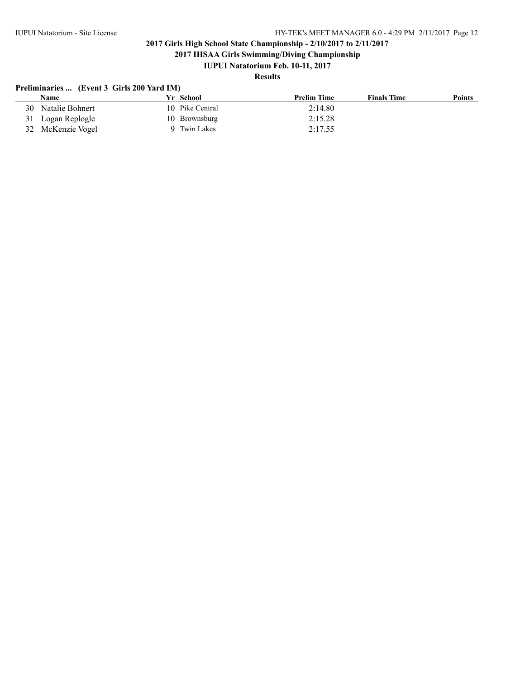**2017 IHSAA Girls Swimming/Diving Championship**

# **IUPUI Natatorium Feb. 10-11, 2017**

# **Results**

### **Preliminaries ... (Event 3 Girls 200 Yard IM)**

|    | Name              | Yr School       | <b>Prelim Time</b> | <b>Finals Time</b> | <b>Points</b> |
|----|-------------------|-----------------|--------------------|--------------------|---------------|
| 30 | Natalie Bohnert   | 10 Pike Central | 2:14.80            |                    |               |
|    | 31 Logan Replogle | 10 Brownsburg   | 2:15.28            |                    |               |
|    | 32 McKenzie Vogel | Twin Lakes      | 2:17.55            |                    |               |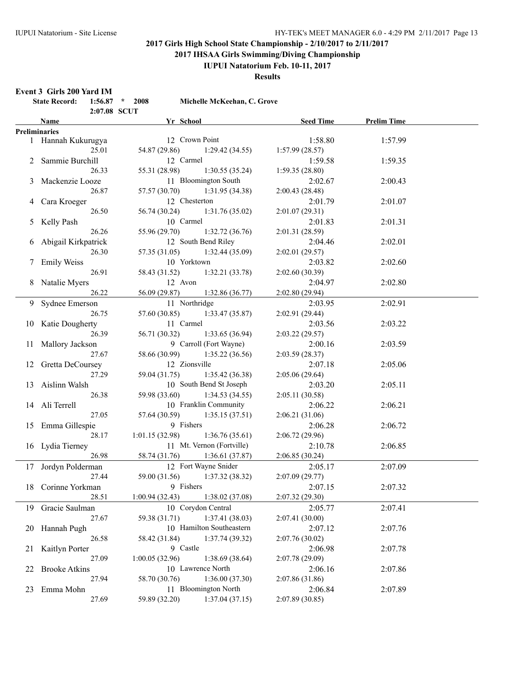**2017 IHSAA Girls Swimming/Diving Championship**

## **IUPUI Natatorium Feb. 10-11, 2017**

#### **Results**

**Event 3 Girls 200 Yard IM**

|     | <b>EVEILLY CHIS ZUU TALU LIVE</b><br><b>State Record:</b> | $1:56.87$ * 2008 | Michelle McKeehan, C. Grove   |                  |                    |  |
|-----|-----------------------------------------------------------|------------------|-------------------------------|------------------|--------------------|--|
|     | Name                                                      | 2:07.08 SCUT     | Yr School                     | <b>Seed Time</b> | <b>Prelim Time</b> |  |
|     | <b>Preliminaries</b>                                      |                  |                               |                  |                    |  |
|     | 1 Hannah Kukurugya                                        |                  | 12 Crown Point                | 1:58.80          | 1:57.99            |  |
|     | 25.01                                                     | 54.87 (29.86)    | 1:29.42(34.55)                | 1:57.99(28.57)   |                    |  |
|     | Sammie Burchill                                           |                  | 12 Carmel                     | 1:59.58          | 1:59.35            |  |
|     | 26.33                                                     | 55.31 (28.98)    | 1:30.55(35.24)                | 1:59.35(28.80)   |                    |  |
| 3   | Mackenzie Looze                                           |                  | 11 Bloomington South          | 2:02.67          | 2:00.43            |  |
|     | 26.87                                                     | 57.57 (30.70)    | 1:31.95(34.38)                | 2:00.43(28.48)   |                    |  |
| 4   | Cara Kroeger                                              |                  | 12 Chesterton                 | 2:01.79          | 2:01.07            |  |
|     | 26.50                                                     | 56.74 (30.24)    | 1:31.76(35.02)                | 2:01.07(29.31)   |                    |  |
| 5   | Kelly Pash                                                |                  | 10 Carmel                     | 2:01.83          | 2:01.31            |  |
|     | 26.26                                                     | 55.96 (29.70)    | 1:32.72(36.76)                | 2:01.31 (28.59)  |                    |  |
| 6   | Abigail Kirkpatrick                                       |                  | 12 South Bend Riley           | 2:04.46          | 2:02.01            |  |
|     | 26.30                                                     | 57.35 (31.05)    | 1:32.44(35.09)                | 2:02.01 (29.57)  |                    |  |
| 7   | <b>Emily Weiss</b>                                        |                  | 10 Yorktown                   | 2:03.82          | 2:02.60            |  |
|     | 26.91                                                     | 58.43 (31.52)    | 1:32.21(33.78)                | 2:02.60(30.39)   |                    |  |
| 8   | Natalie Myers                                             |                  | 12 Avon                       | 2:04.97          | 2:02.80            |  |
|     | 26.22                                                     | 56.09 (29.87)    | 1:32.86(36.77)                | 2:02.80 (29.94)  |                    |  |
| 9.  | Sydnee Emerson                                            |                  | 11 Northridge                 | 2:03.95          | 2:02.91            |  |
|     | 26.75                                                     | 57.60 (30.85)    | 1:33.47(35.87)                | 2:02.91 (29.44)  |                    |  |
| 10  | <b>Katie Dougherty</b>                                    |                  | 11 Carmel                     | 2:03.56          | 2:03.22            |  |
|     | 26.39                                                     | 56.71 (30.32)    | 1:33.65(36.94)                | 2:03.22(29.57)   |                    |  |
| 11  | Mallory Jackson                                           |                  | 9 Carroll (Fort Wayne)        | 2:00.16          | 2:03.59            |  |
|     | 27.67                                                     | 58.66 (30.99)    | 1:35.22(36.56)                | 2:03.59 (28.37)  |                    |  |
|     | 12 Gretta DeCoursey                                       |                  | 12 Zionsville                 | 2:07.18          | 2:05.06            |  |
|     | 27.29                                                     | 59.04 (31.75)    | 1:35.42(36.38)                | 2:05.06(29.64)   |                    |  |
| 13  | Aislinn Walsh                                             |                  | 10 South Bend St Joseph       | 2:03.20          | 2:05.11            |  |
|     | 26.38                                                     | 59.98 (33.60)    | 1:34.53(34.55)                | 2:05.11 (30.58)  |                    |  |
|     | 14 Ali Terrell                                            |                  | 10 Franklin Community         | 2:06.22          | 2:06.21            |  |
|     | 27.05                                                     | 57.64 (30.59)    | 1:35.15(37.51)                | 2:06.21(31.06)   |                    |  |
|     | 15 Emma Gillespie                                         |                  | 9 Fishers                     | 2:06.28          | 2:06.72            |  |
|     | 28.17                                                     | 1:01.15 (32.98)  | 1:36.76(35.61)                | 2:06.72(29.96)   |                    |  |
|     | 16 Lydia Tierney                                          |                  | 11 Mt. Vernon (Fortville)     | 2:10.78          | 2:06.85            |  |
|     | 26.98                                                     | 58.74 (31.76)    | 1:36.61(37.87)                | 2:06.85 (30.24)  |                    |  |
|     | 17 Jordyn Polderman                                       |                  | 12 Fort Wayne Snider          | 2:05.17          | 2:07.09            |  |
|     | 27.44                                                     |                  | 59.00 (31.56) 1:37.32 (38.32) | 2:07.09(29.77)   |                    |  |
|     | 18 Corinne Yorkman                                        |                  | 9 Fishers                     | 2:07.15          | 2:07.32            |  |
|     | 28.51                                                     | 1:00.94(32.43)   | 1:38.02(37.08)                | 2:07.32 (29.30)  |                    |  |
|     | 19 Gracie Saulman                                         |                  | 10 Corydon Central            | 2:05.77          | 2:07.41            |  |
|     | 27.67                                                     | 59.38 (31.71)    | 1:37.41(38.03)                | 2:07.41(30.00)   |                    |  |
| 20. | Hannah Pugh                                               |                  | 10 Hamilton Southeastern      | 2:07.12          | 2:07.76            |  |
|     | 26.58                                                     | 58.42 (31.84)    | 1:37.74(39.32)                | 2:07.76(30.02)   |                    |  |
| 21  | Kaitlyn Porter                                            |                  | 9 Castle                      | 2:06.98          | 2:07.78            |  |
|     | 27.09                                                     | 1:00.05(32.96)   | 1:38.69 (38.64)               | 2:07.78 (29.09)  |                    |  |
| 22  | <b>Brooke Atkins</b>                                      |                  | 10 Lawrence North             | 2:06.16          | 2:07.86            |  |
|     | 27.94                                                     | 58.70 (30.76)    | 1:36.00(37.30)                | 2:07.86 (31.86)  |                    |  |
| 23  | Emma Mohn                                                 |                  | 11 Bloomington North          | 2:06.84          | 2:07.89            |  |
|     | 27.69                                                     | 59.89 (32.20)    | 1:37.04(37.15)                | 2:07.89 (30.85)  |                    |  |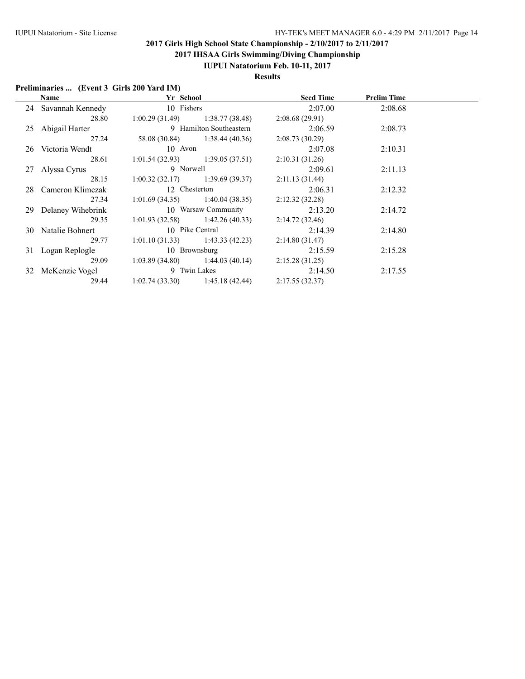**2017 IHSAA Girls Swimming/Diving Championship**

### **IUPUI Natatorium Feb. 10-11, 2017**

**Results**

### **Preliminaries ... (Event 3 Girls 200 Yard IM)**

| Name                 | Yr School      |                                   | <b>Seed Time</b> | <b>Prelim Time</b> |  |
|----------------------|----------------|-----------------------------------|------------------|--------------------|--|
| 24 Savannah Kennedy  | 10 Fishers     |                                   | 2:07.00          | 2:08.68            |  |
| 28.80                | 1:00.29(31.49) | 1:38.77 (38.48)                   | 2:08.68(29.91)   |                    |  |
| 25 Abigail Harter    |                | 9 Hamilton Southeastern           | 2:06.59          | 2:08.73            |  |
| 27.24                |                | 58.08 (30.84) 1:38.44 (40.36)     | 2:08.73(30.29)   |                    |  |
| 26 Victoria Wendt    | 10 Avon        |                                   | 2:07.08          | 2:10.31            |  |
| 28.61                |                | $1:01.54(32.93)$ $1:39.05(37.51)$ | 2:10.31(31.26)   |                    |  |
| 27 Alyssa Cyrus      | 9 Norwell      |                                   | 2:09.61          | 2:11.13            |  |
| 28.15                |                | $1:00.32(32.17)$ $1:39.69(39.37)$ | 2:11.13(31.44)   |                    |  |
| 28 Cameron Klimczak  | 12 Chesterton  |                                   | 2:06.31          | 2:12.32            |  |
| 27.34                |                | $1:01.69(34.35)$ $1:40.04(38.35)$ | 2:12.32(32.28)   |                    |  |
| 29 Delaney Wihebrink |                | 10 Warsaw Community               | 2:13.20          | 2:14.72            |  |
| 29.35                |                | $1:01.93(32.58)$ $1:42.26(40.33)$ | 2:14.72(32.46)   |                    |  |
| 30 Natalie Bohnert   |                | 10 Pike Central                   | 2:14.39          | 2:14.80            |  |
| 29.77                | 1:01.10(31.33) | 1:43.33(42.23)                    | 2:14.80(31.47)   |                    |  |
| 31 Logan Replogle    |                | 10 Brownsburg                     | 2:15.59          | 2:15.28            |  |
| 29.09                |                | $1:03.89(34.80)$ $1:44.03(40.14)$ | 2:15.28(31.25)   |                    |  |
| 32 McKenzie Vogel    |                | 9 Twin Lakes                      | 2:14.50          | 2:17.55            |  |
| 29.44                | 1:02.74(33.30) | 1:45.18(42.44)                    | 2:17.55(32.37)   |                    |  |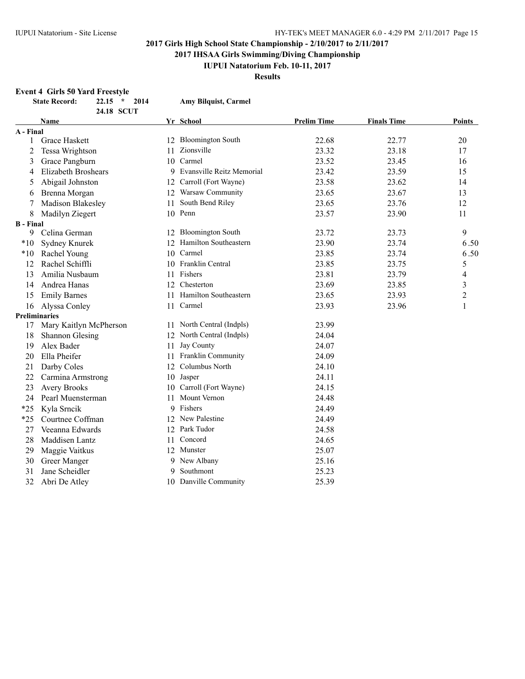**2017 IHSAA Girls Swimming/Diving Championship**

**IUPUI Natatorium Feb. 10-11, 2017**

**Results**

### **Event 4 Girls 50 Yard Freestyle**

|                  | <b>State Record:</b><br>$22.15$ *<br>2014 |    | Amy Bilquist, Carmel        |                    |                    |                |
|------------------|-------------------------------------------|----|-----------------------------|--------------------|--------------------|----------------|
|                  | 24.18 SCUT                                |    |                             |                    |                    |                |
|                  | Name                                      |    | Yr School                   | <b>Prelim Time</b> | <b>Finals Time</b> | Points         |
| A - Final        |                                           |    |                             |                    |                    |                |
| 1                | Grace Haskett                             |    | 12 Bloomington South        | 22.68              | 22.77              | 20             |
| 2                | Tessa Wrightson                           | 11 | Zionsville                  | 23.32              | 23.18              | 17             |
| 3                | Grace Pangburn                            | 10 | Carmel                      | 23.52              | 23.45              | 16             |
| 4                | Elizabeth Broshears                       |    | 9 Evansville Reitz Memorial | 23.42              | 23.59              | 15             |
| 5                | Abigail Johnston                          | 12 | Carroll (Fort Wayne)        | 23.58              | 23.62              | 14             |
| 6                | Brenna Morgan                             |    | 12 Warsaw Community         | 23.65              | 23.67              | 13             |
|                  | Madison Blakesley                         | 11 | South Bend Riley            | 23.65              | 23.76              | 12             |
| 8                | Madilyn Ziegert                           |    | 10 Penn                     | 23.57              | 23.90              | 11             |
| <b>B</b> - Final |                                           |    |                             |                    |                    |                |
| 9                | Celina German                             |    | 12 Bloomington South        | 23.72              | 23.73              | 9              |
| $*10$            | <b>Sydney Knurek</b>                      |    | 12 Hamilton Southeastern    | 23.90              | 23.74              | 6.50           |
| $*10$            | Rachel Young                              |    | 10 Carmel                   | 23.85              | 23.74              | 6.50           |
| 12               | Rachel Schiffli                           |    | 10 Franklin Central         | 23.85              | 23.75              | 5              |
| 13               | Amilia Nusbaum                            |    | 11 Fishers                  | 23.81              | 23.79              | 4              |
| 14               | Andrea Hanas                              |    | 12 Chesterton               | 23.69              | 23.85              | 3              |
| 15               | <b>Emily Barnes</b>                       |    | 11 Hamilton Southeastern    | 23.65              | 23.93              | $\overline{c}$ |
| 16               | Alyssa Conley                             |    | 11 Carmel                   | 23.93              | 23.96              | $\mathbf{1}$   |
|                  | <b>Preliminaries</b>                      |    |                             |                    |                    |                |
| 17               | Mary Kaitlyn McPherson                    |    | 11 North Central (Indpls)   | 23.99              |                    |                |
| 18               | <b>Shannon Glesing</b>                    |    | 12 North Central (Indpls)   | 24.04              |                    |                |
| 19               | Alex Bader                                | 11 | Jay County                  | 24.07              |                    |                |
| 20               | Ella Pheifer                              |    | 11 Franklin Community       | 24.09              |                    |                |
| 21               | Darby Coles                               |    | 12 Columbus North           | 24.10              |                    |                |
| 22               | Carmina Armstrong                         |    | 10 Jasper                   | 24.11              |                    |                |
| 23               | <b>Avery Brooks</b>                       | 10 | Carroll (Fort Wayne)        | 24.15              |                    |                |
| 24               | Pearl Muensterman                         | 11 | <b>Mount Vernon</b>         | 24.48              |                    |                |
| $*25$            | Kyla Srncik                               |    | 9 Fishers                   | 24.49              |                    |                |
| $*25$            | Courtnee Coffman                          |    | 12 New Palestine            | 24.49              |                    |                |
| 27               | Veeanna Edwards                           |    | 12 Park Tudor               | 24.58              |                    |                |
| 28               | Maddisen Lantz                            | 11 | Concord                     | 24.65              |                    |                |
| 29               | Maggie Vaitkus                            |    | 12 Munster                  | 25.07              |                    |                |
| 30               | Greer Manger                              |    | 9 New Albany                | 25.16              |                    |                |
| 31               | Jane Scheidler                            | 9  | Southmont                   | 25.23              |                    |                |
| 32               | Abri De Atley                             |    | 10 Danville Community       | 25.39              |                    |                |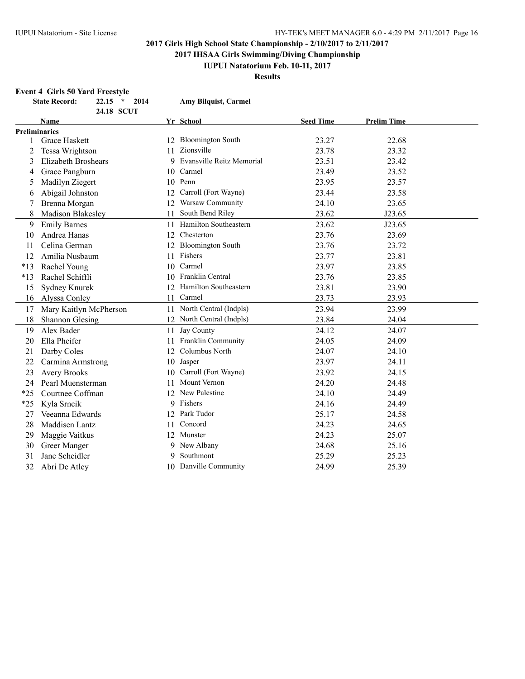**2017 IHSAA Girls Swimming/Diving Championship**

### **IUPUI Natatorium Feb. 10-11, 2017**

**Results**

### **Event 4 Girls 50 Yard Freestyle**

|              | <b>State Record:</b>       | $22.15$ *<br>2014<br>24.18 SCUT |    | <b>Amy Bilquist, Carmel</b> |                  |                    |  |
|--------------|----------------------------|---------------------------------|----|-----------------------------|------------------|--------------------|--|
|              | Name                       |                                 |    | Yr School                   | <b>Seed Time</b> | <b>Prelim Time</b> |  |
|              | <b>Preliminaries</b>       |                                 |    |                             |                  |                    |  |
| $\mathbf{1}$ | Grace Haskett              |                                 |    | 12 Bloomington South        | 23.27            | 22.68              |  |
| 2            | Tessa Wrightson            |                                 | 11 | Zionsville                  | 23.78            | 23.32              |  |
| 3            | <b>Elizabeth Broshears</b> |                                 |    | 9 Evansville Reitz Memorial | 23.51            | 23.42              |  |
| 4            | Grace Pangburn             |                                 |    | 10 Carmel                   | 23.49            | 23.52              |  |
| 5            | Madilyn Ziegert            |                                 |    | 10 Penn                     | 23.95            | 23.57              |  |
| 6            | Abigail Johnston           |                                 | 12 | Carroll (Fort Wayne)        | 23.44            | 23.58              |  |
|              | Brenna Morgan              |                                 | 12 | Warsaw Community            | 24.10            | 23.65              |  |
| 8            | Madison Blakesley          |                                 | 11 | South Bend Riley            | 23.62            | J23.65             |  |
| 9            | <b>Emily Barnes</b>        |                                 | 11 | Hamilton Southeastern       | 23.62            | J23.65             |  |
| 10           | Andrea Hanas               |                                 | 12 | Chesterton                  | 23.76            | 23.69              |  |
| 11           | Celina German              |                                 | 12 | <b>Bloomington South</b>    | 23.76            | 23.72              |  |
| 12           | Amilia Nusbaum             |                                 | 11 | Fishers                     | 23.77            | 23.81              |  |
| $*13$        | Rachel Young               |                                 |    | 10 Carmel                   | 23.97            | 23.85              |  |
| $*13$        | Rachel Schiffli            |                                 |    | 10 Franklin Central         | 23.76            | 23.85              |  |
| 15           | Sydney Knurek              |                                 |    | 12 Hamilton Southeastern    | 23.81            | 23.90              |  |
| 16           | Alyssa Conley              |                                 | 11 | Carmel                      | 23.73            | 23.93              |  |
| 17           | Mary Kaitlyn McPherson     |                                 |    | 11 North Central (Indpls)   | 23.94            | 23.99              |  |
| 18           | <b>Shannon Glesing</b>     |                                 |    | 12 North Central (Indpls)   | 23.84            | 24.04              |  |
| 19           | Alex Bader                 |                                 | 11 | Jay County                  | 24.12            | 24.07              |  |
| 20           | Ella Pheifer               |                                 | 11 | Franklin Community          | 24.05            | 24.09              |  |
| 21           | Darby Coles                |                                 | 12 | Columbus North              | 24.07            | 24.10              |  |
| 22           | Carmina Armstrong          |                                 | 10 | Jasper                      | 23.97            | 24.11              |  |
| 23           | <b>Avery Brooks</b>        |                                 | 10 | Carroll (Fort Wayne)        | 23.92            | 24.15              |  |
| 24           | Pearl Muensterman          |                                 | 11 | <b>Mount Vernon</b>         | 24.20            | 24.48              |  |
| $*25$        | Courtnee Coffman           |                                 | 12 | New Palestine               | 24.10            | 24.49              |  |
| $*25$        | Kyla Srncik                |                                 |    | 9 Fishers                   | 24.16            | 24.49              |  |
| 27           | Veeanna Edwards            |                                 |    | 12 Park Tudor               | 25.17            | 24.58              |  |
| 28           | Maddisen Lantz             |                                 | 11 | Concord                     | 24.23            | 24.65              |  |
| 29           | Maggie Vaitkus             |                                 |    | 12 Munster                  | 24.23            | 25.07              |  |
| 30           | Greer Manger               |                                 |    | 9 New Albany                | 24.68            | 25.16              |  |
| 31           | Jane Scheidler             |                                 | 9  | Southmont                   | 25.29            | 25.23              |  |
| 32           | Abri De Atley              |                                 |    | 10 Danville Community       | 24.99            | 25.39              |  |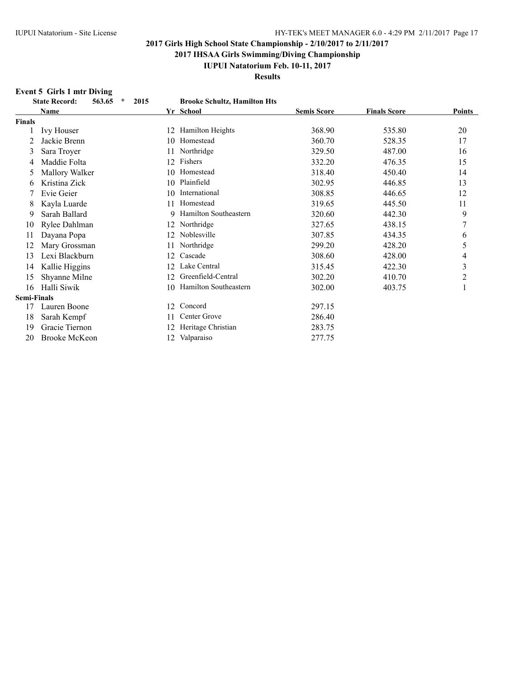**2017 IHSAA Girls Swimming/Diving Championship**

### **IUPUI Natatorium Feb. 10-11, 2017**

**Results**

### **Event 5 Girls 1 mtr Diving**

|                    | <b>State Record:</b><br>$\star$<br>563.65<br>2015 |     | <b>Brooke Schultz, Hamilton Hts</b> |                    |                     |               |
|--------------------|---------------------------------------------------|-----|-------------------------------------|--------------------|---------------------|---------------|
|                    | Name                                              |     | Yr School                           | <b>Semis Score</b> | <b>Finals Score</b> | <b>Points</b> |
| <b>Finals</b>      |                                                   |     |                                     |                    |                     |               |
|                    | <b>Ivy Houser</b>                                 | 12  | <b>Hamilton Heights</b>             | 368.90             | 535.80              | 20            |
| 2                  | Jackie Brenn                                      | 10  | Homestead                           | 360.70             | 528.35              | 17            |
| 3                  | Sara Troyer                                       |     | Northridge                          | 329.50             | 487.00              | 16            |
| 4                  | Maddie Folta                                      | 12  | Fishers                             | 332.20             | 476.35              | 15            |
| 5                  | Mallory Walker                                    | 10  | Homestead                           | 318.40             | 450.40              | 14            |
| 6                  | Kristina Zick                                     | 10  | Plainfield                          | 302.95             | 446.85              | 13            |
|                    | Evie Geier                                        | 10  | International                       | 308.85             | 446.65              | 12            |
| 8                  | Kayla Luarde                                      | 11  | Homestead                           | 319.65             | 445.50              | 11            |
| 9                  | Sarah Ballard                                     | 9.  | Hamilton Southeastern               | 320.60             | 442.30              | 9             |
| 10                 | Rylee Dahlman                                     | 12. | Northridge                          | 327.65             | 438.15              | 7             |
| 11                 | Dayana Popa                                       | 12  | Noblesville                         | 307.85             | 434.35              | 6             |
| 12                 | Mary Grossman                                     |     | Northridge                          | 299.20             | 428.20              | 5             |
| 13                 | Lexi Blackburn                                    | 12  | Cascade                             | 308.60             | 428.00              | 4             |
| 14                 | Kallie Higgins                                    | 12  | Lake Central                        | 315.45             | 422.30              | 3             |
| 15                 | Shyanne Milne                                     | 12  | Greenfield-Central                  | 302.20             | 410.70              | 2             |
| 16                 | Halli Siwik                                       | 10  | Hamilton Southeastern               | 302.00             | 403.75              | 1             |
| <b>Semi-Finals</b> |                                                   |     |                                     |                    |                     |               |
| 17                 | Lauren Boone                                      | 12. | Concord                             | 297.15             |                     |               |
| 18                 | Sarah Kempf                                       |     | Center Grove                        | 286.40             |                     |               |
| 19                 | Gracie Tiernon                                    | 12  | Heritage Christian                  | 283.75             |                     |               |
| 20                 | <b>Brooke McKeon</b>                              | 12  | Valparaiso                          | 277.75             |                     |               |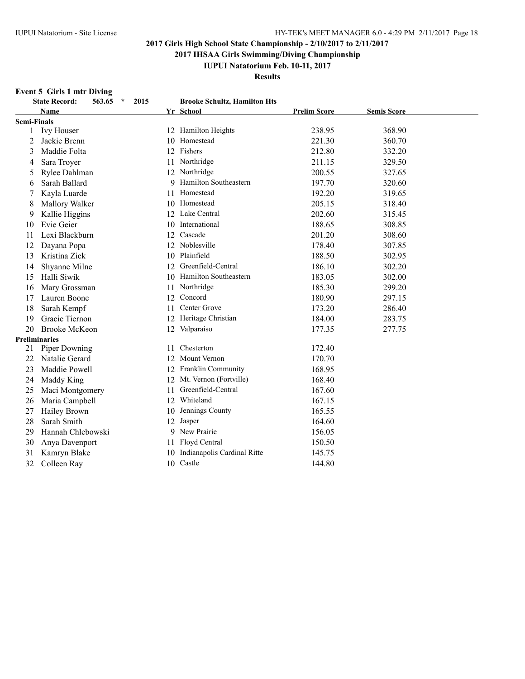**2017 IHSAA Girls Swimming/Diving Championship**

**IUPUI Natatorium Feb. 10-11, 2017**

**Results**

### **Event 5 Girls 1 mtr Diving**

|                    | <b>State Record:</b><br>563.65<br>$\star$<br>2015 |     | <b>Brooke Schultz, Hamilton Hts</b> |                     |                    |
|--------------------|---------------------------------------------------|-----|-------------------------------------|---------------------|--------------------|
|                    | <b>Name</b>                                       |     | Yr School                           | <b>Prelim Score</b> | <b>Semis Score</b> |
| <b>Semi-Finals</b> |                                                   |     |                                     |                     |                    |
| 1                  | <b>Ivy Houser</b>                                 |     | 12 Hamilton Heights                 | 238.95              | 368.90             |
| 2                  | Jackie Brenn                                      | 10  | Homestead                           | 221.30              | 360.70             |
| 3                  | Maddie Folta                                      | 12  | Fishers                             | 212.80              | 332.20             |
| 4                  | Sara Troyer                                       | 11  | Northridge                          | 211.15              | 329.50             |
| 5                  | Rylee Dahlman                                     |     | 12 Northridge                       | 200.55              | 327.65             |
| 6                  | Sarah Ballard                                     |     | Hamilton Southeastern               | 197.70              | 320.60             |
|                    | Kayla Luarde                                      | 11  | Homestead                           | 192.20              | 319.65             |
| 8                  | Mallory Walker                                    | 10  | Homestead                           | 205.15              | 318.40             |
| 9                  | Kallie Higgins                                    |     | 12 Lake Central                     | 202.60              | 315.45             |
| 10                 | Evie Geier                                        | 10. | International                       | 188.65              | 308.85             |
| 11                 | Lexi Blackburn                                    | 12  | Cascade                             | 201.20              | 308.60             |
| 12                 | Dayana Popa                                       | 12  | Noblesville                         | 178.40              | 307.85             |
| 13                 | Kristina Zick                                     | 10  | Plainfield                          | 188.50              | 302.95             |
| 14                 | Shyanne Milne                                     | 12  | Greenfield-Central                  | 186.10              | 302.20             |
| 15                 | Halli Siwik                                       | 10  | Hamilton Southeastern               | 183.05              | 302.00             |
| 16                 | Mary Grossman                                     | 11  | Northridge                          | 185.30              | 299.20             |
| 17                 | Lauren Boone                                      | 12  | Concord                             | 180.90              | 297.15             |
| 18                 | Sarah Kempf                                       | 11  | Center Grove                        | 173.20              | 286.40             |
| 19                 | Gracie Tiernon                                    | 12  | Heritage Christian                  | 184.00              | 283.75             |
| 20                 | <b>Brooke McKeon</b>                              |     | 12 Valparaiso                       | 177.35              | 277.75             |
|                    | <b>Preliminaries</b>                              |     |                                     |                     |                    |
| 21                 | Piper Downing                                     | 11  | Chesterton                          | 172.40              |                    |
| 22                 | Natalie Gerard                                    | 12  | <b>Mount Vernon</b>                 | 170.70              |                    |
| 23                 | Maddie Powell                                     | 12  | Franklin Community                  | 168.95              |                    |
| 24                 | Maddy King                                        | 12  | Mt. Vernon (Fortville)              | 168.40              |                    |
| 25                 | Maci Montgomery                                   | 11  | Greenfield-Central                  | 167.60              |                    |
| 26                 | Maria Campbell                                    | 12  | Whiteland                           | 167.15              |                    |
| 27                 | <b>Hailey Brown</b>                               | 10  | Jennings County                     | 165.55              |                    |
| 28                 | Sarah Smith                                       | 12  | Jasper                              | 164.60              |                    |
| 29                 | Hannah Chlebowski                                 |     | 9 New Prairie                       | 156.05              |                    |
| 30                 | Anya Davenport                                    | 11  | Floyd Central                       | 150.50              |                    |
| 31                 | Kamryn Blake                                      | 10  | Indianapolis Cardinal Ritte         | 145.75              |                    |
| 32                 | Colleen Ray                                       |     | 10 Castle                           | 144.80              |                    |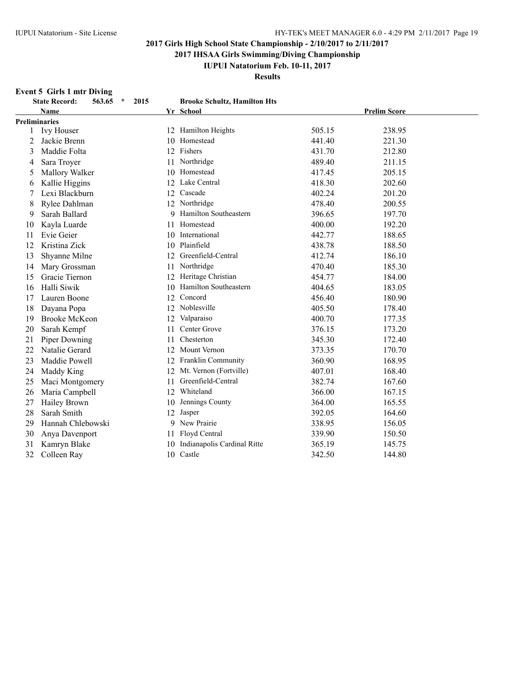**2017 IHSAA Girls Swimming/Diving Championship**

### **IUPUI Natatorium Feb. 10-11, 2017**

**Results**

### **Event 5 Girls 1 mtr Diving**

|    | <b>State Record:</b><br>2015<br>563.65<br>$\star$ |    | <b>Brooke Schultz, Hamilton Hts</b> |        |                     |
|----|---------------------------------------------------|----|-------------------------------------|--------|---------------------|
|    | <b>Name</b>                                       |    | Yr School                           |        | <b>Prelim Score</b> |
|    | <b>Preliminaries</b>                              |    |                                     |        |                     |
| 1  | <b>Ivy Houser</b>                                 |    | 12 Hamilton Heights                 | 505.15 | 238.95              |
| 2  | Jackie Brenn                                      | 10 | Homestead                           | 441.40 | 221.30              |
| 3  | Maddie Folta                                      | 12 | Fishers                             | 431.70 | 212.80              |
| 4  | Sara Troyer                                       | 11 | Northridge                          | 489.40 | 211.15              |
| 5  | Mallory Walker                                    | 10 | Homestead                           | 417.45 | 205.15              |
| 6  | Kallie Higgins                                    | 12 | Lake Central                        | 418.30 | 202.60              |
| 7  | Lexi Blackburn                                    | 12 | Cascade                             | 402.24 | 201.20              |
| 8  | Rylee Dahlman                                     | 12 | Northridge                          | 478.40 | 200.55              |
| 9  | Sarah Ballard                                     | 9  | Hamilton Southeastern               | 396.65 | 197.70              |
| 10 | Kayla Luarde                                      | 11 | Homestead                           | 400.00 | 192.20              |
| 11 | Evie Geier                                        | 10 | International                       | 442.77 | 188.65              |
| 12 | Kristina Zick                                     | 10 | Plainfield                          | 438.78 | 188.50              |
| 13 | Shyanne Milne                                     | 12 | Greenfield-Central                  | 412.74 | 186.10              |
| 14 | Mary Grossman                                     | 11 | Northridge                          | 470.40 | 185.30              |
| 15 | Gracie Tiernon                                    | 12 | Heritage Christian                  | 454.77 | 184.00              |
| 16 | Halli Siwik                                       | 10 | Hamilton Southeastern               | 404.65 | 183.05              |
| 17 | Lauren Boone                                      | 12 | Concord                             | 456.40 | 180.90              |
| 18 | Dayana Popa                                       | 12 | Noblesville                         | 405.50 | 178.40              |
| 19 | Brooke McKeon                                     | 12 | Valparaiso                          | 400.70 | 177.35              |
| 20 | Sarah Kempf                                       | 11 | Center Grove                        | 376.15 | 173.20              |
| 21 | Piper Downing                                     | 11 | Chesterton                          | 345.30 | 172.40              |
| 22 | Natalie Gerard                                    | 12 | <b>Mount Vernon</b>                 | 373.35 | 170.70              |
| 23 | Maddie Powell                                     | 12 | Franklin Community                  | 360.90 | 168.95              |
| 24 | Maddy King                                        | 12 | Mt. Vernon (Fortville)              | 407.01 | 168.40              |
| 25 | Maci Montgomery                                   | 11 | Greenfield-Central                  | 382.74 | 167.60              |
| 26 | Maria Campbell                                    | 12 | Whiteland                           | 366.00 | 167.15              |
| 27 | Hailey Brown                                      | 10 | Jennings County                     | 364.00 | 165.55              |
| 28 | Sarah Smith                                       | 12 | Jasper                              | 392.05 | 164.60              |
| 29 | Hannah Chlebowski                                 | 9  | New Prairie                         | 338.95 | 156.05              |
| 30 | Anya Davenport                                    | 11 | Floyd Central                       | 339.90 | 150.50              |
| 31 | Kamryn Blake                                      | 10 | Indianapolis Cardinal Ritte         | 365.19 | 145.75              |
| 32 | Colleen Ray                                       | 10 | Castle                              | 342.50 | 144.80              |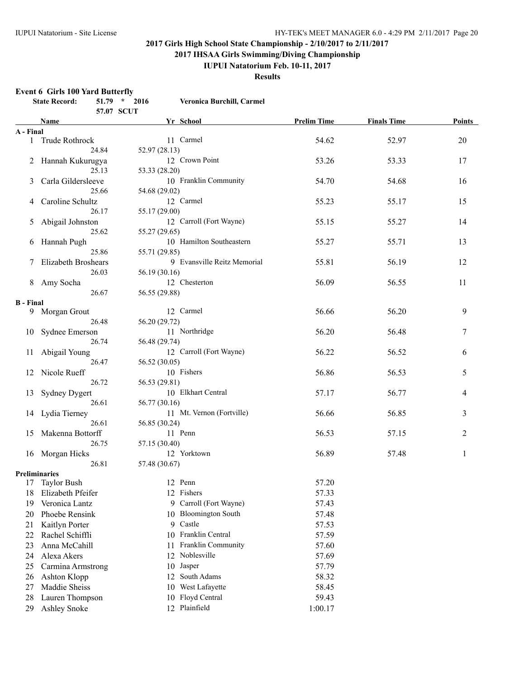**2017 IHSAA Girls Swimming/Diving Championship**

#### **IUPUI Natatorium Feb. 10-11, 2017**

**Results**

#### **Event 6 Girls 100 Yard Butterfly**

|                  | <b>State Record:</b>       |       | $51.79 * 2016$<br>57.07 SCUT | Veronica Burchill, Carmel      |                    |                    |        |
|------------------|----------------------------|-------|------------------------------|--------------------------------|--------------------|--------------------|--------|
|                  | Name                       |       |                              | Yr School                      | <b>Prelim Time</b> | <b>Finals Time</b> | Points |
| A - Final        |                            |       |                              |                                |                    |                    |        |
|                  | 1 Trude Rothrock           |       |                              | 11 Carmel                      | 54.62              | 52.97              | 20     |
|                  |                            | 24.84 | 52.97(28.13)                 |                                |                    |                    |        |
|                  | 2 Hannah Kukurugya         |       |                              | 12 Crown Point                 | 53.26              | 53.33              | 17     |
|                  |                            | 25.13 | 53.33 (28.20)                |                                |                    |                    |        |
| 3                | Carla Gildersleeve         |       |                              | 10 Franklin Community          | 54.70              | 54.68              | 16     |
|                  |                            | 25.66 | 54.68 (29.02)                |                                |                    |                    |        |
| 4                | Caroline Schultz           |       |                              | 12 Carmel                      | 55.23              | 55.17              | 15     |
|                  |                            | 26.17 | 55.17 (29.00)                |                                |                    |                    |        |
| 5                | Abigail Johnston           |       |                              | 12 Carroll (Fort Wayne)        | 55.15              | 55.27              | 14     |
|                  |                            | 25.62 | 55.27 (29.65)                |                                |                    |                    |        |
|                  | 6 Hannah Pugh              |       |                              | 10 Hamilton Southeastern       | 55.27              | 55.71              | 13     |
|                  |                            | 25.86 | 55.71 (29.85)                |                                |                    |                    |        |
| 7                | <b>Elizabeth Broshears</b> |       |                              | 9 Evansville Reitz Memorial    | 55.81              | 56.19              | 12     |
|                  |                            | 26.03 | 56.19 (30.16)                |                                |                    |                    |        |
| 8                | Amy Socha                  |       |                              | 12 Chesterton                  | 56.09              | 56.55              | 11     |
|                  |                            | 26.67 | 56.55 (29.88)                |                                |                    |                    |        |
| <b>B</b> - Final |                            |       |                              |                                |                    |                    |        |
|                  | 9 Morgan Grout             |       |                              | 12 Carmel                      | 56.66              | 56.20              | 9      |
|                  |                            | 26.48 | 56.20 (29.72)                |                                |                    |                    |        |
|                  | 10 Sydnee Emerson          |       |                              | 11 Northridge                  | 56.20              | 56.48              | 7      |
|                  |                            | 26.74 | 56.48 (29.74)                |                                |                    |                    |        |
| 11               | Abigail Young              |       |                              | 12 Carroll (Fort Wayne)        | 56.22              | 56.52              | 6      |
|                  |                            | 26.47 | 56.52 (30.05)                |                                |                    |                    |        |
| 12               | Nicole Rueff               |       |                              | 10 Fishers                     | 56.86              | 56.53              | 5      |
|                  |                            | 26.72 | 56.53 (29.81)                |                                |                    |                    |        |
| 13               | <b>Sydney Dygert</b>       |       |                              | 10 Elkhart Central             | 57.17              | 56.77              | 4      |
|                  |                            | 26.61 | 56.77 (30.16)                |                                |                    |                    |        |
|                  | 14 Lydia Tierney           |       |                              | 11 Mt. Vernon (Fortville)      | 56.66              | 56.85              | 3      |
|                  |                            | 26.61 | 56.85 (30.24)                |                                |                    |                    |        |
|                  | 15 Makenna Bottorff        |       |                              | 11 Penn                        | 56.53              | 57.15              | 2      |
|                  |                            | 26.75 | 57.15 (30.40)                |                                |                    |                    |        |
|                  | 16 Morgan Hicks            |       |                              | 12 Yorktown                    | 56.89              | 57.48              | 1      |
|                  |                            | 26.81 | 57.48 (30.67)                |                                |                    |                    |        |
|                  | <b>Preliminaries</b>       |       |                              |                                |                    |                    |        |
|                  | 17 Taylor Bush             |       |                              | 12 Penn                        | 57.20              |                    |        |
| 18               | Elizabeth Pfeifer          |       |                              | 12 Fishers                     | 57.33              |                    |        |
| 19               | Veronica Lantz             |       |                              | 9 Carroll (Fort Wayne)         | 57.43              |                    |        |
| 20               | Phoebe Rensink             |       |                              | <b>Bloomington South</b><br>10 | 57.48              |                    |        |
| 21               | Kaitlyn Porter             |       |                              | Castle<br>9                    | 57.53              |                    |        |
| 22               | Rachel Schiffli            |       |                              | Franklin Central<br>10         | 57.59              |                    |        |
| 23               | Anna McCahill              |       | 11                           | Franklin Community             | 57.60              |                    |        |
| 24               | Alexa Akers                |       |                              | Noblesville<br>12              | 57.69              |                    |        |
| 25               | Carmina Armstrong          |       | 10                           | Jasper                         | 57.79              |                    |        |
| 26               | Ashton Klopp               |       | 12                           | South Adams                    | 58.32              |                    |        |
| 27               | Maddie Sheiss              |       |                              | West Lafayette<br>10           | 58.45              |                    |        |
| 28               | Lauren Thompson            |       |                              | 10 Floyd Central               | 59.43              |                    |        |
| 29               | Ashley Snoke               |       |                              | 12 Plainfield                  | 1:00.17            |                    |        |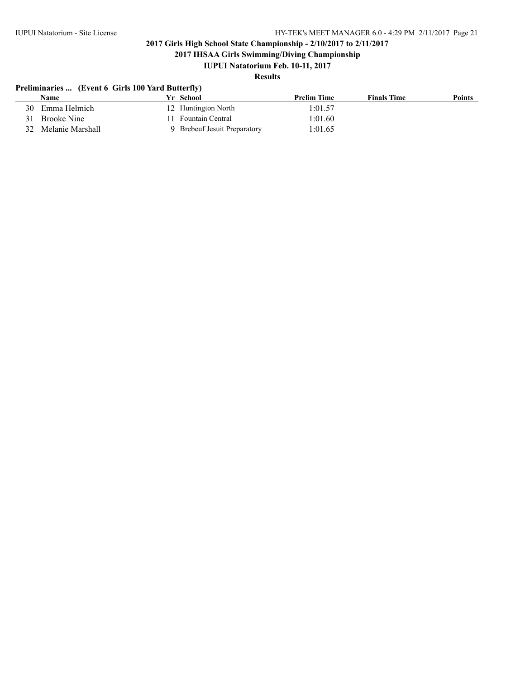**2017 IHSAA Girls Swimming/Diving Championship**

### **IUPUI Natatorium Feb. 10-11, 2017**

### **Results**

### **Preliminaries ... (Event 6 Girls 100 Yard Butterfly)**

| Name                | Yr School                    | <b>Prelim Time</b> | <b>Finals Time</b> | <b>Points</b> |
|---------------------|------------------------------|--------------------|--------------------|---------------|
| 30 Emma Helmich     | 12 Huntington North          | 1:01.57            |                    |               |
| Brooke Nine<br>31   | Fountain Central             | 1:01.60            |                    |               |
| 32 Melanie Marshall | 9 Brebeuf Jesuit Preparatory | 1:01.65            |                    |               |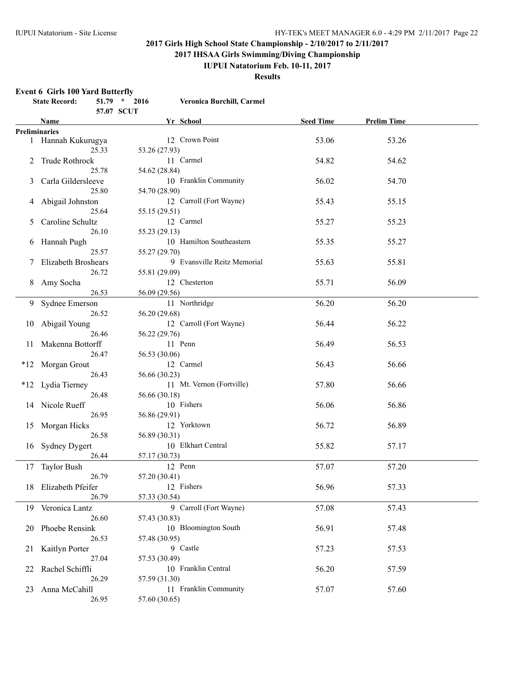**2017 IHSAA Girls Swimming/Diving Championship**

### **IUPUI Natatorium Feb. 10-11, 2017**

**Results**

#### **Event 6 Girls 100 Yard Butterfly**

|    | <b>State Record:</b>  |       | $51.79$ * 2016<br>57.07 SCUT | Veronica Burchill, Carmel   |                  |                    |  |
|----|-----------------------|-------|------------------------------|-----------------------------|------------------|--------------------|--|
|    | Name                  |       |                              | Yr School                   | <b>Seed Time</b> | <b>Prelim Time</b> |  |
|    | <b>Preliminaries</b>  |       |                              |                             |                  |                    |  |
|    | 1 Hannah Kukurugya    | 25.33 | 53.26 (27.93)                | 12 Crown Point              | 53.06            | 53.26              |  |
|    | 2 Trude Rothrock      |       |                              | 11 Carmel                   | 54.82            | 54.62              |  |
| 3  | Carla Gildersleeve    | 25.78 | 54.62 (28.84)                | 10 Franklin Community       | 56.02            | 54.70              |  |
|    | 4 Abigail Johnston    | 25.80 | 54.70 (28.90)                | 12 Carroll (Fort Wayne)     | 55.43            | 55.15              |  |
| 5  | Caroline Schultz      | 25.64 | 55.15 (29.51)                | 12 Carmel                   | 55.27            | 55.23              |  |
| 6  | Hannah Pugh           | 26.10 | 55.23 (29.13)                | 10 Hamilton Southeastern    | 55.35            | 55.27              |  |
|    | 7 Elizabeth Broshears | 25.57 | 55.27 (29.70)                | 9 Evansville Reitz Memorial | 55.63            | 55.81              |  |
|    |                       | 26.72 | 55.81 (29.09)                |                             |                  |                    |  |
|    | 8 Amy Socha           | 26.53 | 56.09 (29.56)                | 12 Chesterton               | 55.71            | 56.09              |  |
|    | 9 Sydnee Emerson      | 26.52 | 56.20 (29.68)                | 11 Northridge               | 56.20            | 56.20              |  |
| 10 | Abigail Young         | 26.46 | 56.22 (29.76)                | 12 Carroll (Fort Wayne)     | 56.44            | 56.22              |  |
|    | 11 Makenna Bottorff   | 26.47 |                              | 11 Penn                     | 56.49            | 56.53              |  |
|    | *12 Morgan Grout      |       | 56.53 (30.06)                | 12 Carmel                   | 56.43            | 56.66              |  |
|    | *12 Lydia Tierney     | 26.43 | 56.66 (30.23)                | 11 Mt. Vernon (Fortville)   | 57.80            | 56.66              |  |
|    | 14 Nicole Rueff       | 26.48 | 56.66 (30.18)                | 10 Fishers                  | 56.06            | 56.86              |  |
|    | 15 Morgan Hicks       | 26.95 | 56.86 (29.91)                | 12 Yorktown                 | 56.72            | 56.89              |  |
| 16 | <b>Sydney Dygert</b>  | 26.58 | 56.89 (30.31)                | 10 Elkhart Central          | 55.82            | 57.17              |  |
|    | 17 Taylor Bush        | 26.44 | 57.17 (30.73)                | 12 Penn                     | 57.07            | 57.20              |  |
|    | 18 Elizabeth Pfeifer  | 26.79 | 57.20 (30.41)                | 12 Fishers                  | 56.96            | 57.33              |  |
|    |                       | 26.79 | 57.33 (30.54)                |                             |                  |                    |  |
|    | 19 Veronica Lantz     | 26.60 | 57.43 (30.83)                | 9 Carroll (Fort Wayne)      | 57.08            | 57.43              |  |
| 20 | Phoebe Rensink        | 26.53 | 57.48 (30.95)                | 10 Bloomington South        | 56.91            | 57.48              |  |
| 21 | Kaitlyn Porter        | 27.04 | 57.53 (30.49)                | 9 Castle                    | 57.23            | 57.53              |  |
| 22 | Rachel Schiffli       | 26.29 | 57.59 (31.30)                | 10 Franklin Central         | 56.20            | 57.59              |  |
| 23 | Anna McCahill         | 26.95 | 57.60 (30.65)                | 11 Franklin Community       | 57.07            | 57.60              |  |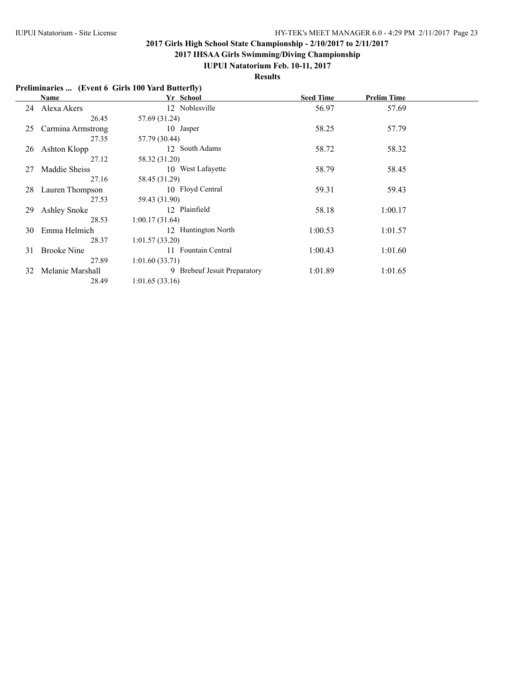**2017 IHSAA Girls Swimming/Diving Championship**

### **IUPUI Natatorium Feb. 10-11, 2017**

**Results**

| Preliminaries  (Event 6 Girls 100 Yard Butterfly) |  |  |
|---------------------------------------------------|--|--|
|                                                   |  |  |

|    | Name                | Yr School                    | <b>Seed Time</b> | <b>Prelim Time</b> |  |
|----|---------------------|------------------------------|------------------|--------------------|--|
| 24 | Alexa Akers         | 12 Noblesville               | 56.97            | 57.69              |  |
|    | 26.45               | 57.69 (31.24)                |                  |                    |  |
| 25 | Carmina Armstrong   | 10 Jasper                    | 58.25            | 57.79              |  |
|    | 27.35               | 57.79 (30.44)                |                  |                    |  |
| 26 | Ashton Klopp        | 12 South Adams               | 58.72            | 58.32              |  |
|    | 27.12               | 58.32 (31.20)                |                  |                    |  |
| 27 | Maddie Sheiss       | 10 West Lafayette            | 58.79            | 58.45              |  |
|    | 27.16               | 58.45 (31.29)                |                  |                    |  |
| 28 | Lauren Thompson     | 10 Floyd Central             | 59.31            | 59.43              |  |
|    | 27.53               | 59.43 (31.90)                |                  |                    |  |
| 29 | <b>Ashley Snoke</b> | 12 Plainfield                | 58.18            | 1:00.17            |  |
|    | 28.53               | 1:00.17(31.64)               |                  |                    |  |
| 30 | Emma Helmich        | 12 Huntington North          | 1:00.53          | 1:01.57            |  |
|    | 28.37               | 1:01.57(33.20)               |                  |                    |  |
| 31 | <b>Brooke Nine</b>  | 11 Fountain Central          | 1:00.43          | 1:01.60            |  |
|    | 27.89               | 1:01.60(33.71)               |                  |                    |  |
| 32 | Melanie Marshall    | 9 Brebeuf Jesuit Preparatory | 1:01.89          | 1:01.65            |  |
|    | 28.49               | 1:01.65(33.16)               |                  |                    |  |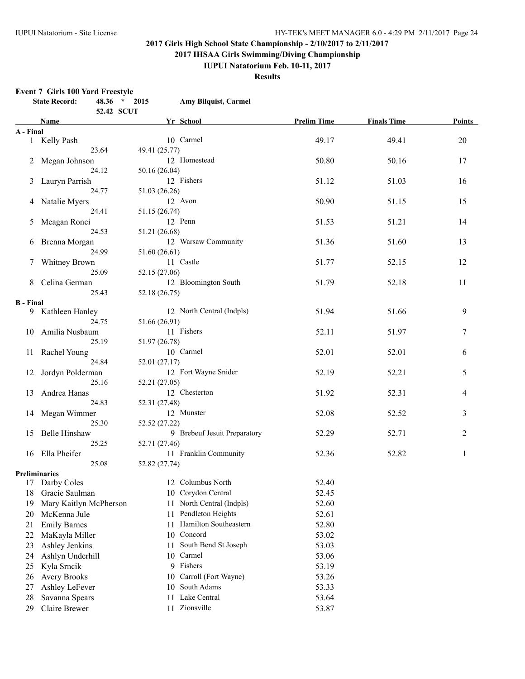**2017 IHSAA Girls Swimming/Diving Championship**

### **IUPUI Natatorium Feb. 10-11, 2017**

**Results**

#### **Event 7 Girls 100 Yard Freestyle**

|                  | <b>State Record:</b><br>48.36 * 2015<br>52.42 SCUT | <b>Amy Bilquist, Carmel</b>  |                    |                    |                |
|------------------|----------------------------------------------------|------------------------------|--------------------|--------------------|----------------|
|                  | Name                                               | Yr School                    | <b>Prelim Time</b> | <b>Finals Time</b> | <b>Points</b>  |
| A - Final        |                                                    |                              |                    |                    |                |
|                  | 1 Kelly Pash                                       | 10 Carmel                    | 49.17              | 49.41              | $20\,$         |
|                  | 23.64                                              | 49.41 (25.77)                |                    |                    |                |
|                  | 2 Megan Johnson                                    | 12 Homestead                 | 50.80              | 50.16              | 17             |
|                  | 24.12                                              | 50.16 (26.04)                |                    |                    |                |
|                  | 3 Lauryn Parrish                                   | 12 Fishers                   | 51.12              | 51.03              | 16             |
|                  | 24.77                                              | 51.03 (26.26)                |                    |                    |                |
|                  | 4 Natalie Myers                                    | 12 Avon                      | 50.90              | 51.15              | 15             |
|                  | 24.41                                              | 51.15 (26.74)                |                    |                    |                |
|                  | 5 Meagan Ronci                                     | 12 Penn                      | 51.53              | 51.21              | 14             |
|                  | 24.53                                              | 51.21 (26.68)                |                    |                    |                |
|                  | 6 Brenna Morgan                                    | 12 Warsaw Community          | 51.36              | 51.60              | 13             |
|                  | 24.99                                              | 51.60 (26.61)                |                    |                    |                |
|                  | 7 Whitney Brown                                    | 11 Castle                    | 51.77              | 52.15              | 12             |
|                  | 25.09                                              | 52.15 (27.06)                |                    |                    |                |
|                  | 8 Celina German                                    | 12 Bloomington South         | 51.79              | 52.18              | 11             |
|                  | 25.43                                              | 52.18 (26.75)                |                    |                    |                |
| <b>B</b> - Final |                                                    |                              |                    |                    |                |
|                  | 9 Kathleen Hanley                                  | 12 North Central (Indpls)    | 51.94              | 51.66              | 9              |
|                  | 24.75                                              | 51.66 (26.91)                |                    |                    |                |
|                  | 10 Amilia Nusbaum                                  | 11 Fishers                   | 52.11              | 51.97              | 7              |
|                  | 25.19                                              | 51.97 (26.78)                |                    |                    |                |
|                  | 11 Rachel Young                                    | 10 Carmel                    | 52.01              | 52.01              | 6              |
|                  | 24.84                                              | 52.01 (27.17)                |                    |                    |                |
|                  | 12 Jordyn Polderman                                | 12 Fort Wayne Snider         | 52.19              | 52.21              | 5              |
|                  | 25.16                                              | 52.21 (27.05)                |                    |                    |                |
| 13               | Andrea Hanas                                       | 12 Chesterton                | 51.92              | 52.31              | 4              |
|                  | 24.83                                              | 52.31 (27.48)                |                    |                    |                |
|                  | 14 Megan Wimmer                                    | 12 Munster                   | 52.08              | 52.52              | 3              |
|                  | 25.30                                              | 52.52 (27.22)                |                    |                    |                |
|                  | 15 Belle Hinshaw                                   | 9 Brebeuf Jesuit Preparatory | 52.29              | 52.71              | $\overline{2}$ |
|                  | 25.25                                              | 52.71 (27.46)                |                    |                    |                |
|                  | 16 Ella Pheifer                                    | 11 Franklin Community        | 52.36              | 52.82              | $\mathbf{1}$   |
|                  | 25.08                                              | 52.82 (27.74)                |                    |                    |                |
|                  | <b>Preliminaries</b>                               |                              |                    |                    |                |
|                  | 17 Darby Coles                                     | 12 Columbus North            | 52.40              |                    |                |
| 18               | Gracie Saulman                                     | 10 Corydon Central           | 52.45              |                    |                |
| 19               | Mary Kaitlyn McPherson                             | North Central (Indpls)<br>11 | 52.60              |                    |                |
| 20               | McKenna Jule                                       | Pendleton Heights<br>11      | 52.61              |                    |                |
| 21               | <b>Emily Barnes</b>                                | Hamilton Southeastern<br>11  | 52.80              |                    |                |
| 22               | MaKayla Miller                                     | Concord<br>10                | 53.02              |                    |                |
| 23               | Ashley Jenkins                                     | South Bend St Joseph<br>11   | 53.03              |                    |                |
| 24               | Ashlyn Underhill                                   | Carmel<br>10                 | 53.06              |                    |                |
| 25               | Kyla Srncik                                        | Fishers<br>9                 | 53.19              |                    |                |
| 26               | <b>Avery Brooks</b>                                | Carroll (Fort Wayne)<br>10   | 53.26              |                    |                |
| 27               | Ashley LeFever                                     | South Adams<br>10            | 53.33              |                    |                |
| 28               | Savanna Spears                                     | Lake Central<br>11           | 53.64              |                    |                |
| 29               | Claire Brewer                                      | 11 Zionsville                | 53.87              |                    |                |
|                  |                                                    |                              |                    |                    |                |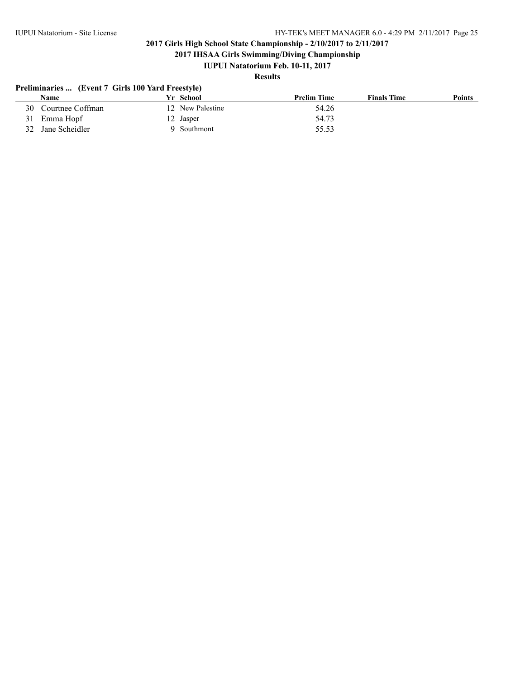**2017 IHSAA Girls Swimming/Diving Championship**

### **IUPUI Natatorium Feb. 10-11, 2017**

## **Results**

### **Preliminaries ... (Event 7 Girls 100 Yard Freestyle)**

|     | Name             | Vr School        | <b>Prelim Time</b> | <b>Finals Time</b> | <b>Points</b> |
|-----|------------------|------------------|--------------------|--------------------|---------------|
| 30. | Courtnee Coffman | 12 New Palestine | 54.26              |                    |               |
|     | 31 Emma Hopf     | 12 Jasper        | 54.73              |                    |               |
| 32  | Jane Scheidler   | 9 Southmont      | 55.53              |                    |               |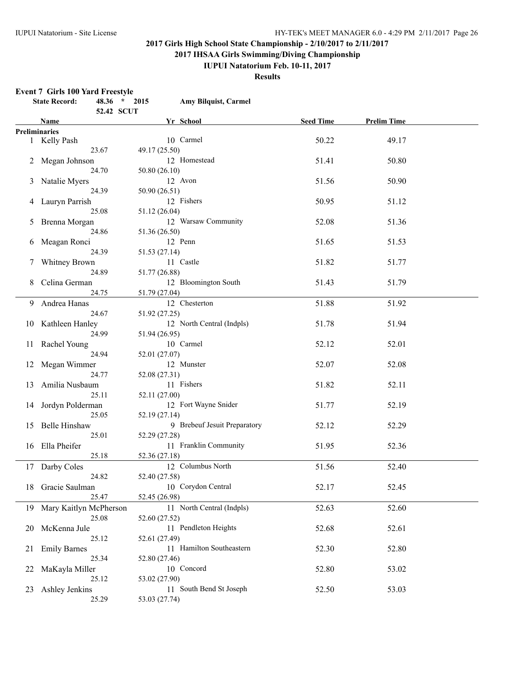**2017 IHSAA Girls Swimming/Diving Championship**

#### **IUPUI Natatorium Feb. 10-11, 2017**

**Results**

#### **Event 7 Girls 100 Yard Freestyle**

|    | <b>State Record:</b>      | 48.36 * 2015 |               | Amy Bilquist, Carmel         |                  |                    |  |
|----|---------------------------|--------------|---------------|------------------------------|------------------|--------------------|--|
|    |                           | 52.42 SCUT   |               |                              |                  |                    |  |
|    | Name                      |              |               | Yr School                    | <b>Seed Time</b> | <b>Prelim Time</b> |  |
|    | <b>Preliminaries</b>      |              |               |                              |                  |                    |  |
|    | 1 Kelly Pash              |              |               | 10 Carmel                    | 50.22            | 49.17              |  |
|    | 23.67                     |              | 49.17 (25.50) |                              |                  |                    |  |
|    | 2 Megan Johnson           |              |               | 12 Homestead                 | 51.41            | 50.80              |  |
|    | 24.70                     |              | 50.80 (26.10) |                              |                  |                    |  |
| 3  | Natalie Myers             |              |               | 12 Avon                      | 51.56            | 50.90              |  |
|    | 24.39                     |              | 50.90 (26.51) |                              |                  |                    |  |
|    | 4 Lauryn Parrish          |              |               | 12 Fishers                   | 50.95            | 51.12              |  |
|    | 25.08                     |              | 51.12 (26.04) |                              |                  |                    |  |
| 5  | Brenna Morgan             |              |               | 12 Warsaw Community          | 52.08            | 51.36              |  |
|    | 24.86                     |              | 51.36 (26.50) |                              |                  |                    |  |
| 6  | Meagan Ronci              |              |               | 12 Penn                      | 51.65            | 51.53              |  |
|    | 24.39                     |              | 51.53 (27.14) |                              |                  |                    |  |
| 7  | Whitney Brown             |              |               | 11 Castle                    | 51.82            | 51.77              |  |
|    | 24.89                     |              | 51.77 (26.88) |                              |                  |                    |  |
| 8  | Celina German             |              |               | 12 Bloomington South         | 51.43            | 51.79              |  |
|    | 24.75                     |              | 51.79 (27.04) |                              |                  |                    |  |
|    | 9 Andrea Hanas            |              |               | 12 Chesterton                | 51.88            | 51.92              |  |
|    | 24.67                     |              | 51.92 (27.25) |                              |                  |                    |  |
|    | 10 Kathleen Hanley        |              |               | 12 North Central (Indpls)    | 51.78            | 51.94              |  |
|    | 24.99                     |              | 51.94 (26.95) |                              |                  |                    |  |
|    | 11 Rachel Young           |              |               | 10 Carmel                    | 52.12            | 52.01              |  |
|    | 24.94                     |              | 52.01 (27.07) |                              |                  |                    |  |
| 12 | Megan Wimmer              |              |               | 12 Munster                   | 52.07            | 52.08              |  |
|    | 24.77                     |              | 52.08 (27.31) |                              |                  |                    |  |
| 13 | Amilia Nusbaum            |              |               | 11 Fishers                   | 51.82            | 52.11              |  |
|    | 25.11                     |              | 52.11 (27.00) |                              |                  |                    |  |
| 14 | Jordyn Polderman          |              |               | 12 Fort Wayne Snider         | 51.77            | 52.19              |  |
|    | 25.05                     |              | 52.19 (27.14) |                              |                  |                    |  |
|    | 15 Belle Hinshaw          |              |               | 9 Brebeuf Jesuit Preparatory | 52.12            | 52.29              |  |
|    | 25.01                     |              | 52.29 (27.28) |                              |                  |                    |  |
|    | 16 Ella Pheifer           |              |               | 11 Franklin Community        | 51.95            | 52.36              |  |
|    | 25.18                     |              | 52.36 (27.18) |                              |                  |                    |  |
|    | 17 Darby Coles            |              |               | 12 Columbus North            | 51.56            | 52.40              |  |
|    | 24.82                     |              | 52.40 (27.58) |                              |                  |                    |  |
|    | 18 Gracie Saulman         |              |               | 10 Corydon Central           | 52.17            | 52.45              |  |
|    | 25.47                     |              | 52.45 (26.98) |                              |                  |                    |  |
|    | 19 Mary Kaitlyn McPherson |              |               | 11 North Central (Indpls)    | 52.63            | 52.60              |  |
|    | 25.08                     |              | 52.60 (27.52) |                              |                  |                    |  |
| 20 | McKenna Jule              |              |               | 11 Pendleton Heights         | 52.68            | 52.61              |  |
|    | 25.12                     |              | 52.61 (27.49) |                              |                  |                    |  |
| 21 | <b>Emily Barnes</b>       |              |               | 11 Hamilton Southeastern     | 52.30            | 52.80              |  |
|    | 25.34                     |              | 52.80 (27.46) |                              |                  |                    |  |
| 22 | MaKayla Miller            |              |               | 10 Concord                   | 52.80            | 53.02              |  |
|    | 25.12                     |              | 53.02 (27.90) |                              |                  |                    |  |
| 23 | Ashley Jenkins            |              |               | 11 South Bend St Joseph      | 52.50            | 53.03              |  |
|    | 25.29                     |              | 53.03 (27.74) |                              |                  |                    |  |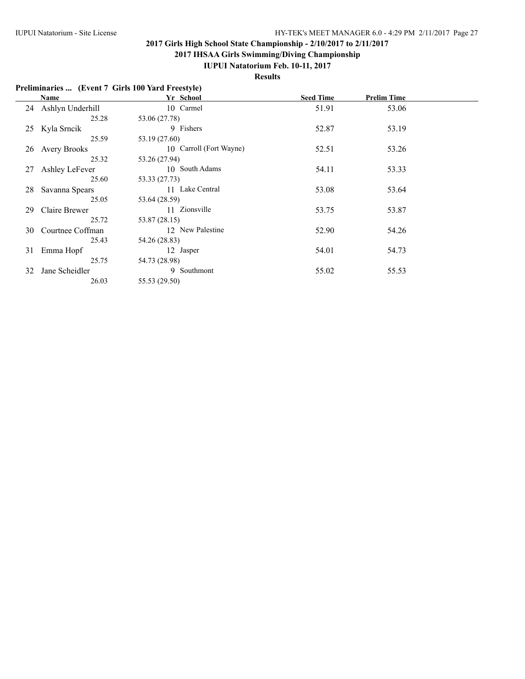**2017 IHSAA Girls Swimming/Diving Championship**

#### **IUPUI Natatorium Feb. 10-11, 2017**

**Results**

#### **Preliminaries ... (Event 7 Girls 100 Yard Freestyle) Name Yr School Seed Time Prelim Time** 24 Ashlyn Underhill 10 Carmel 51.91 53.06 25.28 53.06 (27.78) 25 Kyla Srncik 9 Fishers 52.87 53.19 25.59 53.19 (27.60) 26 Avery Brooks 10 Carroll (Fort Wayne) 52.51 53.26 25.32 53.26 (27.94) 27 Ashley LeFever 10 South Adams 54.11 53.33 25.60 53.33 (27.73) 28 Savanna Spears 11 Lake Central 53.08 53.64 25.05 53.64 (28.59) 29 Claire Brewer 11 Zionsville 53.75 53.87 25.72 53.87 (28.15)<br>man 12 New Palestine 30 Courtnee Coffman 12 New Palestine 52.90 54.26 25.43 54.26 (28.83) 31 Emma Hopf 12 Jasper 54.01 54.73 25.75 54.73 (28.98) 32 Jane Scheidler 9 Southmont 55.02 55.53

26.03 55.53 (29.50)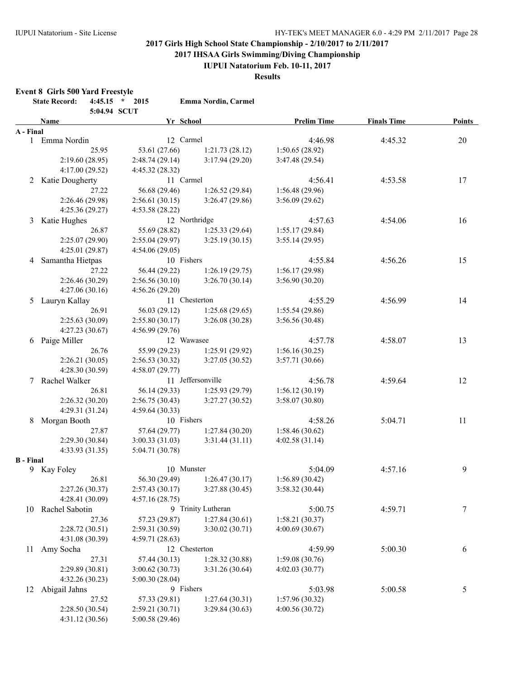**2017 IHSAA Girls Swimming/Diving Championship**

**IUPUI Natatorium Feb. 10-11, 2017**

**Results**

#### **Event 8 Girls 500 Yard Freestyle**

|                  | <b>State Record:</b> | $4:45.15$ *<br>5:04.94 SCUT | 2015            | Emma Nordin, Carmel |                    |                    |        |
|------------------|----------------------|-----------------------------|-----------------|---------------------|--------------------|--------------------|--------|
|                  | Name                 |                             | Yr School       |                     | <b>Prelim Time</b> | <b>Finals Time</b> | Points |
| A - Final        |                      |                             |                 |                     |                    |                    |        |
|                  | 1 Emma Nordin        |                             | 12 Carmel       |                     | 4:46.98            | 4:45.32            | 20     |
|                  |                      | 25.95                       | 53.61 (27.66)   | 1:21.73(28.12)      | 1:50.65(28.92)     |                    |        |
|                  | 2:19.60(28.95)       |                             | 2:48.74(29.14)  | 3:17.94(29.20)      | 3:47.48(29.54)     |                    |        |
|                  | 4:17.00 (29.52)      |                             | 4:45.32 (28.32) |                     |                    |                    |        |
|                  | 2 Katie Dougherty    |                             | 11 Carmel       |                     | 4:56.41            | 4:53.58            | 17     |
|                  |                      | 27.22                       | 56.68 (29.46)   | 1:26.52(29.84)      | 1:56.48(29.96)     |                    |        |
|                  | 2:26.46 (29.98)      |                             | 2:56.61(30.15)  | 3:26.47(29.86)      | 3:56.09(29.62)     |                    |        |
|                  | 4:25.36 (29.27)      |                             | 4:53.58 (28.22) |                     |                    |                    |        |
|                  | 3 Katie Hughes       |                             |                 | 12 Northridge       | 4:57.63            | 4:54.06            | 16     |
|                  |                      | 26.87                       | 55.69 (28.82)   | 1:25.33(29.64)      | 1:55.17(29.84)     |                    |        |
|                  | 2:25.07 (29.90)      |                             | 2:55.04(29.97)  | 3:25.19(30.15)      | 3:55.14(29.95)     |                    |        |
|                  | 4:25.01 (29.87)      |                             | 4:54.06(29.05)  |                     |                    |                    |        |
| 4                | Samantha Hietpas     |                             | 10 Fishers      |                     | 4:55.84            | 4:56.26            | 15     |
|                  |                      | 27.22                       | 56.44 (29.22)   | 1:26.19(29.75)      | 1:56.17(29.98)     |                    |        |
|                  | 2:26.46 (30.29)      |                             | 2:56.56(30.10)  | 3:26.70(30.14)      | 3:56.90(30.20)     |                    |        |
|                  | 4:27.06(30.16)       |                             | 4:56.26(29.20)  |                     |                    |                    |        |
| 5                | Lauryn Kallay        |                             |                 | 11 Chesterton       | 4:55.29            | 4:56.99            | 14     |
|                  |                      | 26.91                       | 56.03 (29.12)   | 1:25.68(29.65)      | 1:55.54(29.86)     |                    |        |
|                  | 2:25.63(30.09)       |                             | 2:55.80(30.17)  | 3:26.08(30.28)      | 3:56.56 (30.48)    |                    |        |
|                  | 4:27.23(30.67)       |                             | 4:56.99(29.76)  |                     |                    |                    |        |
| 6                | Paige Miller         |                             | 12 Wawasee      |                     | 4:57.78            | 4:58.07            | 13     |
|                  |                      | 26.76                       | 55.99 (29.23)   | 1:25.91 (29.92)     | 1:56.16(30.25)     |                    |        |
|                  | 2:26.21(30.05)       |                             | 2:56.53 (30.32) | 3:27.05 (30.52)     | 3:57.71(30.66)     |                    |        |
|                  | 4:28.30(30.59)       |                             | 4:58.07 (29.77) |                     |                    |                    |        |
| 7                | Rachel Walker        |                             |                 | 11 Jeffersonville   | 4:56.78            | 4:59.64            | 12     |
|                  |                      | 26.81                       | 56.14 (29.33)   | 1:25.93(29.79)      | 1:56.12(30.19)     |                    |        |
|                  | 2:26.32(30.20)       |                             | 2:56.75(30.43)  | 3:27.27(30.52)      | 3:58.07 (30.80)    |                    |        |
|                  | 4:29.31 (31.24)      |                             | 4:59.64(30.33)  |                     |                    |                    |        |
| 8                | Morgan Booth         |                             | 10 Fishers      |                     | 4:58.26            | 5:04.71            | 11     |
|                  |                      | 27.87                       | 57.64 (29.77)   | 1:27.84(30.20)      | 1:58.46(30.62)     |                    |        |
|                  | 2:29.30(30.84)       |                             | 3:00.33(31.03)  | 3:31.44(31.11)      | 4:02.58(31.14)     |                    |        |
|                  | 4:33.93(31.35)       |                             | 5:04.71 (30.78) |                     |                    |                    |        |
| <b>B</b> - Final |                      |                             |                 |                     |                    |                    |        |
| 9.               | Kay Foley            |                             | 10 Munster      |                     | 5:04.09            | 4:57.16            | 9      |
|                  |                      | 26.81                       | 56.30 (29.49)   | 1:26.47(30.17)      | 1:56.89(30.42)     |                    |        |
|                  | 2:27.26 (30.37)      |                             | 2:57.43 (30.17) | 3:27.88 (30.45)     | 3:58.32 (30.44)    |                    |        |
|                  | 4:28.41 (30.09)      |                             | 4:57.16(28.75)  |                     |                    |                    |        |
| 10               | Rachel Sabotin       |                             |                 | 9 Trinity Lutheran  | 5:00.75            | 4:59.71            | 7      |
|                  |                      | 27.36                       | 57.23 (29.87)   | 1:27.84(30.61)      | 1:58.21(30.37)     |                    |        |
|                  | 2:28.72(30.51)       |                             | 2:59.31 (30.59) | 3:30.02(30.71)      | 4:00.69(30.67)     |                    |        |
|                  | 4:31.08 (30.39)      |                             | 4:59.71 (28.63) |                     |                    |                    |        |
| 11               | Amy Socha            |                             |                 | 12 Chesterton       | 4:59.99            | 5:00.30            | 6      |
|                  |                      | 27.31                       | 57.44 (30.13)   | 1:28.32(30.88)      | 1:59.08(30.76)     |                    |        |
|                  | 2:29.89 (30.81)      |                             | 3:00.62(30.73)  | 3:31.26(30.64)      | 4:02.03 (30.77)    |                    |        |
|                  | 4:32.26(30.23)       |                             | 5:00.30(28.04)  |                     |                    |                    |        |
| 12               | Abigail Jahns        |                             | 9 Fishers       |                     | 5:03.98            | 5:00.58            | 5      |
|                  |                      | 27.52                       | 57.33 (29.81)   | 1:27.64(30.31)      | 1:57.96 (30.32)    |                    |        |
|                  | 2:28.50(30.54)       |                             | 2:59.21 (30.71) | 3:29.84(30.63)      | 4:00.56 (30.72)    |                    |        |
|                  | 4:31.12 (30.56)      |                             | 5:00.58 (29.46) |                     |                    |                    |        |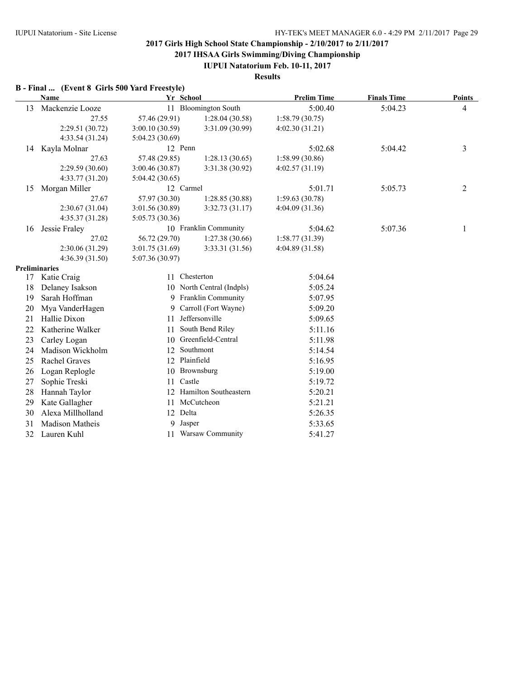**2017 IHSAA Girls Swimming/Diving Championship**

**IUPUI Natatorium Feb. 10-11, 2017**

**Results**

## **B - Final ... (Event 8 Girls 500 Yard Freestyle)**

|    | Name                 | Yr School       |                           | <b>Prelim Time</b> | <b>Finals Time</b> | <b>Points</b> |
|----|----------------------|-----------------|---------------------------|--------------------|--------------------|---------------|
| 13 | Mackenzie Looze      |                 | 11 Bloomington South      | 5:00.40            | 5:04.23            | 4             |
|    | 27.55                | 57.46 (29.91)   | 1:28.04(30.58)            | 1:58.79(30.75)     |                    |               |
|    | 2:29.51 (30.72)      | 3:00.10(30.59)  | 3:31.09 (30.99)           | 4:02.30(31.21)     |                    |               |
|    | 4:33.54 (31.24)      | 5:04.23(30.69)  |                           |                    |                    |               |
| 14 | Kayla Molnar         | 12 Penn         |                           | 5:02.68            | 5:04.42            | 3             |
|    | 27.63                | 57.48 (29.85)   | 1:28.13(30.65)            | 1:58.99(30.86)     |                    |               |
|    | 2:29.59(30.60)       | 3:00.46(30.87)  | 3:31.38 (30.92)           | 4:02.57(31.19)     |                    |               |
|    | 4:33.77 (31.20)      | 5:04.42(30.65)  |                           |                    |                    |               |
| 15 | Morgan Miller        | 12 Carmel       |                           | 5:01.71            | 5:05.73            | 2             |
|    | 27.67                | 57.97 (30.30)   | 1:28.85(30.88)            | 1:59.63(30.78)     |                    |               |
|    | 2:30.67(31.04)       | 3:01.56 (30.89) | 3:32.73(31.17)            | 4:04.09(31.36)     |                    |               |
|    | 4:35.37 (31.28)      | 5:05.73 (30.36) |                           |                    |                    |               |
| 16 | Jessie Fraley        |                 | 10 Franklin Community     | 5:04.62            | 5:07.36            | 1             |
|    | 27.02                | 56.72 (29.70)   | 1:27.38(30.66)            | 1:58.77(31.39)     |                    |               |
|    | 2:30.06 (31.29)      | 3:01.75 (31.69) | 3:33.31 (31.56)           | 4:04.89 (31.58)    |                    |               |
|    | 4:36.39(31.50)       | 5:07.36(30.97)  |                           |                    |                    |               |
|    | <b>Preliminaries</b> |                 |                           |                    |                    |               |
| 17 | Katie Craig          | 11              | Chesterton                | 5:04.64            |                    |               |
| 18 | Delaney Isakson      |                 | 10 North Central (Indpls) | 5:05.24            |                    |               |
| 19 | Sarah Hoffman        |                 | 9 Franklin Community      | 5:07.95            |                    |               |
| 20 | Mya VanderHagen      | 9               | Carroll (Fort Wayne)      | 5:09.20            |                    |               |
| 21 | Hallie Dixon         | 11              | Jeffersonville            | 5:09.65            |                    |               |
| 22 | Katherine Walker     | 11              | South Bend Riley          | 5:11.16            |                    |               |
| 23 | Carley Logan         | 10              | Greenfield-Central        | 5:11.98            |                    |               |
| 24 | Madison Wickholm     | 12              | Southmont                 | 5:14.54            |                    |               |
| 25 | Rachel Graves        | 12 Plainfield   |                           | 5:16.95            |                    |               |
| 26 | Logan Replogle       | 10              | Brownsburg                | 5:19.00            |                    |               |
| 27 | Sophie Treski        | Castle<br>11    |                           | 5:19.72            |                    |               |
| 28 | Hannah Taylor        |                 | 12 Hamilton Southeastern  | 5:20.21            |                    |               |
| 29 | Kate Gallagher       | 11              | McCutcheon                | 5:21.21            |                    |               |
| 30 | Alexa Millholland    | 12 Delta        |                           | 5:26.35            |                    |               |
| 31 | Madison Matheis      | 9<br>Jasper     |                           | 5:33.65            |                    |               |
| 32 | Lauren Kuhl          |                 | 11 Warsaw Community       | 5:41.27            |                    |               |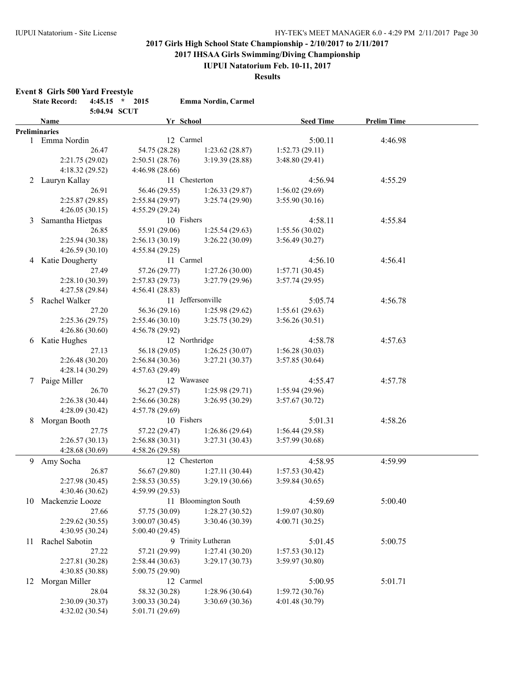**2017 IHSAA Girls Swimming/Diving Championship**

**IUPUI Natatorium Feb. 10-11, 2017**

**Results**

#### **Event 8 Girls 500 Yard Freestyle**

|    | <b>State Record:</b> | 5:04.94 SCUT | $4:45.15$ * 2015 | Emma Nordin, Carmel  |                                  |                    |  |
|----|----------------------|--------------|------------------|----------------------|----------------------------------|--------------------|--|
|    | <b>Name</b>          |              |                  | Yr School            | <b>Seed Time</b>                 | <b>Prelim Time</b> |  |
|    | <b>Preliminaries</b> |              |                  |                      |                                  |                    |  |
|    | 1 Emma Nordin        |              |                  | 12 Carmel            | 5:00.11                          | 4:46.98            |  |
|    |                      | 26.47        | 54.75 (28.28)    | 1:23.62(28.87)       | 1:52.73(29.11)                   |                    |  |
|    | 2:21.75(29.02)       |              | 2:50.51(28.76)   | 3:19.39(28.88)       | 3:48.80(29.41)                   |                    |  |
|    | 4:18.32(29.52)       |              | 4:46.98 (28.66)  |                      |                                  |                    |  |
|    | 2 Lauryn Kallay      |              |                  | 11 Chesterton        | 4:56.94                          | 4:55.29            |  |
|    |                      | 26.91        | 56.46 (29.55)    | 1:26.33(29.87)       | 1:56.02(29.69)                   |                    |  |
|    | 2:25.87(29.85)       |              | 2:55.84(29.97)   | 3:25.74(29.90)       | 3:55.90(30.16)                   |                    |  |
|    | 4:26.05(30.15)       |              | 4:55.29(29.24)   |                      |                                  |                    |  |
| 3  | Samantha Hietpas     |              |                  | 10 Fishers           | 4:58.11                          | 4:55.84            |  |
|    |                      | 26.85        | 55.91 (29.06)    | 1:25.54(29.63)       | 1:55.56(30.02)                   |                    |  |
|    | 2:25.94(30.38)       |              | 2:56.13(30.19)   | 3:26.22(30.09)       | 3:56.49(30.27)                   |                    |  |
|    | 4:26.59(30.10)       |              | 4:55.84(29.25)   |                      |                                  |                    |  |
| 4  | Katie Dougherty      |              |                  | 11 Carmel            | 4:56.10                          | 4:56.41            |  |
|    |                      | 27.49        | 57.26 (29.77)    | 1:27.26(30.00)       | 1:57.71(30.45)                   |                    |  |
|    | 2:28.10(30.39)       |              | 2:57.83(29.73)   | 3:27.79(29.96)       | 3:57.74 (29.95)                  |                    |  |
|    | 4:27.58 (29.84)      |              | 4:56.41(28.83)   |                      |                                  |                    |  |
|    | 5 Rachel Walker      |              |                  | 11 Jeffersonville    | 5:05.74                          | 4:56.78            |  |
|    |                      | 27.20        | 56.36 (29.16)    | 1:25.98(29.62)       | 1:55.61(29.63)                   |                    |  |
|    | 2:25.36(29.75)       |              | 2:55.46(30.10)   | 3:25.75(30.29)       | 3:56.26(30.51)                   |                    |  |
|    | 4:26.86(30.60)       |              | 4:56.78(29.92)   |                      |                                  |                    |  |
|    | 6 Katie Hughes       |              |                  | 12 Northridge        | 4:58.78                          | 4:57.63            |  |
|    |                      | 27.13        | 56.18 (29.05)    | 1:26.25(30.07)       | 1:56.28(30.03)                   |                    |  |
|    | 2:26.48(30.20)       |              | 2:56.84 (30.36)  | 3:27.21(30.37)       | 3:57.85(30.64)                   |                    |  |
|    | 4:28.14(30.29)       |              | 4:57.63(29.49)   |                      |                                  |                    |  |
| 7  | Paige Miller         |              |                  | 12 Wawasee           | 4:55.47                          | 4:57.78            |  |
|    |                      | 26.70        | 56.27 (29.57)    | 1:25.98(29.71)       | 1:55.94(29.96)                   |                    |  |
|    | 2:26.38(30.44)       |              | 2:56.66 (30.28)  | 3:26.95 (30.29)      | 3:57.67(30.72)                   |                    |  |
|    | 4:28.09 (30.42)      |              | 4:57.78(29.69)   |                      |                                  |                    |  |
| 8  | Morgan Booth         |              |                  | 10 Fishers           | 5:01.31                          | 4:58.26            |  |
|    |                      | 27.75        | 57.22 (29.47)    | 1:26.86(29.64)       | 1:56.44(29.58)                   |                    |  |
|    | 2:26.57(30.13)       |              | 2:56.88(30.31)   | 3:27.31(30.43)       | 3:57.99 (30.68)                  |                    |  |
|    | 4:28.68 (30.69)      |              | 4:58.26(29.58)   |                      |                                  |                    |  |
|    | 9 Amy Socha          |              |                  | 12 Chesterton        | 4:58.95                          | 4:59.99            |  |
|    |                      | 26.87        | 56.67 (29.80)    | 1:27.11(30.44)       | 1:57.53(30.42)                   |                    |  |
|    | 2:27.98 (30.45)      |              | 2:58.53(30.55)   | 3:29.19(30.66)       | 3:59.84(30.65)                   |                    |  |
|    | 4:30.46 (30.62)      |              | 4:59.99(29.53)   |                      |                                  |                    |  |
|    | 10 Mackenzie Looze   |              |                  | 11 Bloomington South | 4:59.69                          | 5:00.40            |  |
|    |                      | 27.66        | 57.75 (30.09)    | 1:28.27(30.52)       |                                  |                    |  |
|    | 2:29.62(30.55)       |              | 3:00.07(30.45)   | 3:30.46(30.39)       | 1:59.07(30.80)<br>4:00.71(30.25) |                    |  |
|    | 4:30.95 (30.24)      |              | 5:00.40 (29.45)  |                      |                                  |                    |  |
|    | Rachel Sabotin       |              |                  | 9 Trinity Lutheran   | 5:01.45                          | 5:00.75            |  |
| 11 |                      |              |                  |                      |                                  |                    |  |
|    |                      | 27.22        | 57.21 (29.99)    | 1:27.41(30.20)       | 1:57.53(30.12)                   |                    |  |
|    | 2:27.81 (30.28)      |              | 2:58.44 (30.63)  | 3:29.17(30.73)       | 3:59.97 (30.80)                  |                    |  |
|    | 4:30.85 (30.88)      |              | 5:00.75 (29.90)  | 12 Carmel            |                                  |                    |  |
|    | 12 Morgan Miller     |              |                  |                      | 5:00.95                          | 5:01.71            |  |
|    |                      | 28.04        | 58.32 (30.28)    | 1:28.96(30.64)       | 1:59.72(30.76)                   |                    |  |
|    | 2:30.09 (30.37)      |              | 3:00.33 (30.24)  | 3:30.69(30.36)       | 4:01.48 (30.79)                  |                    |  |
|    | 4:32.02 (30.54)      |              | 5:01.71 (29.69)  |                      |                                  |                    |  |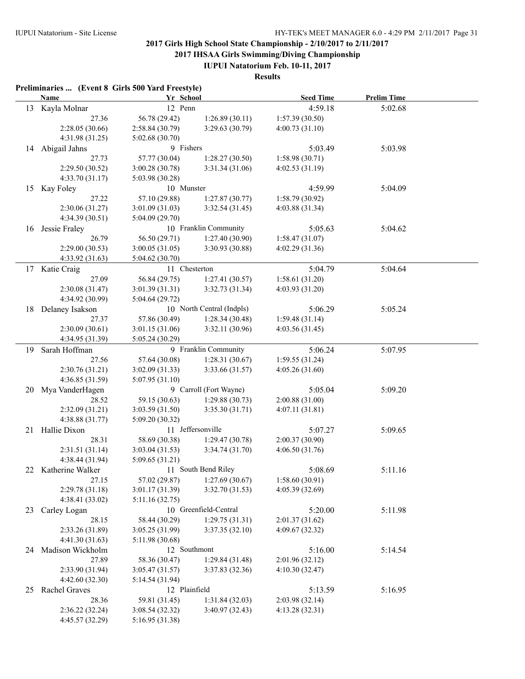**2017 IHSAA Girls Swimming/Diving Championship**

**IUPUI Natatorium Feb. 10-11, 2017**

### **Results**

|    | <b>Name</b>         | Yr School           |                           | <b>Seed Time</b> | <b>Prelim Time</b> |
|----|---------------------|---------------------|---------------------------|------------------|--------------------|
| 13 | Kayla Molnar        | 12 Penn             |                           | 4:59.18          | 5:02.68            |
|    | 27.36               | 56.78 (29.42)       | 1:26.89(30.11)            | 1:57.39(30.50)   |                    |
|    | 2:28.05(30.66)      | 2:58.84 (30.79)     | 3:29.63(30.79)            | 4:00.73(31.10)   |                    |
|    | 4:31.98 (31.25)     | 5:02.68(30.70)      |                           |                  |                    |
| 14 | Abigail Jahns       | 9 Fishers           |                           | 5:03.49          | 5:03.98            |
|    | 27.73               | 57.77 (30.04)       | 1:28.27(30.50)            | 1:58.98(30.71)   |                    |
|    | 2:29.50(30.52)      | 3:00.28(30.78)      | 3:31.34 (31.06)           | 4:02.53(31.19)   |                    |
|    | 4:33.70(31.17)      | 5:03.98 (30.28)     |                           |                  |                    |
| 15 | Kay Foley           | 10 Munster          |                           | 4:59.99          | 5:04.09            |
|    | 27.22               | 57.10 (29.88)       | 1:27.87(30.77)            | 1:58.79(30.92)   |                    |
|    | 2:30.06(31.27)      | 3:01.09(31.03)      | 3:32.54 (31.45)           | 4:03.88 (31.34)  |                    |
|    | 4:34.39 (30.51)     | 5:04.09(29.70)      |                           |                  |                    |
| 16 | Jessie Fraley       |                     | 10 Franklin Community     | 5:05.63          | 5:04.62            |
|    | 26.79               | 56.50 (29.71)       | 1:27.40(30.90)            | 1:58.47(31.07)   |                    |
|    | 2:29.00(30.53)      | 3:00.05(31.05)      | 3:30.93 (30.88)           | 4:02.29(31.36)   |                    |
|    | 4:33.92 (31.63)     | 5:04.62 (30.70)     |                           |                  |                    |
| 17 | Katie Craig         | 11 Chesterton       |                           | 5:04.79          | 5:04.64            |
|    | 27.09               | 56.84 (29.75)       | 1:27.41(30.57)            | 1:58.61(31.20)   |                    |
|    | 2:30.08 (31.47)     | 3:01.39(31.31)      | 3:32.73 (31.34)           | 4:03.93(31.20)   |                    |
|    | 4:34.92 (30.99)     | 5:04.64(29.72)      |                           |                  |                    |
| 18 | Delaney Isakson     |                     | 10 North Central (Indpls) | 5:06.29          | 5:05.24            |
|    | 27.37               | 57.86 (30.49)       | 1:28.34(30.48)            | 1:59.48(31.14)   |                    |
|    | 2:30.09 (30.61)     | 3:01.15(31.06)      | 3:32.11 (30.96)           | 4:03.56(31.45)   |                    |
|    | 4:34.95 (31.39)     | 5:05.24(30.29)      |                           |                  |                    |
|    |                     |                     | 9 Franklin Community      |                  |                    |
| 19 | Sarah Hoffman       |                     |                           | 5:06.24          | 5:07.95            |
|    | 27.56               | 57.64 (30.08)       | 1:28.31(30.67)            | 1:59.55(31.24)   |                    |
|    | 2:30.76 (31.21)     | 3:02.09(31.33)      | 3:33.66 (31.57)           | 4:05.26(31.60)   |                    |
|    | 4:36.85 (31.59)     | 5:07.95(31.10)      |                           |                  |                    |
| 20 | Mya VanderHagen     |                     | 9 Carroll (Fort Wayne)    | 5:05.04          | 5:09.20            |
|    | 28.52               | 59.15 (30.63)       | 1:29.88(30.73)            | 2:00.88(31.00)   |                    |
|    | 2:32.09 (31.21)     | 3:03.59(31.50)      | 3:35.30(31.71)            | 4:07.11(31.81)   |                    |
|    | 4:38.88 (31.77)     | 5:09.20 (30.32)     |                           |                  |                    |
| 21 | Hallie Dixon        |                     | 11 Jeffersonville         | 5:07.27          | 5:09.65            |
|    | 28.31               | 58.69 (30.38)       | 1:29.47(30.78)            | 2:00.37(30.90)   |                    |
|    | 2:31.51(31.14)      | 3:03.04 (31.53)     | 3:34.74 (31.70)           | 4:06.50 (31.76)  |                    |
|    | 4:38.44 (31.94)     | 5:09.65(31.21)      |                           |                  |                    |
|    | 22 Katherine Walker | 11 South Bend Riley |                           | 5:08.69          | 5:11.16            |
|    | 27.15               | 57.02 (29.87)       | 1:27.69(30.67)            | 1:58.60(30.91)   |                    |
|    | 2:29.78 (31.18)     | 3:01.17(31.39)      | 3:32.70 (31.53)           | 4:05.39 (32.69)  |                    |
|    | 4:38.41 (33.02)     | 5:11.16(32.75)      |                           |                  |                    |
| 23 | Carley Logan        |                     | 10 Greenfield-Central     | 5:20.00          | 5:11.98            |
|    | 28.15               | 58.44 (30.29)       | 1:29.75(31.31)            | 2:01.37(31.62)   |                    |
|    | 2:33.26 (31.89)     | 3:05.25 (31.99)     | 3:37.35(32.10)            | 4:09.67 (32.32)  |                    |
|    | 4:41.30(31.63)      | 5:11.98 (30.68)     |                           |                  |                    |
| 24 | Madison Wickholm    | 12 Southmont        |                           | 5:16.00          | 5:14.54            |
|    | 27.89               | 58.36 (30.47)       | 1:29.84(31.48)            | 2:01.96(32.12)   |                    |
|    | 2:33.90 (31.94)     | 3:05.47 (31.57)     | 3:37.83(32.36)            | 4:10.30(32.47)   |                    |
|    | 4:42.60(32.30)      | 5:14.54 (31.94)     |                           |                  |                    |
| 25 | Rachel Graves       | 12 Plainfield       |                           | 5:13.59          | 5:16.95            |
|    | 28.36               | 59.81 (31.45)       | 1:31.84(32.03)            | 2:03.98 (32.14)  |                    |
|    | 2:36.22 (32.24)     | 3:08.54(32.32)      | 3:40.97(32.43)            | 4:13.28(32.31)   |                    |
|    | 4:45.57 (32.29)     | 5:16.95 (31.38)     |                           |                  |                    |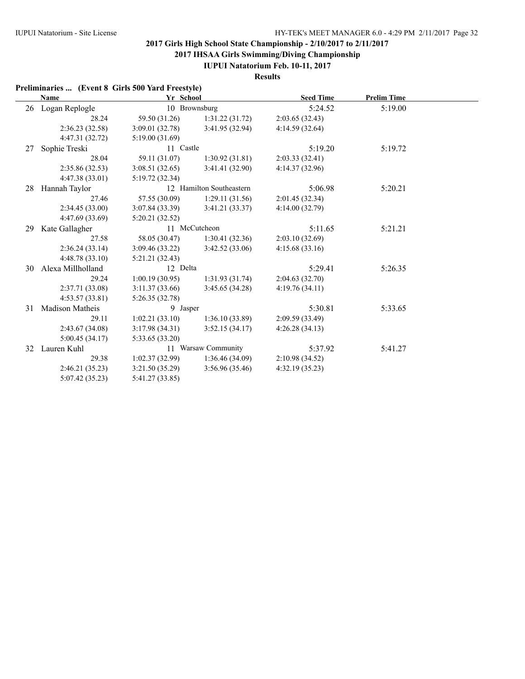**2017 IHSAA Girls Swimming/Diving Championship**

**IUPUI Natatorium Feb. 10-11, 2017**

**Results**

| Preliminaries  (Event 8 Girls 500 Yard Freestyle) |  |  |  |  |
|---------------------------------------------------|--|--|--|--|
|---------------------------------------------------|--|--|--|--|

|    | Name                   | Yr School       |                          | <b>Seed Time</b> | <b>Prelim Time</b> |  |
|----|------------------------|-----------------|--------------------------|------------------|--------------------|--|
|    | 26 Logan Replogle      |                 | 10 Brownsburg            | 5:24.52          | 5:19.00            |  |
|    | 28.24                  | 59.50 (31.26)   | 1:31.22(31.72)           | 2:03.65(32.43)   |                    |  |
|    | 2:36.23(32.58)         | 3:09.01(32.78)  | 3:41.95 (32.94)          | 4:14.59(32.64)   |                    |  |
|    | 4:47.31 (32.72)        | 5:19.00(31.69)  |                          |                  |                    |  |
| 27 | Sophie Treski          | 11 Castle       |                          | 5:19.20          | 5:19.72            |  |
|    | 28.04                  | 59.11 (31.07)   | 1:30.92(31.81)           | 2:03.33(32.41)   |                    |  |
|    | 2:35.86 (32.53)        | 3:08.51(32.65)  | 3:41.41(32.90)           | 4:14.37(32.96)   |                    |  |
|    | 4:47.38(33.01)         | 5:19.72(32.34)  |                          |                  |                    |  |
| 28 | Hannah Taylor          |                 | 12 Hamilton Southeastern | 5:06.98          | 5:20.21            |  |
|    | 27.46                  | 57.55 (30.09)   | 1:29.11(31.56)           | 2:01.45(32.34)   |                    |  |
|    | 2:34.45(33.00)         | 3:07.84(33.39)  | 3:41.21(33.37)           | 4:14.00(32.79)   |                    |  |
|    | 4:47.69 (33.69)        | 5:20.21(32.52)  |                          |                  |                    |  |
| 29 | Kate Gallagher         |                 | 11 McCutcheon            | 5:11.65          | 5:21.21            |  |
|    | 27.58                  | 58.05 (30.47)   | 1:30.41(32.36)           | 2:03.10(32.69)   |                    |  |
|    | 2:36.24(33.14)         | 3:09.46(33.22)  | 3:42.52(33.06)           | 4:15.68(33.16)   |                    |  |
|    | 4:48.78(33.10)         | 5:21.21 (32.43) |                          |                  |                    |  |
| 30 | Alexa Millholland      | 12 Delta        |                          | 5:29.41          | 5:26.35            |  |
|    | 29.24                  | 1:00.19(30.95)  | 1:31.93(31.74)           | 2:04.63(32.70)   |                    |  |
|    | 2:37.71 (33.08)        | 3:11.37(33.66)  | 3:45.65(34.28)           | 4:19.76(34.11)   |                    |  |
|    | 4:53.57(33.81)         | 5:26.35(32.78)  |                          |                  |                    |  |
| 31 | <b>Madison Matheis</b> | 9 Jasper        |                          | 5:30.81          | 5:33.65            |  |
|    | 29.11                  | 1:02.21(33.10)  | 1:36.10(33.89)           | 2:09.59(33.49)   |                    |  |
|    | 2:43.67(34.08)         | 3:17.98(34.31)  | 3:52.15(34.17)           | 4:26.28(34.13)   |                    |  |
|    | 5:00.45(34.17)         | 5:33.65 (33.20) |                          |                  |                    |  |
| 32 | Lauren Kuhl            |                 | 11 Warsaw Community      | 5:37.92          | 5:41.27            |  |
|    | 29.38                  | 1:02.37(32.99)  | 1:36.46(34.09)           | 2:10.98(34.52)   |                    |  |
|    | 2:46.21(35.23)         | 3:21.50(35.29)  | 3:56.96(35.46)           | 4:32.19(35.23)   |                    |  |
|    | 5:07.42(35.23)         | 5:41.27 (33.85) |                          |                  |                    |  |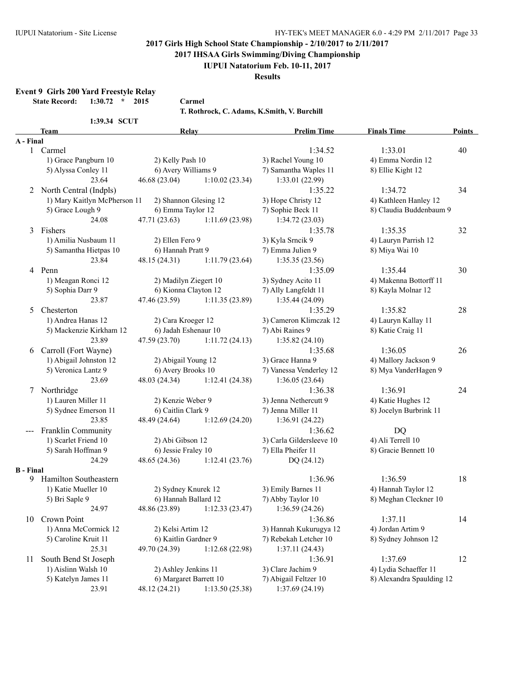**2017 IHSAA Girls Swimming/Diving Championship**

### **IUPUI Natatorium Feb. 10-11, 2017**

**Results**

**Event 9 Girls 200 Yard Freestyle Relay**

**State Record: 1:30.72 \* 2015 Carmel**

**T. Rothrock, C. Adams, K.Smith, V. Burchill**

|                  | <b>Team</b>                  | Relay                  |                | <b>Prelim Time</b>       | <b>Finals Time</b>        | <b>Points</b> |
|------------------|------------------------------|------------------------|----------------|--------------------------|---------------------------|---------------|
| A - Final        |                              |                        |                |                          |                           |               |
| 1                | Carmel                       |                        |                | 1:34.52                  | 1:33.01                   | 40            |
|                  | 1) Grace Pangburn 10         | 2) Kelly Pash 10       |                | 3) Rachel Young 10       | 4) Emma Nordin 12         |               |
|                  | 5) Alyssa Conley 11          | 6) Avery Williams 9    |                | 7) Samantha Waples 11    | 8) Ellie Kight 12         |               |
|                  | 23.64                        | 46.68 (23.04)          | 1:10.02(23.34) | 1:33.01 (22.99)          |                           |               |
|                  | 2 North Central (Indpls)     |                        |                | 1:35.22                  | 1:34.72                   | 34            |
|                  | 1) Mary Kaitlyn McPherson 11 | 2) Shannon Glesing 12  |                | 3) Hope Christy 12       | 4) Kathleen Hanley 12     |               |
|                  | 5) Grace Lough 9             | 6) Emma Taylor 12      |                | 7) Sophie Beck 11        | 8) Claudia Buddenbaum 9   |               |
|                  | 24.08                        | 47.71(23.63)           | 1:11.69(23.98) | 1:34.72(23.03)           |                           |               |
| 3                | Fishers                      |                        |                | 1:35.78                  | 1:35.35                   | 32            |
|                  | 1) Amilia Nusbaum 11         |                        |                |                          |                           |               |
|                  |                              | 2) Ellen Fero 9        |                | 3) Kyla Srncik 9         | 4) Lauryn Parrish 12      |               |
|                  | 5) Samantha Hietpas 10       | 6) Hannah Pratt 9      |                | 7) Emma Julien 9         | 8) Miya Wai 10            |               |
|                  | 23.84                        | 48.15 (24.31)          | 1:11.79(23.64) | 1:35.35(23.56)           |                           |               |
| $\overline{4}$   | Penn                         |                        |                | 1:35.09                  | 1:35.44                   | 30            |
|                  | 1) Meagan Ronci 12           | 2) Madilyn Ziegert 10  |                | 3) Sydney Acito 11       | 4) Makenna Bottorff 11    |               |
|                  | 5) Sophia Darr 9             | 6) Kionna Clayton 12   |                | 7) Ally Langfeldt 11     | 8) Kayla Molnar 12        |               |
|                  | 23.87                        | 47.46 (23.59)          | 1:11.35(23.89) | 1:35.44 (24.09)          |                           |               |
| 5                | Chesterton                   |                        |                | 1:35.29                  | 1:35.82                   | 28            |
|                  | 1) Andrea Hanas 12           | 2) Cara Kroeger 12     |                | 3) Cameron Klimczak 12   | 4) Lauryn Kallay 11       |               |
|                  | 5) Mackenzie Kirkham 12      | 6) Jadah Eshenaur 10   |                | 7) Abi Raines 9          | 8) Katie Craig 11         |               |
|                  | 23.89                        | 47.59 (23.70)          | 1:11.72(24.13) | 1:35.82(24.10)           |                           |               |
| 6                | Carroll (Fort Wayne)         |                        |                | 1:35.68                  | 1:36.05                   | 26            |
|                  | 1) Abigail Johnston 12       | 2) Abigail Young 12    |                | 3) Grace Hanna 9         | 4) Mallory Jackson 9      |               |
|                  | 5) Veronica Lantz 9          | 6) Avery Brooks 10     |                | 7) Vanessa Venderley 12  | 8) Mya VanderHagen 9      |               |
|                  | 23.69                        | 48.03 (24.34)          | 1:12.41(24.38) | 1:36.05(23.64)           |                           |               |
| 7                | Northridge                   |                        |                | 1:36.38                  | 1:36.91                   | 24            |
|                  | 1) Lauren Miller 11          | 2) Kenzie Weber 9      |                | 3) Jenna Nethercutt 9    | 4) Katie Hughes 12        |               |
|                  | 5) Sydnee Emerson 11         | 6) Caitlin Clark 9     |                | 7) Jenna Miller 11       | 8) Jocelyn Burbrink 11    |               |
|                  | 23.85                        |                        |                |                          |                           |               |
|                  |                              | 48.49 (24.64)          | 1:12.69(24.20) | 1:36.91(24.22)           |                           |               |
|                  | Franklin Community           |                        |                | 1:36.62                  | <b>DQ</b>                 |               |
|                  | 1) Scarlet Friend 10         | 2) Abi Gibson 12       |                | 3) Carla Gildersleeve 10 | 4) Ali Terrell 10         |               |
|                  | 5) Sarah Hoffman 9           | 6) Jessie Fraley 10    |                | 7) Ella Pheifer 11       | 8) Gracie Bennett 10      |               |
|                  | 24.29                        | 48.65 (24.36)          | 1:12.41(23.76) | DQ (24.12)               |                           |               |
| <b>B</b> - Final |                              |                        |                |                          |                           |               |
| 9.               | Hamilton Southeastern        |                        |                | 1:36.96                  | 1:36.59                   | 18            |
|                  | 1) Katie Mueller 10          | 2) Sydney Knurek 12    |                | 3) Emily Barnes 11       | 4) Hannah Taylor 12       |               |
|                  | 5) Bri Saple 9               | 6) Hannah Ballard 12   |                | 7) Abby Taylor 10        | 8) Meghan Cleckner 10     |               |
|                  | 24.97                        | 48.86 (23.89)          | 1:12.33(23.47) | 1:36.59(24.26)           |                           |               |
| 10               | Crown Point                  |                        |                | 1:36.86                  | 1:37.11                   | 14            |
|                  | 1) Anna McCormick 12         | 2) Kelsi Artim 12      |                | 3) Hannah Kukurugya 12   | 4) Jordan Artim 9         |               |
|                  | 5) Caroline Kruit 11         | 6) Kaitlin Gardner 9   |                | 7) Rebekah Letcher 10    | 8) Sydney Johnson 12      |               |
|                  | 25.31                        | 49.70 (24.39)          | 1:12.68(22.98) | 1:37.11(24.43)           |                           |               |
| 11               | South Bend St Joseph         |                        |                | 1:36.91                  | 1:37.69                   | 12            |
|                  | 1) Aislinn Walsh 10          | 2) Ashley Jenkins 11   |                | 3) Clare Jachim 9        | 4) Lydia Schaeffer 11     |               |
|                  | 5) Katelyn James 11          | 6) Margaret Barrett 10 |                | 7) Abigail Feltzer 10    | 8) Alexandra Spaulding 12 |               |
|                  | 23.91                        | 48.12 (24.21)          | 1:13.50(25.38) | 1:37.69(24.19)           |                           |               |
|                  |                              |                        |                |                          |                           |               |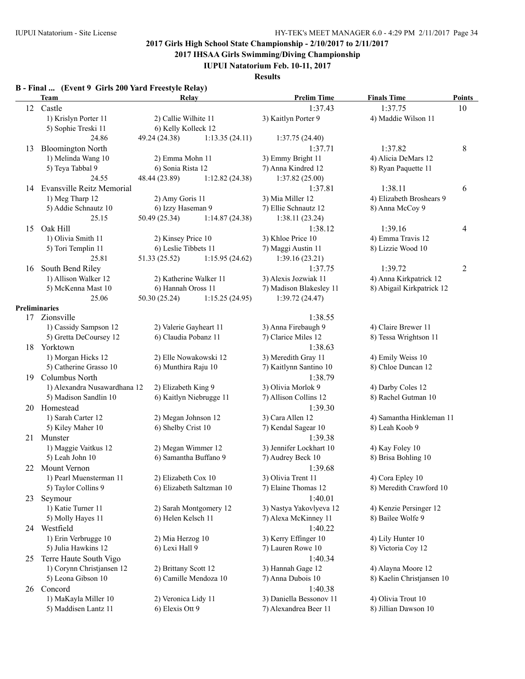**2017 IHSAA Girls Swimming/Diving Championship**

**IUPUI Natatorium Feb. 10-11, 2017**

**Results**

# **B - Final ... (Event 9 Girls 200 Yard Freestyle Relay)**

|     | <b>Team</b>                      | Relay                   |                          | <b>Prelim Time</b>      | <b>Finals Time</b>        | <b>Points</b>  |
|-----|----------------------------------|-------------------------|--------------------------|-------------------------|---------------------------|----------------|
| 12  | Castle                           |                         |                          | 1:37.43                 | 1:37.75                   | 10             |
|     | 1) Krislyn Porter 11             | 2) Callie Wilhite 11    |                          | 3) Kaitlyn Porter 9     | 4) Maddie Wilson 11       |                |
|     | 5) Sophie Treski 11              | 6) Kelly Kolleck 12     |                          |                         |                           |                |
|     | 24.86                            | 49.24 (24.38)           | 1:13.35(24.11)           | 1:37.75(24.40)          |                           |                |
| 13  | <b>Bloomington North</b>         |                         |                          | 1:37.71                 | 1:37.82                   | 8              |
|     | 1) Melinda Wang 10               | 2) Emma Mohn 11         |                          | 3) Emmy Bright 11       | 4) Alicia DeMars 12       |                |
|     | 5) Teya Tabbal 9                 | 6) Sonia Rista 12       |                          | 7) Anna Kindred 12      | 8) Ryan Paquette 11       |                |
|     | 24.55                            | 48.44 (23.89)           | 1:12.82(24.38)           | 1:37.82(25.00)          |                           |                |
| 14  | <b>Evansville Reitz Memorial</b> |                         |                          | 1:37.81                 | 1:38.11                   | 6              |
|     | 1) Meg Tharp 12                  | 2) Amy Goris 11         |                          | 3) Mia Miller 12        | 4) Elizabeth Broshears 9  |                |
|     | 5) Addie Schnautz 10             | 6) Izzy Haseman 9       |                          | 7) Ellie Schnautz 12    | 8) Anna McCoy 9           |                |
|     | 25.15                            | 50.49 (25.34)           | 1:14.87(24.38)           | 1:38.11(23.24)          |                           |                |
| 15  | Oak Hill                         |                         |                          | 1:38.12                 | 1:39.16                   | 4              |
|     | 1) Olivia Smith 11               | 2) Kinsey Price 10      |                          | 3) Khloe Price 10       | 4) Emma Travis 12         |                |
|     |                                  | 6) Leslie Tibbets 11    |                          |                         | 8) Lizzie Wood 10         |                |
|     | 5) Tori Templin 11               |                         |                          | 7) Maggi Austin 11      |                           |                |
|     | 25.81                            | 51.33 (25.52)           | 1:15.95(24.62)           | 1:39.16(23.21)          |                           |                |
| 16  | South Bend Riley                 |                         |                          | 1:37.75                 | 1:39.72                   | $\overline{c}$ |
|     | 1) Allison Walker 12             | 2) Katherine Walker 11  |                          | 3) Alexis Jozwiak 11    | 4) Anna Kirkpatrick 12    |                |
|     | 5) McKenna Mast 10               | 6) Hannah Oross 11      |                          | 7) Madison Blakesley 11 | 8) Abigail Kirkpatrick 12 |                |
|     | 25.06                            | 50.30 (25.24)           | 1:15.25(24.95)           | 1:39.72(24.47)          |                           |                |
|     | <b>Preliminaries</b>             |                         |                          |                         |                           |                |
|     | 17 Zionsville                    |                         |                          | 1:38.55                 |                           |                |
|     | 1) Cassidy Sampson 12            | 2) Valerie Gayheart 11  |                          | 3) Anna Firebaugh 9     | 4) Claire Brewer 11       |                |
|     | 5) Gretta DeCoursey 12           | 6) Claudia Pobanz 11    |                          | 7) Clarice Miles 12     | 8) Tessa Wrightson 11     |                |
|     | 18 Yorktown                      |                         |                          | 1:38.63                 |                           |                |
|     | 1) Morgan Hicks 12               | 2) Elle Nowakowski 12   |                          | 3) Meredith Gray 11     | 4) Emily Weiss 10         |                |
|     | 5) Catherine Grasso 10           | 6) Munthira Raju 10     |                          | 7) Kaitlynn Santino 10  | 8) Chloe Duncan 12        |                |
| 19  | Columbus North                   |                         |                          | 1:38.79                 |                           |                |
|     | 1) Alexandra Nusawardhana 12     | 2) Elizabeth King 9     |                          | 3) Olivia Morlok 9      | 4) Darby Coles 12         |                |
|     | 5) Madison Sandlin 10            | 6) Kaitlyn Niebrugge 11 |                          | 7) Allison Collins 12   | 8) Rachel Gutman 10       |                |
|     | 20 Homestead                     |                         |                          | 1:39.30                 |                           |                |
|     | 1) Sarah Carter 12               | 2) Megan Johnson 12     |                          | 3) Cara Allen 12        | 4) Samantha Hinkleman 11  |                |
|     | 5) Kiley Maher 10                | 6) Shelby Crist 10      |                          | 7) Kendal Sagear 10     | 8) Leah Koob 9            |                |
|     | 21 Munster                       |                         |                          | 1:39.38                 |                           |                |
|     | 1) Maggie Vaitkus 12             | 2) Megan Wimmer 12      |                          | 3) Jennifer Lockhart 10 | 4) Kay Foley 10           |                |
|     | 5) Leah John 10                  | 6) Samantha Buffano 9   |                          | 7) Audrey Beck 10       | 8) Brisa Bohling 10       |                |
| 22. | Mount Vernon                     |                         |                          | 1:39.68                 |                           |                |
|     | 1) Pearl Muensterman 11          | 2) Elizabeth Cox 10     |                          | 3) Olivia Trent 11      | 4) Cora Epley 10          |                |
|     | 5) Taylor Collins 9              |                         | 6) Elizabeth Saltzman 10 | 7) Elaine Thomas 12     | 8) Meredith Crawford 10   |                |
|     |                                  |                         |                          |                         |                           |                |
|     | 23 Seymour                       |                         |                          | 1:40.01                 |                           |                |
|     | 1) Katie Turner 11               |                         | 2) Sarah Montgomery 12   | 3) Nastya Yakovlyeva 12 | 4) Kenzie Persinger 12    |                |
|     | 5) Molly Hayes 11                | 6) Helen Kelsch 11      |                          | 7) Alexa McKinney 11    | 8) Bailee Wolfe 9         |                |
| 24  | Westfield                        |                         |                          | 1:40.22                 |                           |                |
|     | 1) Erin Verbrugge 10             | 2) Mia Herzog 10        |                          | 3) Kerry Effinger 10    | 4) Lily Hunter 10         |                |
|     | 5) Julia Hawkins 12              | 6) Lexi Hall 9          |                          | 7) Lauren Rowe 10       | 8) Victoria Coy 12        |                |
|     | 25 Terre Haute South Vigo        |                         |                          | 1:40.34                 |                           |                |
|     | 1) Corynn Christjansen 12        | 2) Brittany Scott 12    |                          | 3) Hannah Gage 12       | 4) Alayna Moore 12        |                |
|     | 5) Leona Gibson 10               | 6) Camille Mendoza 10   |                          | 7) Anna Dubois 10       | 8) Kaelin Christjansen 10 |                |
|     | Concord                          |                         |                          | 1:40.38                 |                           |                |
| 26  |                                  |                         |                          |                         |                           |                |
|     | 1) MaKayla Miller 10             | 2) Veronica Lidy 11     |                          | 3) Daniella Bessonov 11 | 4) Olivia Trout 10        |                |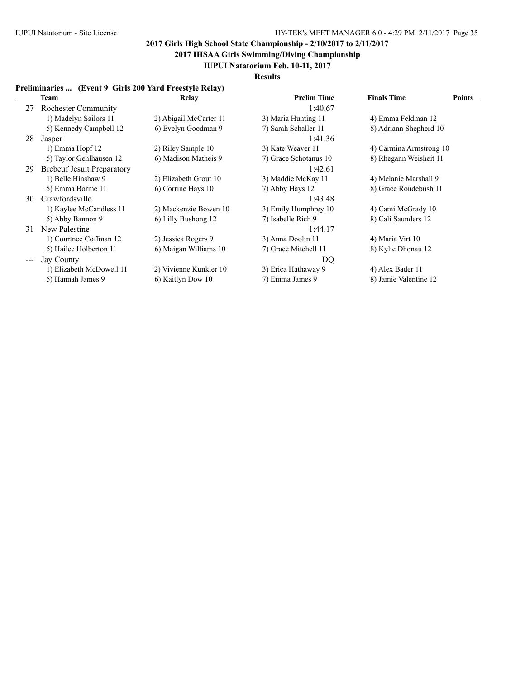**2017 IHSAA Girls Swimming/Diving Championship**

**IUPUI Natatorium Feb. 10-11, 2017**

**Results**

### **Preliminaries ... (Event 9 Girls 200 Yard Freestyle Relay)**

|                                             | Team                              | Relay                  | <b>Prelim Time</b>    | <b>Finals Time</b>      | <b>Points</b> |
|---------------------------------------------|-----------------------------------|------------------------|-----------------------|-------------------------|---------------|
| 27                                          | <b>Rochester Community</b>        |                        | 1:40.67               |                         |               |
|                                             | 1) Madelyn Sailors 11             | 2) Abigail McCarter 11 | 3) Maria Hunting 11   | 4) Emma Feldman 12      |               |
|                                             | 5) Kennedy Campbell 12            | 6) Evelyn Goodman 9    | 7) Sarah Schaller 11  | 8) Adriann Shepherd 10  |               |
| 28                                          | Jasper                            |                        | 1:41.36               |                         |               |
|                                             | 1) Emma Hopf 12                   | 2) Riley Sample 10     | 3) Kate Weaver 11     | 4) Carmina Armstrong 10 |               |
|                                             | 5) Taylor Gehlhausen 12           | 6) Madison Matheis 9   | 7) Grace Schotanus 10 | 8) Rhegann Weisheit 11  |               |
| 29                                          | <b>Brebeuf Jesuit Preparatory</b> |                        | 1:42.61               |                         |               |
|                                             | 1) Belle Hinshaw 9                | 2) Elizabeth Grout 10  | 3) Maddie McKay 11    | 4) Melanie Marshall 9   |               |
|                                             | 5) Emma Borme 11                  | 6) Corrine Hays 10     | 7) Abby Hays 12       | 8) Grace Roudebush 11   |               |
| 30                                          | Crawfordsville                    |                        | 1:43.48               |                         |               |
|                                             | 1) Kaylee McCandless 11           | 2) Mackenzie Bowen 10  | 3) Emily Humphrey 10  | 4) Cami McGrady 10      |               |
|                                             | 5) Abby Bannon 9                  | 6) Lilly Bushong 12    | 7) Isabelle Rich 9    | 8) Cali Saunders 12     |               |
| 31                                          | New Palestine                     |                        | 1:44.17               |                         |               |
|                                             | 1) Courtnee Coffman 12            | 2) Jessica Rogers 9    | 3) Anna Doolin 11     | 4) Maria Virt 10        |               |
|                                             | 5) Hailee Holberton 11            | 6) Maigan Williams 10  | 7) Grace Mitchell 11  | 8) Kylie Dhonau 12      |               |
| $\scriptstyle \cdots$ $\scriptstyle \cdots$ | Jay County                        |                        | DQ                    |                         |               |
|                                             | 1) Elizabeth McDowell 11          | 2) Vivienne Kunkler 10 | 3) Erica Hathaway 9   | 4) Alex Bader 11        |               |
|                                             | 5) Hannah James 9                 | 6) Kaitlyn Dow 10      | 7) Emma James 9       | 8) Jamie Valentine 12   |               |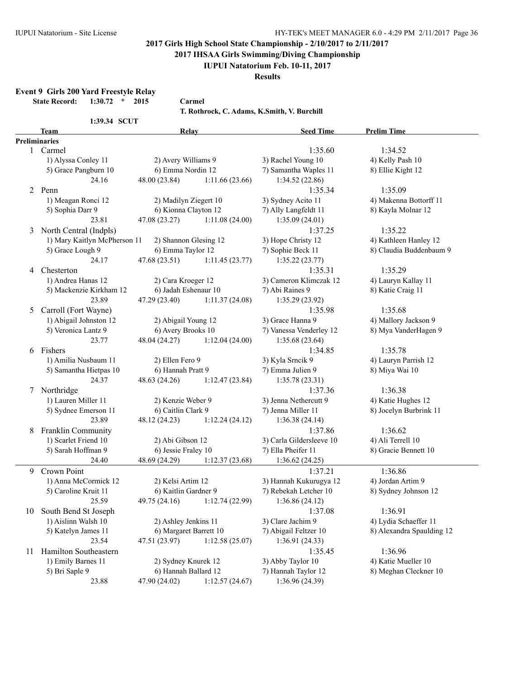**2017 IHSAA Girls Swimming/Diving Championship**

### **IUPUI Natatorium Feb. 10-11, 2017**

**Results**

**Event 9 Girls 200 Yard Freestyle Relay**

**State Record: 1:30.72 \* 2015 Carmel**

**T. Rothrock, C. Adams, K.Smith, V. Burchill**

|                 | <b>Team</b>                                   | <b>Relay</b>           |                | <b>Seed Time</b>         | <b>Prelim Time</b>        |
|-----------------|-----------------------------------------------|------------------------|----------------|--------------------------|---------------------------|
|                 | Preliminaries                                 |                        |                |                          |                           |
| 1               | Carmel                                        |                        |                | 1:35.60                  | 1:34.52                   |
|                 | 1) Alyssa Conley 11                           | 2) Avery Williams 9    |                | 3) Rachel Young 10       | 4) Kelly Pash 10          |
|                 | 5) Grace Pangburn 10                          | 6) Emma Nordin 12      |                | 7) Samantha Waples 11    | 8) Ellie Kight 12         |
|                 | 24.16                                         | 48.00 (23.84)          | 1:11.66(23.66) | 1:34.52 (22.86)          |                           |
|                 | 2 Penn                                        |                        |                | 1:35.34                  | 1:35.09                   |
|                 | 1) Meagan Ronci 12                            | 2) Madilyn Ziegert 10  |                | 3) Sydney Acito 11       | 4) Makenna Bottorff 11    |
|                 | 5) Sophia Darr 9                              | 6) Kionna Clayton 12   |                | 7) Ally Langfeldt 11     | 8) Kayla Molnar 12        |
|                 | 23.81                                         | 47.08 (23.27)          | 1:11.08(24.00) | 1:35.09(24.01)           |                           |
| 3               | North Central (Indpls)                        |                        |                | 1:37.25                  | 1:35.22                   |
|                 | 1) Mary Kaitlyn McPherson 11                  | 2) Shannon Glesing 12  |                | 3) Hope Christy 12       | 4) Kathleen Hanley 12     |
|                 | 5) Grace Lough 9                              | 6) Emma Taylor 12      |                | 7) Sophie Beck 11        | 8) Claudia Buddenbaum 9   |
|                 | 24.17                                         | 47.68 (23.51)          | 1:11.45(23.77) | 1:35.22(23.77)           |                           |
| 4               | Chesterton                                    |                        |                | 1:35.31                  | 1:35.29                   |
|                 | 1) Andrea Hanas 12                            | 2) Cara Kroeger 12     |                | 3) Cameron Klimczak 12   | 4) Lauryn Kallay 11       |
|                 | 5) Mackenzie Kirkham 12                       | 6) Jadah Eshenaur 10   |                | 7) Abi Raines 9          | 8) Katie Craig 11         |
|                 | 23.89                                         | 47.29 (23.40)          | 1:11.37(24.08) | 1:35.29(23.92)           |                           |
|                 | Carroll (Fort Wayne)                          |                        |                | 1:35.98                  | 1:35.68                   |
| 5               |                                               |                        |                |                          |                           |
|                 | 1) Abigail Johnston 12<br>5) Veronica Lantz 9 | 2) Abigail Young 12    |                | 3) Grace Hanna 9         | 4) Mallory Jackson 9      |
|                 |                                               | 6) Avery Brooks 10     |                | 7) Vanessa Venderley 12  | 8) Mya VanderHagen 9      |
|                 | 23.77                                         | 48.04 (24.27)          | 1:12.04(24.00) | 1:35.68(23.64)           |                           |
| 6               | Fishers                                       |                        |                | 1:34.85                  | 1:35.78                   |
|                 | 1) Amilia Nusbaum 11                          | 2) Ellen Fero 9        |                | 3) Kyla Srncik 9         | 4) Lauryn Parrish 12      |
|                 | 5) Samantha Hietpas 10                        | 6) Hannah Pratt 9      |                | 7) Emma Julien 9         | 8) Miya Wai 10            |
|                 | 24.37                                         | 48.63 (24.26)          | 1:12.47(23.84) | 1:35.78(23.31)           |                           |
| $7\phantom{.0}$ | Northridge                                    |                        |                | 1:37.36                  | 1:36.38                   |
|                 | 1) Lauren Miller 11                           | 2) Kenzie Weber 9      |                | 3) Jenna Nethercutt 9    | 4) Katie Hughes 12        |
|                 | 5) Sydnee Emerson 11                          | 6) Caitlin Clark 9     |                | 7) Jenna Miller 11       | 8) Jocelyn Burbrink 11    |
|                 | 23.89                                         | 48.12 (24.23)          | 1:12.24(24.12) | 1:36.38(24.14)           |                           |
| 8               | Franklin Community                            |                        |                | 1:37.86                  | 1:36.62                   |
|                 | 1) Scarlet Friend 10                          | 2) Abi Gibson 12       |                | 3) Carla Gildersleeve 10 | 4) Ali Terrell 10         |
|                 | 5) Sarah Hoffman 9                            | 6) Jessie Fraley 10    |                | 7) Ella Pheifer 11       | 8) Gracie Bennett 10      |
|                 | 24.40                                         | 48.69 (24.29)          | 1:12.37(23.68) | 1:36.62(24.25)           |                           |
| 9               | Crown Point                                   |                        |                | 1:37.21                  | 1:36.86                   |
|                 | 1) Anna McCormick 12                          | 2) Kelsi Artim 12      |                | 3) Hannah Kukurugya 12   | 4) Jordan Artim 9         |
|                 | 5) Caroline Kruit 11                          | 6) Kaitlin Gardner 9   |                | 7) Rebekah Letcher 10    | 8) Sydney Johnson 12      |
|                 | 25.59                                         | 49.75 (24.16)          | 1:12.74(22.99) | 1:36.86(24.12)           |                           |
|                 | 10 South Bend St Joseph                       |                        |                | 1:37.08                  | 1:36.91                   |
|                 | 1) Aislinn Walsh 10                           | 2) Ashley Jenkins 11   |                | 3) Clare Jachim 9        | 4) Lydia Schaeffer 11     |
|                 | 5) Katelyn James 11                           | 6) Margaret Barrett 10 |                | 7) Abigail Feltzer 10    | 8) Alexandra Spaulding 12 |
|                 | 23.54                                         | 47.51 (23.97)          | 1:12.58(25.07) | 1:36.91(24.33)           |                           |
| 11              | Hamilton Southeastern                         |                        |                | 1:35.45                  | 1:36.96                   |
|                 | 1) Emily Barnes 11                            | 2) Sydney Knurek 12    |                | 3) Abby Taylor 10        | 4) Katie Mueller 10       |
|                 | 5) Bri Saple 9                                | 6) Hannah Ballard 12   |                |                          |                           |
|                 |                                               |                        |                | 7) Hannah Taylor 12      | 8) Meghan Cleckner 10     |
|                 | 23.88                                         | 47.90 (24.02)          | 1:12.57(24.67) | 1:36.96(24.39)           |                           |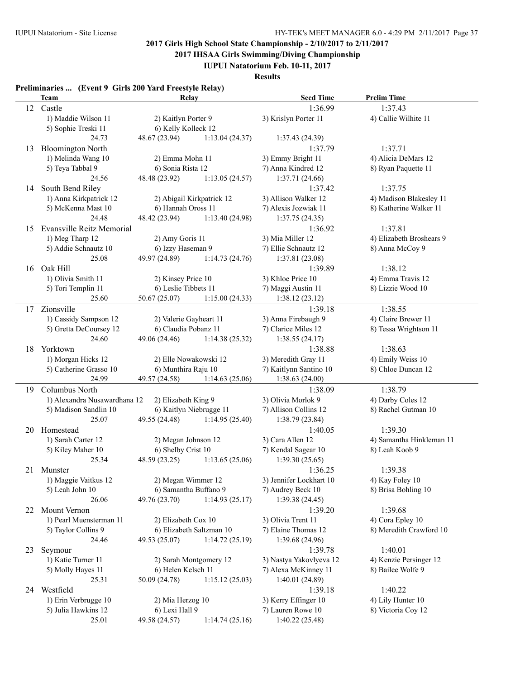**2017 IHSAA Girls Swimming/Diving Championship**

**IUPUI Natatorium Feb. 10-11, 2017**

**Results**

### **Preliminaries ... (Event 9 Girls 200 Yard Freestyle Relay)**

|    | <b>Team</b>                      | Relay                   |                           | <b>Seed Time</b>        | <b>Prelim Time</b>       |
|----|----------------------------------|-------------------------|---------------------------|-------------------------|--------------------------|
| 12 | Castle                           |                         |                           | 1:36.99                 | 1:37.43                  |
|    | 1) Maddie Wilson 11              | 2) Kaitlyn Porter 9     |                           | 3) Krislyn Porter 11    | 4) Callie Wilhite 11     |
|    | 5) Sophie Treski 11              | 6) Kelly Kolleck 12     |                           |                         |                          |
|    | 24.73                            | 48.67 (23.94)           | 1:13.04(24.37)            | 1:37.43(24.39)          |                          |
| 13 | <b>Bloomington North</b>         |                         |                           | 1:37.79                 | 1:37.71                  |
|    | 1) Melinda Wang 10               | 2) Emma Mohn 11         |                           | 3) Emmy Bright 11       | 4) Alicia DeMars 12      |
|    | 5) Teya Tabbal 9                 | 6) Sonia Rista 12       |                           | 7) Anna Kindred 12      | 8) Ryan Paquette 11      |
|    | 24.56                            | 48.48 (23.92)           | 1:13.05(24.57)            | 1:37.71(24.66)          |                          |
| 14 | South Bend Riley                 |                         |                           | 1:37.42                 | 1:37.75                  |
|    | 1) Anna Kirkpatrick 12           |                         | 2) Abigail Kirkpatrick 12 | 3) Allison Walker 12    | 4) Madison Blakesley 11  |
|    | 5) McKenna Mast 10               | 6) Hannah Oross 11      |                           | 7) Alexis Jozwiak 11    | 8) Katherine Walker 11   |
|    | 24.48                            | 48.42 (23.94)           | 1:13.40 (24.98)           | 1:37.75(24.35)          |                          |
| 15 | <b>Evansville Reitz Memorial</b> |                         |                           | 1:36.92                 | 1:37.81                  |
|    | 1) Meg Tharp 12                  | 2) Amy Goris 11         |                           | 3) Mia Miller 12        | 4) Elizabeth Broshears 9 |
|    | 5) Addie Schnautz 10             | 6) Izzy Haseman 9       |                           | 7) Ellie Schnautz 12    | 8) Anna McCoy 9          |
|    | 25.08                            | 49.97 (24.89)           | 1:14.73(24.76)            | 1:37.81(23.08)          |                          |
| 16 | Oak Hill                         |                         |                           | 1:39.89                 | 1:38.12                  |
|    | 1) Olivia Smith 11               | 2) Kinsey Price 10      |                           | 3) Khloe Price 10       | 4) Emma Travis 12        |
|    | 5) Tori Templin 11               | 6) Leslie Tibbets 11    |                           | 7) Maggi Austin 11      | 8) Lizzie Wood 10        |
|    | 25.60                            | 50.67 (25.07)           | 1:15.00(24.33)            | 1:38.12(23.12)          |                          |
| 17 | Zionsville                       |                         |                           | 1:39.18                 | 1:38.55                  |
|    | 1) Cassidy Sampson 12            | 2) Valerie Gayheart 11  |                           | 3) Anna Firebaugh 9     | 4) Claire Brewer 11      |
|    | 5) Gretta DeCoursey 12           | 6) Claudia Pobanz 11    |                           | 7) Clarice Miles 12     | 8) Tessa Wrightson 11    |
|    | 24.60                            | 49.06 (24.46)           | 1:14.38(25.32)            | 1:38.55(24.17)          |                          |
| 18 | Yorktown                         |                         |                           | 1:38.88                 | 1:38.63                  |
|    | 1) Morgan Hicks 12               | 2) Elle Nowakowski 12   |                           | 3) Meredith Gray 11     | 4) Emily Weiss 10        |
|    | 5) Catherine Grasso 10           | 6) Munthira Raju 10     |                           | 7) Kaitlynn Santino 10  | 8) Chloe Duncan 12       |
|    | 24.99                            | 49.57 (24.58)           | 1:14.63(25.06)            | 1:38.63(24.00)          |                          |
| 19 | Columbus North                   |                         |                           | 1:38.09                 | 1:38.79                  |
|    | 1) Alexandra Nusawardhana 12     | 2) Elizabeth King 9     |                           | 3) Olivia Morlok 9      | 4) Darby Coles 12        |
|    | 5) Madison Sandlin 10            | 6) Kaitlyn Niebrugge 11 |                           | 7) Allison Collins 12   | 8) Rachel Gutman 10      |
|    | 25.07                            | 49.55 (24.48)           | 1:14.95(25.40)            | 1:38.79 (23.84)         |                          |
| 20 | Homestead                        |                         |                           | 1:40.05                 | 1:39.30                  |
|    | 1) Sarah Carter 12               | 2) Megan Johnson 12     |                           | 3) Cara Allen 12        | 4) Samantha Hinkleman 11 |
|    | 5) Kiley Maher 10                | 6) Shelby Crist 10      |                           | 7) Kendal Sagear 10     | 8) Leah Koob 9           |
|    | 25.34                            | 48.59 (23.25)           | 1:13.65(25.06)            | 1:39.30(25.65)          |                          |
| 21 | Munster                          |                         |                           | 1:36.25                 | 1:39.38                  |
|    | 1) Maggie Vaitkus 12             | 2) Megan Wimmer 12      |                           | 3) Jennifer Lockhart 10 | 4) Kay Foley 10          |
|    | 5) Leah John 10                  | 6) Samantha Buffano 9   |                           | 7) Audrey Beck 10       | 8) Brisa Bohling 10      |
|    | 26.06                            | 49.76 (23.70)           | 1:14.93(25.17)            | 1:39.38(24.45)          |                          |
| 22 | <b>Mount Vernon</b>              |                         |                           | 1:39.20                 | 1:39.68                  |
|    | 1) Pearl Muensterman 11          | 2) Elizabeth Cox 10     |                           | 3) Olivia Trent 11      | 4) Cora Epley 10         |
|    | 5) Taylor Collins 9              |                         | 6) Elizabeth Saltzman 10  | 7) Elaine Thomas 12     | 8) Meredith Crawford 10  |
|    | 24.46                            | 49.53 (25.07)           | 1:14.72(25.19)            | 1:39.68(24.96)          |                          |
| 23 | Seymour                          |                         |                           | 1:39.78                 | 1:40.01                  |
|    | 1) Katie Turner 11               |                         | 2) Sarah Montgomery 12    | 3) Nastya Yakovlyeva 12 | 4) Kenzie Persinger 12   |
|    | 5) Molly Hayes 11                | 6) Helen Kelsch 11      |                           | 7) Alexa McKinney 11    | 8) Bailee Wolfe 9        |
|    | 25.31                            | 50.09 (24.78)           | 1:15.12(25.03)            | 1:40.01(24.89)          |                          |
|    | 24 Westfield                     |                         |                           | 1:39.18                 | 1:40.22                  |
|    | 1) Erin Verbrugge 10             | 2) Mia Herzog 10        |                           | 3) Kerry Effinger 10    | 4) Lily Hunter 10        |
|    | 5) Julia Hawkins 12              | 6) Lexi Hall 9          |                           | 7) Lauren Rowe 10       | 8) Victoria Coy 12       |
|    | 25.01                            | 49.58 (24.57)           | 1:14.74(25.16)            | 1:40.22 (25.48)         |                          |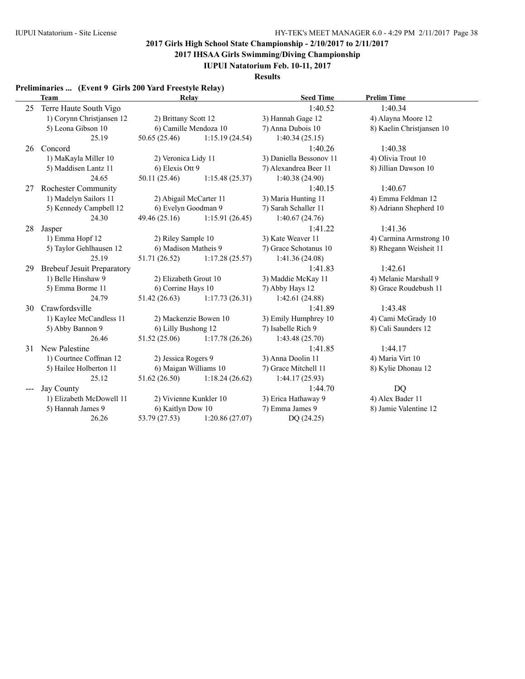**2017 IHSAA Girls Swimming/Diving Championship**

**IUPUI Natatorium Feb. 10-11, 2017**

**Results**

### **Preliminaries ... (Event 9 Girls 200 Yard Freestyle Relay)**

|     | <b>Team</b>                       | Relay                  |                       | <b>Seed Time</b>        | <b>Prelim Time</b>        |
|-----|-----------------------------------|------------------------|-----------------------|-------------------------|---------------------------|
| 25  | Terre Haute South Vigo            |                        |                       | 1:40.52                 | 1:40.34                   |
|     | 1) Corynn Christjansen 12         | 2) Brittany Scott 12   |                       | 3) Hannah Gage 12       | 4) Alayna Moore 12        |
|     | 5) Leona Gibson 10                | 6) Camille Mendoza 10  |                       | 7) Anna Dubois 10       | 8) Kaelin Christjansen 10 |
|     | 25.19                             | 50.65(25.46)           | 1:15.19(24.54)        | 1:40.34(25.15)          |                           |
| 26  | Concord                           |                        |                       | 1:40.26                 | 1:40.38                   |
|     | 1) MaKayla Miller 10              | 2) Veronica Lidy 11    |                       | 3) Daniella Bessonov 11 | 4) Olivia Trout 10        |
|     | 5) Maddisen Lantz 11              | 6) Elexis Ott 9        |                       | 7) Alexandrea Beer 11   | 8) Jillian Dawson 10      |
|     | 24.65                             | 50.11 (25.46)          | 1:15.48(25.37)        | 1:40.38 (24.90)         |                           |
| 27  | <b>Rochester Community</b>        |                        |                       | 1:40.15                 | 1:40.67                   |
|     | 1) Madelyn Sailors 11             | 2) Abigail McCarter 11 |                       | 3) Maria Hunting 11     | 4) Emma Feldman 12        |
|     | 5) Kennedy Campbell 12            | 6) Evelyn Goodman 9    |                       | 7) Sarah Schaller 11    | 8) Adriann Shepherd 10    |
|     | 24.30                             | 49.46 (25.16)          | 1:15.91(26.45)        | 1:40.67(24.76)          |                           |
| 28  | Jasper                            |                        |                       | 1:41.22                 | 1:41.36                   |
|     | 1) Emma Hopf 12                   | 2) Riley Sample 10     |                       | 3) Kate Weaver 11       | 4) Carmina Armstrong 10   |
|     | 5) Taylor Gehlhausen 12           | 6) Madison Matheis 9   |                       | 7) Grace Schotanus 10   | 8) Rhegann Weisheit 11    |
|     | 25.19                             | 51.71 (26.52)          | 1:17.28(25.57)        | 1:41.36 (24.08)         |                           |
| 29  | <b>Brebeuf Jesuit Preparatory</b> |                        |                       | 1:41.83                 | 1:42.61                   |
|     | 1) Belle Hinshaw 9                | 2) Elizabeth Grout 10  |                       | 3) Maddie McKay 11      | 4) Melanie Marshall 9     |
|     | 5) Emma Borme 11                  | 6) Corrine Hays 10     |                       | 7) Abby Hays 12         | 8) Grace Roudebush 11     |
|     | 24.79                             | 51.42(26.63)           | 1:17.73(26.31)        | 1:42.61(24.88)          |                           |
| 30  | Crawfordsville                    |                        |                       | 1:41.89                 | 1:43.48                   |
|     | 1) Kaylee McCandless 11           |                        | 2) Mackenzie Bowen 10 | 3) Emily Humphrey 10    | 4) Cami McGrady 10        |
|     | 5) Abby Bannon 9                  | 6) Lilly Bushong 12    |                       | 7) Isabelle Rich 9      | 8) Cali Saunders 12       |
|     | 26.46                             | 51.52(25.06)           | 1:17.78(26.26)        | 1:43.48(25.70)          |                           |
| 31  | New Palestine                     |                        |                       | 1:41.85                 | 1:44.17                   |
|     | 1) Courtnee Coffman 12            | 2) Jessica Rogers 9    |                       | 3) Anna Doolin 11       | 4) Maria Virt 10          |
|     | 5) Hailee Holberton 11            | 6) Maigan Williams 10  |                       | 7) Grace Mitchell 11    | 8) Kylie Dhonau 12        |
|     | 25.12                             | 51.62 (26.50)          | 1:18.24(26.62)        | 1:44.17(25.93)          |                           |
| --- | <b>Jay County</b>                 |                        |                       | 1:44.70                 | <b>DQ</b>                 |
|     | 1) Elizabeth McDowell 11          | 2) Vivienne Kunkler 10 |                       | 3) Erica Hathaway 9     | 4) Alex Bader 11          |
|     | 5) Hannah James 9                 | 6) Kaitlyn Dow 10      |                       | 7) Emma James 9         | 8) Jamie Valentine 12     |
|     | 26.26                             | 53.79 (27.53)          | 1:20.86(27.07)        | DQ (24.25)              |                           |
|     |                                   |                        |                       |                         |                           |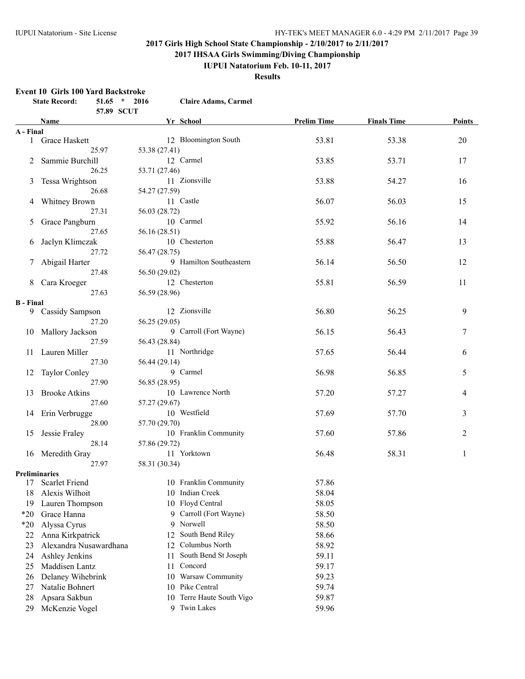**2017 IHSAA Girls Swimming/Diving Championship**

### **IUPUI Natatorium Feb. 10-11, 2017**

**Results**

#### **Event 10 Girls 100 Yard Backstroke**

|                  | <b>State Record:</b><br>$51.65$ * 2016 |               | <b>Claire Adams, Carmel</b> |                    |                    |               |
|------------------|----------------------------------------|---------------|-----------------------------|--------------------|--------------------|---------------|
|                  | 57.89 SCUT                             |               |                             |                    |                    |               |
|                  | Name                                   |               | Yr School                   | <b>Prelim Time</b> | <b>Finals Time</b> | <b>Points</b> |
| A - Final        |                                        |               |                             |                    |                    |               |
|                  | 1 Grace Haskett                        |               | 12 Bloomington South        | 53.81              | 53.38              | 20            |
|                  | 25.97                                  | 53.38 (27.41) |                             |                    |                    |               |
|                  | 2 Sammie Burchill                      |               | 12 Carmel                   | 53.85              | 53.71              | 17            |
|                  | 26.25                                  | 53.71 (27.46) |                             |                    |                    |               |
|                  | 3 Tessa Wrightson                      |               | 11 Zionsville               | 53.88              | 54.27              | 16            |
|                  | 26.68                                  | 54.27 (27.59) |                             |                    |                    |               |
|                  | 4 Whitney Brown                        |               | 11 Castle                   | 56.07              | 56.03              | 15            |
|                  | 27.31                                  | 56.03 (28.72) |                             |                    |                    |               |
|                  | 5 Grace Pangburn                       |               | 10 Carmel                   | 55.92              | 56.16              | 14            |
|                  | 27.65                                  | 56.16 (28.51) |                             |                    |                    |               |
| 6                | Jaclyn Klimczak                        |               | 10 Chesterton               | 55.88              | 56.47              | 13            |
|                  | 27.72                                  | 56.47 (28.75) |                             |                    |                    |               |
| 7                | Abigail Harter                         |               | 9 Hamilton Southeastern     | 56.14              | 56.50              | 12            |
|                  | 27.48                                  | 56.50 (29.02) |                             |                    |                    |               |
|                  | 8 Cara Kroeger                         |               | 12 Chesterton               | 55.81              | 56.59              | 11            |
|                  | 27.63                                  | 56.59 (28.96) |                             |                    |                    |               |
| <b>B</b> - Final |                                        |               |                             |                    |                    |               |
|                  | 9 Cassidy Sampson                      |               | 12 Zionsville               | 56.80              | 56.25              | 9             |
|                  | 27.20                                  | 56.25 (29.05) |                             |                    |                    |               |
|                  | 10 Mallory Jackson                     |               | 9 Carroll (Fort Wayne)      | 56.15              | 56.43              | 7             |
|                  | 27.59                                  | 56.43 (28.84) |                             |                    |                    |               |
|                  | 11 Lauren Miller                       |               | 11 Northridge               | 57.65              | 56.44              | 6             |
|                  | 27.30                                  | 56.44 (29.14) |                             |                    |                    |               |
|                  | 12 Taylor Conley                       |               | 9 Carmel                    | 56.98              | 56.85              | 5             |
|                  | 27.90                                  | 56.85 (28.95) |                             |                    |                    |               |
| 13               | <b>Brooke Atkins</b>                   |               | 10 Lawrence North           | 57.20              | 57.27              | 4             |
|                  | 27.60                                  | 57.27 (29.67) |                             |                    |                    |               |
|                  | 14 Erin Verbrugge                      |               | 10 Westfield                | 57.69              | 57.70              | 3             |
|                  | 28.00                                  | 57.70 (29.70) |                             |                    |                    |               |
| 15               | Jessie Fraley                          |               | 10 Franklin Community       | 57.60              | 57.86              | 2             |
|                  | 28.14                                  | 57.86 (29.72) |                             |                    |                    |               |
|                  | 16 Meredith Gray                       |               | 11 Yorktown                 | 56.48              | 58.31              | 1             |
|                  | 27.97                                  | 58.31 (30.34) |                             |                    |                    |               |
|                  | <b>Preliminaries</b>                   |               |                             |                    |                    |               |
|                  | 17 Scarlet Friend                      |               | 10 Franklin Community       | 57.86              |                    |               |
| 18               | Alexis Wilhoit                         |               | 10 Indian Creek             | 58.04              |                    |               |
| 19               | Lauren Thompson                        | 10            | Floyd Central               | 58.05              |                    |               |
| $*20$            | Grace Hanna                            | 9.            | Carroll (Fort Wayne)        | 58.50              |                    |               |
| $*20$            | Alyssa Cyrus                           | 9             | Norwell                     | 58.50              |                    |               |
| 22               | Anna Kirkpatrick                       | 12            | South Bend Riley            | 58.66              |                    |               |
| 23               | Alexandra Nusawardhana                 | 12            | Columbus North              | 58.92              |                    |               |
| 24               | Ashley Jenkins                         | 11            | South Bend St Joseph        | 59.11              |                    |               |
| 25               | Maddisen Lantz                         | 11            | Concord                     | 59.17              |                    |               |
| 26               | Delaney Wihebrink                      | 10            | Warsaw Community            | 59.23              |                    |               |
| 27               | Natalie Bohnert                        | 10            | Pike Central                | 59.74              |                    |               |
| 28               | Apsara Sakbun                          | 10            | Terre Haute South Vigo      | 59.87              |                    |               |
| 29               | McKenzie Vogel                         | 9             | <b>Twin Lakes</b>           | 59.96              |                    |               |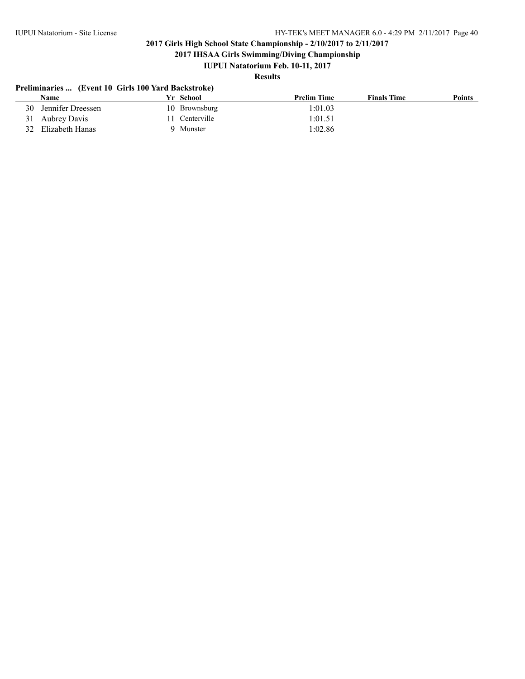**2017 IHSAA Girls Swimming/Diving Championship**

## **IUPUI Natatorium Feb. 10-11, 2017**

# **Results**

### **Preliminaries ... (Event 10 Girls 100 Yard Backstroke)**

|    | <b>Name</b>       | Yr School      | <b>Prelim Time</b> | <b>Finals Time</b> | <b>Points</b> |
|----|-------------------|----------------|--------------------|--------------------|---------------|
| 30 | Jennifer Dreessen | 10 Brownsburg  | 1:01.03            |                    |               |
|    | 31 Aubrey Davis   | 11 Centerville | 1:01.51            |                    |               |
| 32 | Elizabeth Hanas   | 9 Munster      | 1:02.86            |                    |               |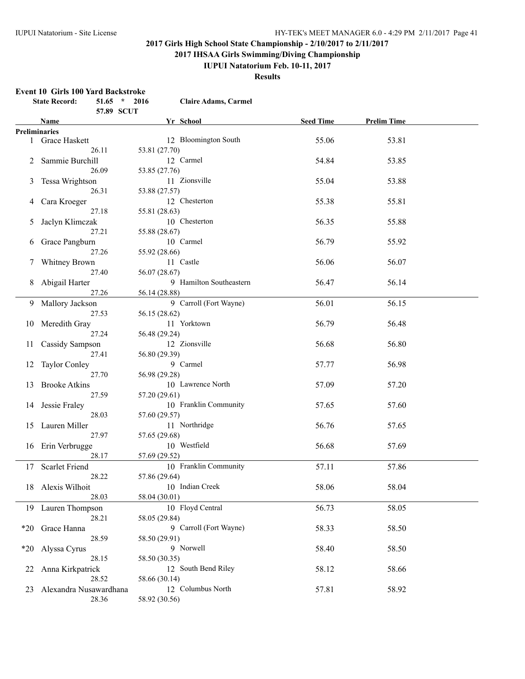**2017 IHSAA Girls Swimming/Diving Championship**

## **IUPUI Natatorium Feb. 10-11, 2017**

**Results**

#### **Event 10 Girls 100 Yard Backstroke**

|                 | <b>State Record:</b>                    |                | $51.65$ * 2016                 | <b>Claire Adams, Carmel</b> |           |                    |  |
|-----------------|-----------------------------------------|----------------|--------------------------------|-----------------------------|-----------|--------------------|--|
|                 |                                         |                | 57.89 SCUT                     |                             |           |                    |  |
|                 | Name                                    |                |                                | Yr School                   | Seed Time | <b>Prelim Time</b> |  |
|                 | <b>Preliminaries</b><br>1 Grace Haskett |                |                                | 12 Bloomington South        | 55.06     | 53.81              |  |
| 2               | Sammie Burchill                         | 26.11          | 53.81 (27.70)                  | 12 Carmel                   | 54.84     | 53.85              |  |
| 3               | Tessa Wrightson                         | 26.09          | 53.85 (27.76)                  | 11 Zionsville               | 55.04     | 53.88              |  |
| 4               | Cara Kroeger                            | 26.31          | 53.88 (27.57)                  | 12 Chesterton               | 55.38     | 55.81              |  |
| 5               | Jaclyn Klimczak                         | 27.18          | 55.81 (28.63)                  | 10 Chesterton               | 56.35     | 55.88              |  |
| 6               | Grace Pangburn                          | 27.21          | 55.88 (28.67)                  | 10 Carmel                   | 56.79     | 55.92              |  |
| $7\phantom{.0}$ | Whitney Brown                           | 27.26<br>27.40 | 55.92 (28.66)<br>56.07 (28.67) | 11 Castle                   | 56.06     | 56.07              |  |
| 8               | Abigail Harter                          | 27.26          | 56.14 (28.88)                  | 9 Hamilton Southeastern     | 56.47     | 56.14              |  |
|                 | 9 Mallory Jackson                       | 27.53          | 56.15 (28.62)                  | 9 Carroll (Fort Wayne)      | 56.01     | 56.15              |  |
|                 | 10 Meredith Gray                        | 27.24          | 56.48 (29.24)                  | 11 Yorktown                 | 56.79     | 56.48              |  |
| 11              | Cassidy Sampson                         | 27.41          | 56.80 (29.39)                  | 12 Zionsville               | 56.68     | 56.80              |  |
| 12              | <b>Taylor Conley</b>                    | 27.70          | 56.98 (29.28)                  | 9 Carmel                    | 57.77     | 56.98              |  |
| 13              | <b>Brooke Atkins</b>                    | 27.59          | 57.20 (29.61)                  | 10 Lawrence North           | 57.09     | 57.20              |  |
|                 | 14 Jessie Fraley                        | 28.03          | 57.60 (29.57)                  | 10 Franklin Community       | 57.65     | 57.60              |  |
|                 | 15 Lauren Miller                        | 27.97          | 57.65 (29.68)                  | 11 Northridge               | 56.76     | 57.65              |  |
|                 | 16 Erin Verbrugge                       | 28.17          | 57.69 (29.52)                  | 10 Westfield                | 56.68     | 57.69              |  |
| 17              | <b>Scarlet Friend</b>                   | 28.22          | 57.86 (29.64)                  | 10 Franklin Community       | 57.11     | 57.86              |  |
|                 | 18 Alexis Wilhoit                       | 28.03          | 58.04 (30.01)                  | 10 Indian Creek             | 58.06     | 58.04              |  |
|                 | 19 Lauren Thompson                      | 28.21          | 58.05 (29.84)                  | 10 Floyd Central            | 56.73     | 58.05              |  |
| $*20$           | Grace Hanna                             | 28.59          | 58.50 (29.91)                  | 9 Carroll (Fort Wayne)      | 58.33     | 58.50              |  |
| $*20$           | Alyssa Cyrus                            | 28.15          | 58.50 (30.35)                  | 9 Norwell                   | 58.40     | 58.50              |  |
| 22              | Anna Kirkpatrick                        | 28.52          | 58.66 (30.14)                  | 12 South Bend Riley         | 58.12     | 58.66              |  |
| 23              | Alexandra Nusawardhana                  | 28.36          | 58.92 (30.56)                  | 12 Columbus North           | 57.81     | 58.92              |  |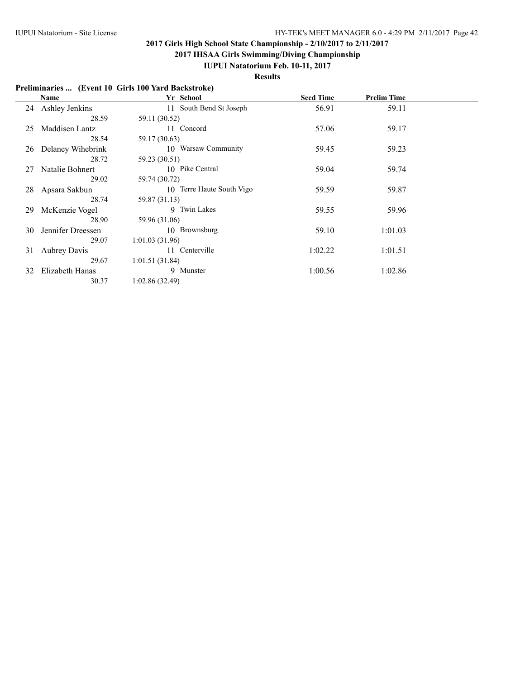**2017 IHSAA Girls Swimming/Diving Championship**

### **IUPUI Natatorium Feb. 10-11, 2017**

**Results**

### **Preliminaries ... (Event 10 Girls 100 Yard Backstroke)**

|    | Name                | Yr School                 | <b>Seed Time</b> | <b>Prelim Time</b> |  |
|----|---------------------|---------------------------|------------------|--------------------|--|
|    | 24 Ashley Jenkins   | 11 South Bend St Joseph   | 56.91            | 59.11              |  |
|    | 28.59               | 59.11 (30.52)             |                  |                    |  |
| 25 | Maddisen Lantz      | 11 Concord                | 57.06            | 59.17              |  |
|    | 28.54               | 59.17 (30.63)             |                  |                    |  |
| 26 | Delaney Wihebrink   | 10 Warsaw Community       | 59.45            | 59.23              |  |
|    | 28.72               | 59.23 (30.51)             |                  |                    |  |
| 27 | Natalie Bohnert     | 10 Pike Central           | 59.04            | 59.74              |  |
|    | 29.02               | 59.74 (30.72)             |                  |                    |  |
| 28 | Apsara Sakbun       | 10 Terre Haute South Vigo | 59.59            | 59.87              |  |
|    | 28.74               | 59.87 (31.13)             |                  |                    |  |
| 29 | McKenzie Vogel      | 9 Twin Lakes              | 59.55            | 59.96              |  |
|    | 28.90               | 59.96 (31.06)             |                  |                    |  |
| 30 | Jennifer Dreessen   | 10 Brownsburg             | 59.10            | 1:01.03            |  |
|    | 29.07               | 1:01.03(31.96)            |                  |                    |  |
| 31 | <b>Aubrey Davis</b> | 11 Centerville            | 1:02.22          | 1:01.51            |  |
|    | 29.67               | 1:01.51(31.84)            |                  |                    |  |
| 32 | Elizabeth Hanas     | 9 Munster                 | 1:00.56          | 1:02.86            |  |
|    | 30.37               | 1:02.86(32.49)            |                  |                    |  |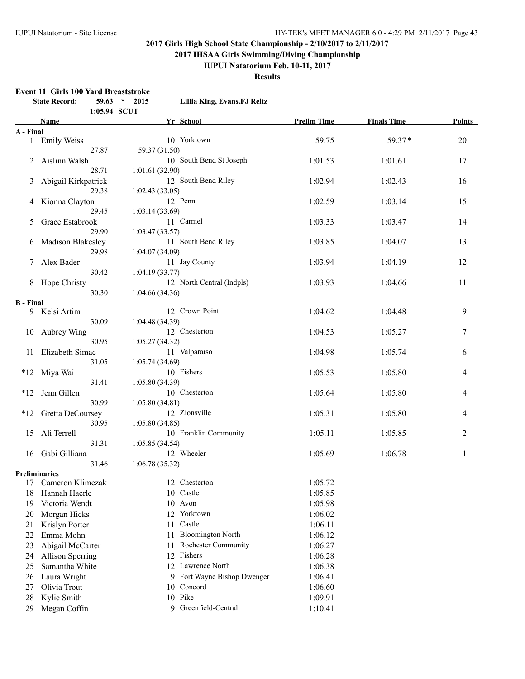**2017 IHSAA Girls Swimming/Diving Championship**

**IUPUI Natatorium Feb. 10-11, 2017**

**Results**

#### **Event 11 Girls 100 Yard Breaststroke**

|                  | <b>State Record:</b>    |              | $59.63$ * 2015 | Lillia King, Evans.FJ Reitz      |                    |                    |               |
|------------------|-------------------------|--------------|----------------|----------------------------------|--------------------|--------------------|---------------|
|                  | <b>Name</b>             | 1:05.94 SCUT |                | Yr School                        | <b>Prelim Time</b> | <b>Finals Time</b> | <b>Points</b> |
| A - Final        |                         |              |                |                                  |                    |                    |               |
|                  | 1 Emily Weiss           |              |                | 10 Yorktown                      | 59.75              | 59.37*             | $20\,$        |
|                  |                         | 27.87        | 59.37 (31.50)  |                                  |                    |                    |               |
| $\overline{2}$   | Aislinn Walsh           |              |                | 10 South Bend St Joseph          | 1:01.53            | 1:01.61            | 17            |
|                  |                         | 28.71        | 1:01.61(32.90) |                                  |                    |                    |               |
| 3                | Abigail Kirkpatrick     |              |                | 12 South Bend Riley              | 1:02.94            | 1:02.43            | 16            |
|                  |                         | 29.38        | 1:02.43(33.05) |                                  |                    |                    |               |
|                  | 4 Kionna Clayton        |              |                | 12 Penn                          | 1:02.59            | 1:03.14            | 15            |
|                  |                         | 29.45        | 1:03.14(33.69) |                                  |                    |                    |               |
| 5                | Grace Estabrook         |              |                | 11 Carmel                        | 1:03.33            | 1:03.47            | 14            |
|                  |                         | 29.90        | 1:03.47(33.57) |                                  |                    |                    |               |
|                  | 6 Madison Blakesley     |              |                | 11 South Bend Riley              | 1:03.85            | 1:04.07            | 13            |
|                  |                         | 29.98        | 1:04.07(34.09) |                                  |                    |                    |               |
| 7                | Alex Bader              |              |                | 11 Jay County                    | 1:03.94            | 1:04.19            | 12            |
|                  |                         | 30.42        | 1:04.19(33.77) |                                  |                    |                    |               |
|                  | 8 Hope Christy          |              |                | 12 North Central (Indpls)        | 1:03.93            | 1:04.66            | 11            |
|                  |                         | 30.30        | 1:04.66(34.36) |                                  |                    |                    |               |
| <b>B</b> - Final |                         |              |                |                                  |                    |                    |               |
|                  | 9 Kelsi Artim           |              |                | 12 Crown Point                   | 1:04.62            | 1:04.48            | 9             |
|                  |                         | 30.09        | 1:04.48(34.39) |                                  |                    |                    |               |
| 10               | Aubrey Wing             |              |                | 12 Chesterton                    | 1:04.53            | 1:05.27            | 7             |
|                  |                         | 30.95        | 1:05.27(34.32) |                                  |                    |                    |               |
| 11               | Elizabeth Simac         |              |                | 11 Valparaiso                    | 1:04.98            | 1:05.74            | 6             |
|                  |                         | 31.05        | 1:05.74(34.69) |                                  |                    |                    |               |
|                  | *12 Miya Wai            |              |                | 10 Fishers                       | 1:05.53            | 1:05.80            | 4             |
|                  |                         | 31.41        | 1:05.80(34.39) |                                  |                    |                    |               |
|                  | *12 Jenn Gillen         |              |                | 10 Chesterton                    | 1:05.64            | 1:05.80            | 4             |
|                  |                         | 30.99        | 1:05.80(34.81) |                                  |                    |                    |               |
|                  | *12 Gretta DeCoursey    |              |                | 12 Zionsville                    | 1:05.31            | 1:05.80            | 4             |
|                  |                         | 30.95        | 1:05.80(34.85) |                                  |                    |                    |               |
|                  | 15 Ali Terrell          |              |                | 10 Franklin Community            | 1:05.11            | 1:05.85            | 2             |
|                  |                         | 31.31        | 1:05.85(34.54) |                                  |                    |                    |               |
|                  | 16 Gabi Gilliana        |              |                | 12 Wheeler                       | 1:05.69            | 1:06.78            | $\mathbf{1}$  |
|                  | <b>Preliminaries</b>    | 31.46        | 1:06.78(35.32) |                                  |                    |                    |               |
|                  | 17 Cameron Klimczak     |              |                | 12 Chesterton                    | 1:05.72            |                    |               |
| 18               | Hannah Haerle           |              |                | 10 Castle                        | 1:05.85            |                    |               |
| 19               | Victoria Wendt          |              |                | 10 Avon                          | 1:05.98            |                    |               |
| 20               | Morgan Hicks            |              |                | 12 Yorktown                      | 1:06.02            |                    |               |
| 21               | Krislyn Porter          |              |                | Castle<br>11                     | 1:06.11            |                    |               |
| 22               | Emma Mohn               |              |                | <b>Bloomington North</b><br>11   | 1:06.12            |                    |               |
| 23               | Abigail McCarter        |              |                | <b>Rochester Community</b><br>11 | 1:06.27            |                    |               |
| 24               | <b>Allison Sperring</b> |              |                | Fishers<br>12                    | 1:06.28            |                    |               |
| 25               | Samantha White          |              |                | 12 Lawrence North                | 1:06.38            |                    |               |
| 26               | Laura Wright            |              |                | Fort Wayne Bishop Dwenger<br>9.  | 1:06.41            |                    |               |
| 27               | Olivia Trout            |              |                | 10 Concord                       | 1:06.60            |                    |               |
| 28               | Kylie Smith             |              |                | 10 Pike                          | 1:09.91            |                    |               |
| 29               | Megan Coffin            |              |                | Greenfield-Central<br>9          | 1:10.41            |                    |               |
|                  |                         |              |                |                                  |                    |                    |               |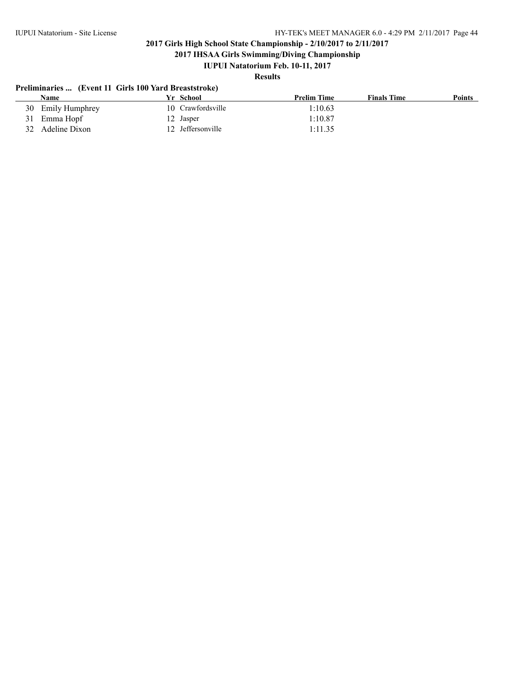**2017 IHSAA Girls Swimming/Diving Championship**

### **IUPUI Natatorium Feb. 10-11, 2017**

### **Results**

### **Preliminaries ... (Event 11 Girls 100 Yard Breaststroke)**

| <b>Name</b>         | Yr School         | <b>Prelim Time</b> | <b>Finals Time</b> | <b>Points</b> |
|---------------------|-------------------|--------------------|--------------------|---------------|
| 30 Emily Humphrey   | 10 Crawfordsville | 1:10.63            |                    |               |
| Emma Hopf<br>31     | 12 Jasper         | 1:10.87            |                    |               |
| Adeline Dixon<br>32 | 12 Jeffersonville | 1:11.35            |                    |               |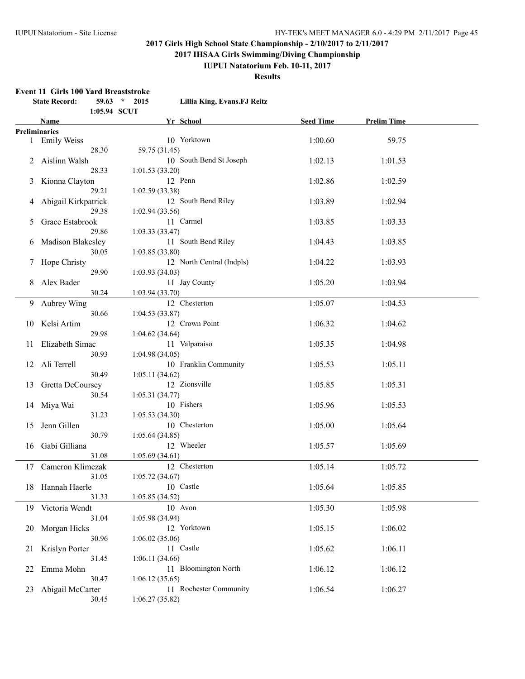**2017 IHSAA Girls Swimming/Diving Championship**

### **IUPUI Natatorium Feb. 10-11, 2017**

**Results**

#### **Event 11 Girls 100 Yard Breaststroke**

|    | <b>State Record:</b> |              | $59.63$ * 2015  | Lillia King, Evans.FJ Reitz |                  |                    |  |
|----|----------------------|--------------|-----------------|-----------------------------|------------------|--------------------|--|
|    |                      | 1:05.94 SCUT |                 |                             |                  |                    |  |
|    | Name                 |              |                 | Yr School                   | <b>Seed Time</b> | <b>Prelim Time</b> |  |
|    | <b>Preliminaries</b> |              |                 |                             |                  |                    |  |
|    | 1 Emily Weiss        |              |                 | 10 Yorktown                 | 1:00.60          | 59.75              |  |
|    |                      | 28.30        | 59.75 (31.45)   |                             |                  |                    |  |
|    | 2 Aislinn Walsh      |              |                 | 10 South Bend St Joseph     | 1:02.13          | 1:01.53            |  |
|    |                      | 28.33        | 1:01.53(33.20)  |                             |                  |                    |  |
|    | 3 Kionna Clayton     |              |                 | 12 Penn                     | 1:02.86          | 1:02.59            |  |
|    |                      | 29.21        | 1:02.59(33.38)  |                             |                  |                    |  |
| 4  | Abigail Kirkpatrick  |              |                 | 12 South Bend Riley         | 1:03.89          | 1:02.94            |  |
|    |                      | 29.38        | 1:02.94(33.56)  |                             |                  |                    |  |
| 5  | Grace Estabrook      |              |                 | 11 Carmel                   | 1:03.85          | 1:03.33            |  |
|    |                      | 29.86        | 1:03.33(33.47)  |                             |                  |                    |  |
| 6  | Madison Blakesley    |              |                 | 11 South Bend Riley         | 1:04.43          | 1:03.85            |  |
|    |                      | 30.05        | 1:03.85(33.80)  |                             |                  |                    |  |
|    | 7 Hope Christy       |              |                 | 12 North Central (Indpls)   | 1:04.22          | 1:03.93            |  |
|    |                      | 29.90        | 1:03.93(34.03)  |                             |                  |                    |  |
| 8  | Alex Bader           |              |                 | 11 Jay County               | 1:05.20          | 1:03.94            |  |
|    |                      | 30.24        | 1:03.94(33.70)  |                             |                  |                    |  |
|    | 9 Aubrey Wing        |              |                 | 12 Chesterton               | 1:05.07          | 1:04.53            |  |
|    |                      | 30.66        | 1:04.53(33.87)  |                             |                  |                    |  |
| 10 | Kelsi Artim          |              |                 | 12 Crown Point              | 1:06.32          | 1:04.62            |  |
|    |                      | 29.98        | 1:04.62(34.64)  |                             |                  |                    |  |
|    | 11 Elizabeth Simac   |              |                 | 11 Valparaiso               | 1:05.35          | 1:04.98            |  |
|    |                      | 30.93        | 1:04.98(34.05)  |                             |                  |                    |  |
|    | 12 Ali Terrell       |              |                 | 10 Franklin Community       | 1:05.53          | 1:05.11            |  |
|    |                      | 30.49        | 1:05.11(34.62)  |                             |                  |                    |  |
|    | 13 Gretta DeCoursey  |              |                 | 12 Zionsville               | 1:05.85          | 1:05.31            |  |
|    |                      | 30.54        | 1:05.31(34.77)  |                             |                  |                    |  |
|    |                      |              |                 | 10 Fishers                  | 1:05.96          | 1:05.53            |  |
| 14 | Miya Wai             |              |                 |                             |                  |                    |  |
|    |                      | 31.23        | 1:05.53(34.30)  |                             |                  |                    |  |
| 15 | Jenn Gillen          |              |                 | 10 Chesterton               | 1:05.00          | 1:05.64            |  |
|    |                      | 30.79        | 1:05.64(34.85)  |                             |                  |                    |  |
| 16 | Gabi Gilliana        |              |                 | 12 Wheeler                  | 1:05.57          | 1:05.69            |  |
|    |                      | 31.08        | 1:05.69(34.61)  |                             |                  |                    |  |
|    | 17 Cameron Klimczak  |              |                 | 12 Chesterton               | 1:05.14          | 1:05.72            |  |
|    |                      | 31.05        | 1:05.72(34.67)  |                             |                  |                    |  |
|    | 18 Hannah Haerle     |              |                 | 10 Castle                   | 1:05.64          | 1:05.85            |  |
|    |                      | 31.33        | 1:05.85(34.52)  |                             |                  |                    |  |
|    | 19 Victoria Wendt    |              |                 | 10 Avon                     | 1:05.30          | 1:05.98            |  |
|    |                      | 31.04        | 1:05.98 (34.94) |                             |                  |                    |  |
| 20 | Morgan Hicks         |              |                 | 12 Yorktown                 | 1:05.15          | 1:06.02            |  |
|    |                      | 30.96        | 1:06.02(35.06)  |                             |                  |                    |  |
| 21 | Krislyn Porter       |              |                 | 11 Castle                   | 1:05.62          | 1:06.11            |  |
|    |                      | 31.45        | 1:06.11(34.66)  |                             |                  |                    |  |
| 22 | Emma Mohn            |              |                 | 11 Bloomington North        | 1:06.12          | 1:06.12            |  |
|    |                      | 30.47        | 1:06.12(35.65)  |                             |                  |                    |  |
| 23 | Abigail McCarter     |              |                 | 11 Rochester Community      | 1:06.54          | 1:06.27            |  |
|    |                      | 30.45        | 1:06.27(35.82)  |                             |                  |                    |  |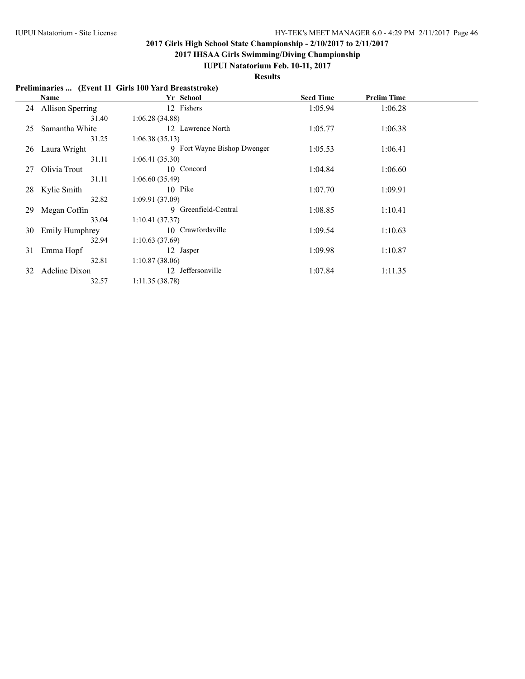**2017 IHSAA Girls Swimming/Diving Championship**

### **IUPUI Natatorium Feb. 10-11, 2017**

**Results**

### **Preliminaries ... (Event 11 Girls 100 Yard Breaststroke)**

| Name                  | Yr School                   | <b>Seed Time</b> | <b>Prelim Time</b> |  |
|-----------------------|-----------------------------|------------------|--------------------|--|
| 24 Allison Sperring   | 12 Fishers                  | 1:05.94          | 1:06.28            |  |
| 31.40                 | 1:06.28(34.88)              |                  |                    |  |
| Samantha White        | 12 Lawrence North           | 1:05.77          | 1:06.38            |  |
| 31.25                 | 1:06.38(35.13)              |                  |                    |  |
| Laura Wright          | 9 Fort Wayne Bishop Dwenger | 1:05.53          | 1:06.41            |  |
| 31.11                 | 1:06.41(35.30)              |                  |                    |  |
| Olivia Trout          | 10 Concord                  | 1:04.84          | 1:06.60            |  |
| 31.11                 | 1:06.60(35.49)              |                  |                    |  |
| 28 Kylie Smith        | 10 Pike                     | 1:07.70          | 1:09.91            |  |
| 32.82                 | 1:09.91(37.09)              |                  |                    |  |
| Megan Coffin          | 9 Greenfield-Central        | 1:08.85          | 1:10.41            |  |
| 33.04                 | 1:10.41(37.37)              |                  |                    |  |
| <b>Emily Humphrey</b> | 10 Crawfordsville           | 1:09.54          | 1:10.63            |  |
| 32.94                 | 1:10.63(37.69)              |                  |                    |  |
| Emma Hopf             | 12 Jasper                   | 1:09.98          | 1:10.87            |  |
| 32.81                 | 1:10.87(38.06)              |                  |                    |  |
| Adeline Dixon         | Jeffersonville<br>12        | 1:07.84          | 1:11.35            |  |
| 32.57                 | 1:11.35(38.78)              |                  |                    |  |
|                       |                             |                  |                    |  |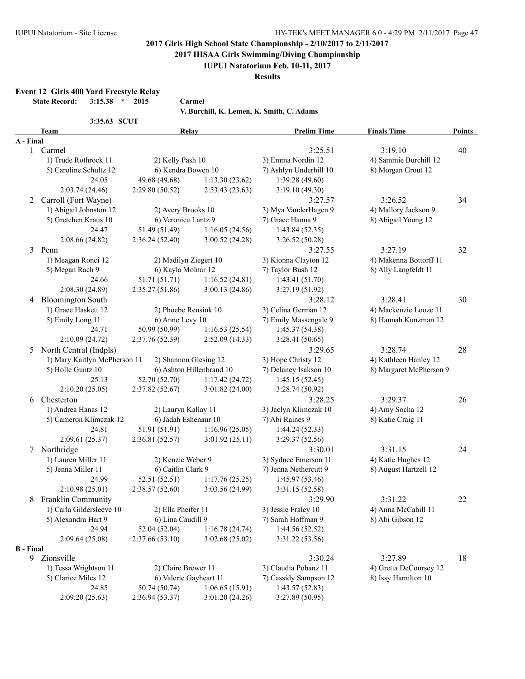**2017 IHSAA Girls Swimming/Diving Championship**

#### **IUPUI Natatorium Feb. 10-11, 2017**

**Results**

**Event 12 Girls 400 Yard Freestyle Relay**

**State Record: 3:15.38 \* 2015 Carmel**

**V. Burchill, K. Lemen, K. Smith, C. Adams** 

| 3:35.63 SCUT |
|--------------|
|--------------|

|  |  |  |  |  |  | . Burchill, K. Lemen, K. Smith, C. Adams |
|--|--|--|--|--|--|------------------------------------------|
|--|--|--|--|--|--|------------------------------------------|

|           | <b>Team</b>                  | Relay                  |                          | <b>Prelim Time</b>     | <b>Finals Time</b>      | <b>Points</b> |
|-----------|------------------------------|------------------------|--------------------------|------------------------|-------------------------|---------------|
| A - Final |                              |                        |                          |                        |                         |               |
|           | 1 Carmel                     |                        |                          | 3:25.51                | 3:19.10                 | 40            |
|           | 1) Trude Rothrock 11         | 2) Kelly Pash 10       |                          | 3) Emma Nordin 12      | 4) Sammie Burchill 12   |               |
|           | 5) Caroline Schultz 12       | 6) Kendra Bowen 10     |                          | 7) Ashlyn Underhill 10 | 8) Morgan Grout 12      |               |
|           | 24.05                        | 49.68 (49.68)          | 1:13.30(23.62)           | 1:39.28(49.60)         |                         |               |
|           | 2:03.74 (24.46)              | 2:29.80 (50.52)        | 2:53.43(23.63)           | 3:19.10(49.30)         |                         |               |
| 2         | Carroll (Fort Wayne)         |                        |                          | 3:27.57                | 3:26.52                 | 34            |
|           | 1) Abigail Johnston 12       | 2) Avery Brooks 10     |                          | 3) Mya VanderHagen 9   | 4) Mallory Jackson 9    |               |
|           | 5) Gretchen Kraus 10         | 6) Veronica Lantz 9    |                          | 7) Grace Hanna 9       | 8) Abigail Young 12     |               |
|           | 24.47                        | 51.49 (51.49)          | 1:16.05(24.56)           | 1:43.84(52.35)         |                         |               |
|           | 2:08.66 (24.82)              | 2:36.24(52.40)         | 3:00.52(24.28)           | 3:26.52(50.28)         |                         |               |
| 3         | Penn                         |                        |                          | 3:27.55                | 3:27.19                 | 32            |
|           | 1) Meagan Ronci 12           | 2) Madilyn Ziegert 10  |                          | 3) Kionna Clayton 12   | 4) Makenna Bottorff 11  |               |
|           | 5) Megan Rach 9              | 6) Kayla Molnar 12     |                          | 7) Taylor Bush 12      | 8) Ally Langfeldt 11    |               |
|           | 24.66                        | 51.71 (51.71)          | 1:16.52(24.81)           | 1:43.41(51.70)         |                         |               |
|           | 2:08.30 (24.89)              | 2:35.27(51.86)         | 3:00.13(24.86)           | 3:27.19 (51.92)        |                         |               |
|           | 4 Bloomington South          |                        |                          | 3:28.12                | 3:28.41                 | 30            |
|           | 1) Grace Haskett 12          | 2) Phoebe Rensink 10   |                          | 3) Celina German 12    | 4) Mackenzie Looze 11   |               |
|           | 5) Emily Long 11             | 6) Anne Levy 10        |                          | 7) Emily Massengale 9  | 8) Hannah Kunzman 12    |               |
|           | 24.71                        | 50.99 (50.99)          | 1:16.53(25.54)           | 1:45.37(54.38)         |                         |               |
|           | 2:10.09(24.72)               | 2:37.76 (52.39)        | 2:52.09 (14.33)          | 3:28.41(50.65)         |                         |               |
| 5         | North Central (Indpls)       |                        |                          | 3:29.65                | 3:28.74                 | 28            |
|           | 1) Mary Kaitlyn McPherson 11 | 2) Shannon Glesing 12  |                          | 3) Hope Christy 12     | 4) Kathleen Hanley 12   |               |
|           | 5) Holle Guntz 10            |                        | 6) Ashton Hillenbrand 10 | 7) Delaney Isakson 10  | 8) Margaret McPherson 9 |               |
|           | 25.13                        | 52.70 (52.70)          | 1:17.42(24.72)           | 1:45.15(52.45)         |                         |               |
|           | 2:10.20(25.05)               | 2:37.82(52.67)         | 3:01.82(24.00)           | 3:28.74 (50.92)        |                         |               |
| 6         | Chesterton                   |                        |                          | 3:28.25                | 3:29.37                 | 26            |
|           | 1) Andrea Hanas 12           | 2) Lauryn Kallay 11    |                          | 3) Jaclyn Klimczak 10  | 4) Amy Socha 12         |               |
|           | 5) Cameron Klimczak 12       | 6) Jadah Eshenaur 10   |                          | 7) Abi Raines 9        | 8) Katie Craig 11       |               |
|           | 24.81                        | 51.91 (51.91)          | 1:16.96(25.05)           | 1:44.24(52.33)         |                         |               |
|           | 2:09.61 (25.37)              | 2:36.81(52.57)         | 3:01.92(25.11)           | 3:29.37 (52.56)        |                         |               |
|           | 7 Northridge                 |                        |                          | 3:30.01                | 3:31.15                 | 24            |
|           | 1) Lauren Miller 11          | 2) Kenzie Weber 9      |                          | 3) Sydnee Emerson 11   | 4) Katie Hughes 12      |               |
|           | 5) Jenna Miller 11           | 6) Caitlin Clark 9     |                          | 7) Jenna Nethercutt 9  | 8) August Hartzell 12   |               |
|           | 24.99                        | 52.51 (52.51)          | 1:17.76(25.25)           | 1:45.97 (53.46)        |                         |               |
|           | 2:10.98(25.01)               | 2:38.57(52.60)         | 3:03.56 (24.99)          | 3:31.15(52.58)         |                         |               |
| 8         | Franklin Community           |                        |                          | 3:29.90                | 3:31.22                 | 22            |
|           | 1) Carla Gildersleeve 10     | 2) Ella Pheifer 11     |                          | 3) Jessie Fraley 10    | 4) Anna McCahill 11     |               |
|           | 5) Alexandra Hart 9          | 6) Lina Caudill 9      |                          | 7) Sarah Hoffman 9     | 8) Abi Gibson 12        |               |
|           | 24.94                        | 52.04 (52.04)          | 1:16.78(24.74)           | 1:44.56(52.52)         |                         |               |
|           | 2:09.64(25.08)               | 2:37.66(53.10)         | 3:02.68(25.02)           | 3:31.22 (53.56)        |                         |               |
| B - Final |                              |                        |                          |                        |                         |               |
|           | 9 Zionsville                 |                        |                          | 3:30.24                | 3:27.89                 | 18            |
|           | 1) Tessa Wrightson 11        | 2) Claire Brewer 11    |                          | 3) Claudia Pobanz 11   | 4) Gretta DeCoursey 12  |               |
|           | 5) Clarice Miles 12          | 6) Valerie Gayheart 11 |                          | 7) Cassidy Sampson 12  | 8) Issy Hamilton 10     |               |
|           | 24.85                        | 50.74 (50.74)          | 1:06.65(15.91)           | 1:43.57(52.83)         |                         |               |
|           | 2:09.20(25.63)               | 2:36.94 (53.37)        | 3:01.20(24.26)           | 3:27.89(50.95)         |                         |               |
|           |                              |                        |                          |                        |                         |               |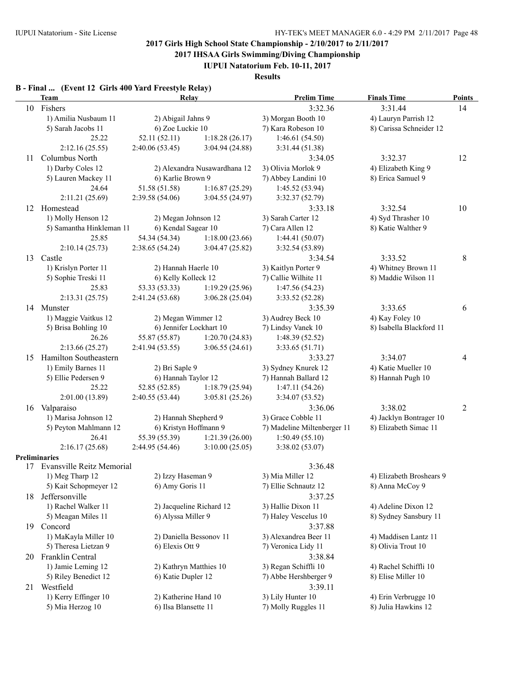**2017 IHSAA Girls Swimming/Diving Championship**

**IUPUI Natatorium Feb. 10-11, 2017**

**Results**

# **B - Final ... (Event 12 Girls 400 Yard Freestyle Relay)**

| 10 Fishers<br>1) Amilia Nusbaum 11<br>5) Sarah Jacobs 11<br>25.22<br>2:12.16(25.55)<br>Columbus North<br>1) Darby Coles 12 | 2) Abigail Jahns 9<br>6) Zoe Luckie 10<br>52.11 (52.11)<br>2:40.06(53.45)                                                                                                                                                                                                                                                                                                                                                                                                                                                                                                                                                                                                                                                                            | 1:18.28(26.17)                                                                                                                                                                                                                             | 3:32.36<br>3) Morgan Booth 10<br>7) Kara Robeson 10                                                                                                                                                                                                                                                                                                                                                                                                                                                                                                                                                                                                             | 3:31.44<br>4) Lauryn Parrish 12                                                                                                                                                                                                                                                                                                                                                                                                                                                                                                                                                                                                                                                                                                                                         | 14                                                                                                                                                                                                                                                                                                                                                                                                                                                                                                                           |
|----------------------------------------------------------------------------------------------------------------------------|------------------------------------------------------------------------------------------------------------------------------------------------------------------------------------------------------------------------------------------------------------------------------------------------------------------------------------------------------------------------------------------------------------------------------------------------------------------------------------------------------------------------------------------------------------------------------------------------------------------------------------------------------------------------------------------------------------------------------------------------------|--------------------------------------------------------------------------------------------------------------------------------------------------------------------------------------------------------------------------------------------|-----------------------------------------------------------------------------------------------------------------------------------------------------------------------------------------------------------------------------------------------------------------------------------------------------------------------------------------------------------------------------------------------------------------------------------------------------------------------------------------------------------------------------------------------------------------------------------------------------------------------------------------------------------------|-------------------------------------------------------------------------------------------------------------------------------------------------------------------------------------------------------------------------------------------------------------------------------------------------------------------------------------------------------------------------------------------------------------------------------------------------------------------------------------------------------------------------------------------------------------------------------------------------------------------------------------------------------------------------------------------------------------------------------------------------------------------------|------------------------------------------------------------------------------------------------------------------------------------------------------------------------------------------------------------------------------------------------------------------------------------------------------------------------------------------------------------------------------------------------------------------------------------------------------------------------------------------------------------------------------|
|                                                                                                                            |                                                                                                                                                                                                                                                                                                                                                                                                                                                                                                                                                                                                                                                                                                                                                      |                                                                                                                                                                                                                                            |                                                                                                                                                                                                                                                                                                                                                                                                                                                                                                                                                                                                                                                                 |                                                                                                                                                                                                                                                                                                                                                                                                                                                                                                                                                                                                                                                                                                                                                                         |                                                                                                                                                                                                                                                                                                                                                                                                                                                                                                                              |
|                                                                                                                            |                                                                                                                                                                                                                                                                                                                                                                                                                                                                                                                                                                                                                                                                                                                                                      |                                                                                                                                                                                                                                            |                                                                                                                                                                                                                                                                                                                                                                                                                                                                                                                                                                                                                                                                 |                                                                                                                                                                                                                                                                                                                                                                                                                                                                                                                                                                                                                                                                                                                                                                         |                                                                                                                                                                                                                                                                                                                                                                                                                                                                                                                              |
|                                                                                                                            |                                                                                                                                                                                                                                                                                                                                                                                                                                                                                                                                                                                                                                                                                                                                                      |                                                                                                                                                                                                                                            |                                                                                                                                                                                                                                                                                                                                                                                                                                                                                                                                                                                                                                                                 | 8) Carissa Schneider 12                                                                                                                                                                                                                                                                                                                                                                                                                                                                                                                                                                                                                                                                                                                                                 |                                                                                                                                                                                                                                                                                                                                                                                                                                                                                                                              |
|                                                                                                                            |                                                                                                                                                                                                                                                                                                                                                                                                                                                                                                                                                                                                                                                                                                                                                      |                                                                                                                                                                                                                                            | 1:46.61(54.50)                                                                                                                                                                                                                                                                                                                                                                                                                                                                                                                                                                                                                                                  |                                                                                                                                                                                                                                                                                                                                                                                                                                                                                                                                                                                                                                                                                                                                                                         |                                                                                                                                                                                                                                                                                                                                                                                                                                                                                                                              |
|                                                                                                                            |                                                                                                                                                                                                                                                                                                                                                                                                                                                                                                                                                                                                                                                                                                                                                      | 3:04.94 (24.88)                                                                                                                                                                                                                            | 3:31.44(51.38)                                                                                                                                                                                                                                                                                                                                                                                                                                                                                                                                                                                                                                                  |                                                                                                                                                                                                                                                                                                                                                                                                                                                                                                                                                                                                                                                                                                                                                                         |                                                                                                                                                                                                                                                                                                                                                                                                                                                                                                                              |
|                                                                                                                            |                                                                                                                                                                                                                                                                                                                                                                                                                                                                                                                                                                                                                                                                                                                                                      |                                                                                                                                                                                                                                            | 3:34.05                                                                                                                                                                                                                                                                                                                                                                                                                                                                                                                                                                                                                                                         | 3:32.37                                                                                                                                                                                                                                                                                                                                                                                                                                                                                                                                                                                                                                                                                                                                                                 | 12                                                                                                                                                                                                                                                                                                                                                                                                                                                                                                                           |
|                                                                                                                            |                                                                                                                                                                                                                                                                                                                                                                                                                                                                                                                                                                                                                                                                                                                                                      | 2) Alexandra Nusawardhana 12                                                                                                                                                                                                               | 3) Olivia Morlok 9                                                                                                                                                                                                                                                                                                                                                                                                                                                                                                                                                                                                                                              | 4) Elizabeth King 9                                                                                                                                                                                                                                                                                                                                                                                                                                                                                                                                                                                                                                                                                                                                                     |                                                                                                                                                                                                                                                                                                                                                                                                                                                                                                                              |
| 5) Lauren Mackey 11                                                                                                        | 6) Karlie Brown 9                                                                                                                                                                                                                                                                                                                                                                                                                                                                                                                                                                                                                                                                                                                                    |                                                                                                                                                                                                                                            | 7) Abbey Landini 10                                                                                                                                                                                                                                                                                                                                                                                                                                                                                                                                                                                                                                             | 8) Erica Samuel 9                                                                                                                                                                                                                                                                                                                                                                                                                                                                                                                                                                                                                                                                                                                                                       |                                                                                                                                                                                                                                                                                                                                                                                                                                                                                                                              |
| 24.64                                                                                                                      | 51.58 (51.58)                                                                                                                                                                                                                                                                                                                                                                                                                                                                                                                                                                                                                                                                                                                                        | 1:16.87(25.29)                                                                                                                                                                                                                             | 1:45.52 (53.94)                                                                                                                                                                                                                                                                                                                                                                                                                                                                                                                                                                                                                                                 |                                                                                                                                                                                                                                                                                                                                                                                                                                                                                                                                                                                                                                                                                                                                                                         |                                                                                                                                                                                                                                                                                                                                                                                                                                                                                                                              |
| 2:11.21(25.69)                                                                                                             | 2:39.58(54.06)                                                                                                                                                                                                                                                                                                                                                                                                                                                                                                                                                                                                                                                                                                                                       | 3:04.55 (24.97)                                                                                                                                                                                                                            | 3:32.37 (52.79)                                                                                                                                                                                                                                                                                                                                                                                                                                                                                                                                                                                                                                                 |                                                                                                                                                                                                                                                                                                                                                                                                                                                                                                                                                                                                                                                                                                                                                                         |                                                                                                                                                                                                                                                                                                                                                                                                                                                                                                                              |
| Homestead                                                                                                                  |                                                                                                                                                                                                                                                                                                                                                                                                                                                                                                                                                                                                                                                                                                                                                      |                                                                                                                                                                                                                                            | 3:33.18                                                                                                                                                                                                                                                                                                                                                                                                                                                                                                                                                                                                                                                         | 3:32.54                                                                                                                                                                                                                                                                                                                                                                                                                                                                                                                                                                                                                                                                                                                                                                 | 10                                                                                                                                                                                                                                                                                                                                                                                                                                                                                                                           |
|                                                                                                                            |                                                                                                                                                                                                                                                                                                                                                                                                                                                                                                                                                                                                                                                                                                                                                      |                                                                                                                                                                                                                                            |                                                                                                                                                                                                                                                                                                                                                                                                                                                                                                                                                                                                                                                                 |                                                                                                                                                                                                                                                                                                                                                                                                                                                                                                                                                                                                                                                                                                                                                                         |                                                                                                                                                                                                                                                                                                                                                                                                                                                                                                                              |
|                                                                                                                            |                                                                                                                                                                                                                                                                                                                                                                                                                                                                                                                                                                                                                                                                                                                                                      |                                                                                                                                                                                                                                            |                                                                                                                                                                                                                                                                                                                                                                                                                                                                                                                                                                                                                                                                 |                                                                                                                                                                                                                                                                                                                                                                                                                                                                                                                                                                                                                                                                                                                                                                         |                                                                                                                                                                                                                                                                                                                                                                                                                                                                                                                              |
|                                                                                                                            |                                                                                                                                                                                                                                                                                                                                                                                                                                                                                                                                                                                                                                                                                                                                                      |                                                                                                                                                                                                                                            |                                                                                                                                                                                                                                                                                                                                                                                                                                                                                                                                                                                                                                                                 |                                                                                                                                                                                                                                                                                                                                                                                                                                                                                                                                                                                                                                                                                                                                                                         |                                                                                                                                                                                                                                                                                                                                                                                                                                                                                                                              |
|                                                                                                                            |                                                                                                                                                                                                                                                                                                                                                                                                                                                                                                                                                                                                                                                                                                                                                      |                                                                                                                                                                                                                                            |                                                                                                                                                                                                                                                                                                                                                                                                                                                                                                                                                                                                                                                                 |                                                                                                                                                                                                                                                                                                                                                                                                                                                                                                                                                                                                                                                                                                                                                                         |                                                                                                                                                                                                                                                                                                                                                                                                                                                                                                                              |
|                                                                                                                            |                                                                                                                                                                                                                                                                                                                                                                                                                                                                                                                                                                                                                                                                                                                                                      |                                                                                                                                                                                                                                            |                                                                                                                                                                                                                                                                                                                                                                                                                                                                                                                                                                                                                                                                 |                                                                                                                                                                                                                                                                                                                                                                                                                                                                                                                                                                                                                                                                                                                                                                         | 8                                                                                                                                                                                                                                                                                                                                                                                                                                                                                                                            |
|                                                                                                                            |                                                                                                                                                                                                                                                                                                                                                                                                                                                                                                                                                                                                                                                                                                                                                      |                                                                                                                                                                                                                                            |                                                                                                                                                                                                                                                                                                                                                                                                                                                                                                                                                                                                                                                                 |                                                                                                                                                                                                                                                                                                                                                                                                                                                                                                                                                                                                                                                                                                                                                                         |                                                                                                                                                                                                                                                                                                                                                                                                                                                                                                                              |
|                                                                                                                            |                                                                                                                                                                                                                                                                                                                                                                                                                                                                                                                                                                                                                                                                                                                                                      |                                                                                                                                                                                                                                            |                                                                                                                                                                                                                                                                                                                                                                                                                                                                                                                                                                                                                                                                 |                                                                                                                                                                                                                                                                                                                                                                                                                                                                                                                                                                                                                                                                                                                                                                         |                                                                                                                                                                                                                                                                                                                                                                                                                                                                                                                              |
|                                                                                                                            |                                                                                                                                                                                                                                                                                                                                                                                                                                                                                                                                                                                                                                                                                                                                                      |                                                                                                                                                                                                                                            |                                                                                                                                                                                                                                                                                                                                                                                                                                                                                                                                                                                                                                                                 |                                                                                                                                                                                                                                                                                                                                                                                                                                                                                                                                                                                                                                                                                                                                                                         |                                                                                                                                                                                                                                                                                                                                                                                                                                                                                                                              |
|                                                                                                                            |                                                                                                                                                                                                                                                                                                                                                                                                                                                                                                                                                                                                                                                                                                                                                      |                                                                                                                                                                                                                                            |                                                                                                                                                                                                                                                                                                                                                                                                                                                                                                                                                                                                                                                                 |                                                                                                                                                                                                                                                                                                                                                                                                                                                                                                                                                                                                                                                                                                                                                                         |                                                                                                                                                                                                                                                                                                                                                                                                                                                                                                                              |
|                                                                                                                            |                                                                                                                                                                                                                                                                                                                                                                                                                                                                                                                                                                                                                                                                                                                                                      |                                                                                                                                                                                                                                            |                                                                                                                                                                                                                                                                                                                                                                                                                                                                                                                                                                                                                                                                 |                                                                                                                                                                                                                                                                                                                                                                                                                                                                                                                                                                                                                                                                                                                                                                         | 6                                                                                                                                                                                                                                                                                                                                                                                                                                                                                                                            |
|                                                                                                                            |                                                                                                                                                                                                                                                                                                                                                                                                                                                                                                                                                                                                                                                                                                                                                      |                                                                                                                                                                                                                                            |                                                                                                                                                                                                                                                                                                                                                                                                                                                                                                                                                                                                                                                                 |                                                                                                                                                                                                                                                                                                                                                                                                                                                                                                                                                                                                                                                                                                                                                                         |                                                                                                                                                                                                                                                                                                                                                                                                                                                                                                                              |
|                                                                                                                            |                                                                                                                                                                                                                                                                                                                                                                                                                                                                                                                                                                                                                                                                                                                                                      |                                                                                                                                                                                                                                            |                                                                                                                                                                                                                                                                                                                                                                                                                                                                                                                                                                                                                                                                 |                                                                                                                                                                                                                                                                                                                                                                                                                                                                                                                                                                                                                                                                                                                                                                         |                                                                                                                                                                                                                                                                                                                                                                                                                                                                                                                              |
|                                                                                                                            |                                                                                                                                                                                                                                                                                                                                                                                                                                                                                                                                                                                                                                                                                                                                                      |                                                                                                                                                                                                                                            |                                                                                                                                                                                                                                                                                                                                                                                                                                                                                                                                                                                                                                                                 |                                                                                                                                                                                                                                                                                                                                                                                                                                                                                                                                                                                                                                                                                                                                                                         |                                                                                                                                                                                                                                                                                                                                                                                                                                                                                                                              |
|                                                                                                                            |                                                                                                                                                                                                                                                                                                                                                                                                                                                                                                                                                                                                                                                                                                                                                      |                                                                                                                                                                                                                                            |                                                                                                                                                                                                                                                                                                                                                                                                                                                                                                                                                                                                                                                                 |                                                                                                                                                                                                                                                                                                                                                                                                                                                                                                                                                                                                                                                                                                                                                                         |                                                                                                                                                                                                                                                                                                                                                                                                                                                                                                                              |
|                                                                                                                            |                                                                                                                                                                                                                                                                                                                                                                                                                                                                                                                                                                                                                                                                                                                                                      |                                                                                                                                                                                                                                            |                                                                                                                                                                                                                                                                                                                                                                                                                                                                                                                                                                                                                                                                 |                                                                                                                                                                                                                                                                                                                                                                                                                                                                                                                                                                                                                                                                                                                                                                         | 4                                                                                                                                                                                                                                                                                                                                                                                                                                                                                                                            |
|                                                                                                                            |                                                                                                                                                                                                                                                                                                                                                                                                                                                                                                                                                                                                                                                                                                                                                      |                                                                                                                                                                                                                                            |                                                                                                                                                                                                                                                                                                                                                                                                                                                                                                                                                                                                                                                                 |                                                                                                                                                                                                                                                                                                                                                                                                                                                                                                                                                                                                                                                                                                                                                                         |                                                                                                                                                                                                                                                                                                                                                                                                                                                                                                                              |
|                                                                                                                            |                                                                                                                                                                                                                                                                                                                                                                                                                                                                                                                                                                                                                                                                                                                                                      |                                                                                                                                                                                                                                            |                                                                                                                                                                                                                                                                                                                                                                                                                                                                                                                                                                                                                                                                 |                                                                                                                                                                                                                                                                                                                                                                                                                                                                                                                                                                                                                                                                                                                                                                         |                                                                                                                                                                                                                                                                                                                                                                                                                                                                                                                              |
|                                                                                                                            |                                                                                                                                                                                                                                                                                                                                                                                                                                                                                                                                                                                                                                                                                                                                                      |                                                                                                                                                                                                                                            |                                                                                                                                                                                                                                                                                                                                                                                                                                                                                                                                                                                                                                                                 |                                                                                                                                                                                                                                                                                                                                                                                                                                                                                                                                                                                                                                                                                                                                                                         |                                                                                                                                                                                                                                                                                                                                                                                                                                                                                                                              |
|                                                                                                                            |                                                                                                                                                                                                                                                                                                                                                                                                                                                                                                                                                                                                                                                                                                                                                      |                                                                                                                                                                                                                                            |                                                                                                                                                                                                                                                                                                                                                                                                                                                                                                                                                                                                                                                                 |                                                                                                                                                                                                                                                                                                                                                                                                                                                                                                                                                                                                                                                                                                                                                                         |                                                                                                                                                                                                                                                                                                                                                                                                                                                                                                                              |
|                                                                                                                            |                                                                                                                                                                                                                                                                                                                                                                                                                                                                                                                                                                                                                                                                                                                                                      |                                                                                                                                                                                                                                            |                                                                                                                                                                                                                                                                                                                                                                                                                                                                                                                                                                                                                                                                 |                                                                                                                                                                                                                                                                                                                                                                                                                                                                                                                                                                                                                                                                                                                                                                         | $\overline{c}$                                                                                                                                                                                                                                                                                                                                                                                                                                                                                                               |
|                                                                                                                            |                                                                                                                                                                                                                                                                                                                                                                                                                                                                                                                                                                                                                                                                                                                                                      |                                                                                                                                                                                                                                            |                                                                                                                                                                                                                                                                                                                                                                                                                                                                                                                                                                                                                                                                 |                                                                                                                                                                                                                                                                                                                                                                                                                                                                                                                                                                                                                                                                                                                                                                         |                                                                                                                                                                                                                                                                                                                                                                                                                                                                                                                              |
|                                                                                                                            |                                                                                                                                                                                                                                                                                                                                                                                                                                                                                                                                                                                                                                                                                                                                                      |                                                                                                                                                                                                                                            |                                                                                                                                                                                                                                                                                                                                                                                                                                                                                                                                                                                                                                                                 |                                                                                                                                                                                                                                                                                                                                                                                                                                                                                                                                                                                                                                                                                                                                                                         |                                                                                                                                                                                                                                                                                                                                                                                                                                                                                                                              |
|                                                                                                                            |                                                                                                                                                                                                                                                                                                                                                                                                                                                                                                                                                                                                                                                                                                                                                      |                                                                                                                                                                                                                                            |                                                                                                                                                                                                                                                                                                                                                                                                                                                                                                                                                                                                                                                                 |                                                                                                                                                                                                                                                                                                                                                                                                                                                                                                                                                                                                                                                                                                                                                                         |                                                                                                                                                                                                                                                                                                                                                                                                                                                                                                                              |
|                                                                                                                            |                                                                                                                                                                                                                                                                                                                                                                                                                                                                                                                                                                                                                                                                                                                                                      |                                                                                                                                                                                                                                            |                                                                                                                                                                                                                                                                                                                                                                                                                                                                                                                                                                                                                                                                 |                                                                                                                                                                                                                                                                                                                                                                                                                                                                                                                                                                                                                                                                                                                                                                         |                                                                                                                                                                                                                                                                                                                                                                                                                                                                                                                              |
|                                                                                                                            |                                                                                                                                                                                                                                                                                                                                                                                                                                                                                                                                                                                                                                                                                                                                                      |                                                                                                                                                                                                                                            |                                                                                                                                                                                                                                                                                                                                                                                                                                                                                                                                                                                                                                                                 |                                                                                                                                                                                                                                                                                                                                                                                                                                                                                                                                                                                                                                                                                                                                                                         |                                                                                                                                                                                                                                                                                                                                                                                                                                                                                                                              |
|                                                                                                                            |                                                                                                                                                                                                                                                                                                                                                                                                                                                                                                                                                                                                                                                                                                                                                      |                                                                                                                                                                                                                                            |                                                                                                                                                                                                                                                                                                                                                                                                                                                                                                                                                                                                                                                                 |                                                                                                                                                                                                                                                                                                                                                                                                                                                                                                                                                                                                                                                                                                                                                                         |                                                                                                                                                                                                                                                                                                                                                                                                                                                                                                                              |
|                                                                                                                            |                                                                                                                                                                                                                                                                                                                                                                                                                                                                                                                                                                                                                                                                                                                                                      |                                                                                                                                                                                                                                            |                                                                                                                                                                                                                                                                                                                                                                                                                                                                                                                                                                                                                                                                 |                                                                                                                                                                                                                                                                                                                                                                                                                                                                                                                                                                                                                                                                                                                                                                         |                                                                                                                                                                                                                                                                                                                                                                                                                                                                                                                              |
|                                                                                                                            |                                                                                                                                                                                                                                                                                                                                                                                                                                                                                                                                                                                                                                                                                                                                                      |                                                                                                                                                                                                                                            |                                                                                                                                                                                                                                                                                                                                                                                                                                                                                                                                                                                                                                                                 |                                                                                                                                                                                                                                                                                                                                                                                                                                                                                                                                                                                                                                                                                                                                                                         |                                                                                                                                                                                                                                                                                                                                                                                                                                                                                                                              |
|                                                                                                                            |                                                                                                                                                                                                                                                                                                                                                                                                                                                                                                                                                                                                                                                                                                                                                      |                                                                                                                                                                                                                                            |                                                                                                                                                                                                                                                                                                                                                                                                                                                                                                                                                                                                                                                                 |                                                                                                                                                                                                                                                                                                                                                                                                                                                                                                                                                                                                                                                                                                                                                                         |                                                                                                                                                                                                                                                                                                                                                                                                                                                                                                                              |
|                                                                                                                            |                                                                                                                                                                                                                                                                                                                                                                                                                                                                                                                                                                                                                                                                                                                                                      |                                                                                                                                                                                                                                            |                                                                                                                                                                                                                                                                                                                                                                                                                                                                                                                                                                                                                                                                 |                                                                                                                                                                                                                                                                                                                                                                                                                                                                                                                                                                                                                                                                                                                                                                         |                                                                                                                                                                                                                                                                                                                                                                                                                                                                                                                              |
|                                                                                                                            |                                                                                                                                                                                                                                                                                                                                                                                                                                                                                                                                                                                                                                                                                                                                                      |                                                                                                                                                                                                                                            |                                                                                                                                                                                                                                                                                                                                                                                                                                                                                                                                                                                                                                                                 |                                                                                                                                                                                                                                                                                                                                                                                                                                                                                                                                                                                                                                                                                                                                                                         |                                                                                                                                                                                                                                                                                                                                                                                                                                                                                                                              |
|                                                                                                                            |                                                                                                                                                                                                                                                                                                                                                                                                                                                                                                                                                                                                                                                                                                                                                      |                                                                                                                                                                                                                                            |                                                                                                                                                                                                                                                                                                                                                                                                                                                                                                                                                                                                                                                                 |                                                                                                                                                                                                                                                                                                                                                                                                                                                                                                                                                                                                                                                                                                                                                                         |                                                                                                                                                                                                                                                                                                                                                                                                                                                                                                                              |
|                                                                                                                            |                                                                                                                                                                                                                                                                                                                                                                                                                                                                                                                                                                                                                                                                                                                                                      |                                                                                                                                                                                                                                            |                                                                                                                                                                                                                                                                                                                                                                                                                                                                                                                                                                                                                                                                 |                                                                                                                                                                                                                                                                                                                                                                                                                                                                                                                                                                                                                                                                                                                                                                         |                                                                                                                                                                                                                                                                                                                                                                                                                                                                                                                              |
|                                                                                                                            |                                                                                                                                                                                                                                                                                                                                                                                                                                                                                                                                                                                                                                                                                                                                                      |                                                                                                                                                                                                                                            |                                                                                                                                                                                                                                                                                                                                                                                                                                                                                                                                                                                                                                                                 |                                                                                                                                                                                                                                                                                                                                                                                                                                                                                                                                                                                                                                                                                                                                                                         |                                                                                                                                                                                                                                                                                                                                                                                                                                                                                                                              |
|                                                                                                                            |                                                                                                                                                                                                                                                                                                                                                                                                                                                                                                                                                                                                                                                                                                                                                      |                                                                                                                                                                                                                                            |                                                                                                                                                                                                                                                                                                                                                                                                                                                                                                                                                                                                                                                                 |                                                                                                                                                                                                                                                                                                                                                                                                                                                                                                                                                                                                                                                                                                                                                                         |                                                                                                                                                                                                                                                                                                                                                                                                                                                                                                                              |
|                                                                                                                            |                                                                                                                                                                                                                                                                                                                                                                                                                                                                                                                                                                                                                                                                                                                                                      |                                                                                                                                                                                                                                            |                                                                                                                                                                                                                                                                                                                                                                                                                                                                                                                                                                                                                                                                 |                                                                                                                                                                                                                                                                                                                                                                                                                                                                                                                                                                                                                                                                                                                                                                         |                                                                                                                                                                                                                                                                                                                                                                                                                                                                                                                              |
|                                                                                                                            |                                                                                                                                                                                                                                                                                                                                                                                                                                                                                                                                                                                                                                                                                                                                                      |                                                                                                                                                                                                                                            |                                                                                                                                                                                                                                                                                                                                                                                                                                                                                                                                                                                                                                                                 |                                                                                                                                                                                                                                                                                                                                                                                                                                                                                                                                                                                                                                                                                                                                                                         |                                                                                                                                                                                                                                                                                                                                                                                                                                                                                                                              |
|                                                                                                                            |                                                                                                                                                                                                                                                                                                                                                                                                                                                                                                                                                                                                                                                                                                                                                      |                                                                                                                                                                                                                                            |                                                                                                                                                                                                                                                                                                                                                                                                                                                                                                                                                                                                                                                                 |                                                                                                                                                                                                                                                                                                                                                                                                                                                                                                                                                                                                                                                                                                                                                                         |                                                                                                                                                                                                                                                                                                                                                                                                                                                                                                                              |
|                                                                                                                            |                                                                                                                                                                                                                                                                                                                                                                                                                                                                                                                                                                                                                                                                                                                                                      |                                                                                                                                                                                                                                            |                                                                                                                                                                                                                                                                                                                                                                                                                                                                                                                                                                                                                                                                 |                                                                                                                                                                                                                                                                                                                                                                                                                                                                                                                                                                                                                                                                                                                                                                         |                                                                                                                                                                                                                                                                                                                                                                                                                                                                                                                              |
|                                                                                                                            |                                                                                                                                                                                                                                                                                                                                                                                                                                                                                                                                                                                                                                                                                                                                                      |                                                                                                                                                                                                                                            |                                                                                                                                                                                                                                                                                                                                                                                                                                                                                                                                                                                                                                                                 |                                                                                                                                                                                                                                                                                                                                                                                                                                                                                                                                                                                                                                                                                                                                                                         |                                                                                                                                                                                                                                                                                                                                                                                                                                                                                                                              |
|                                                                                                                            |                                                                                                                                                                                                                                                                                                                                                                                                                                                                                                                                                                                                                                                                                                                                                      |                                                                                                                                                                                                                                            |                                                                                                                                                                                                                                                                                                                                                                                                                                                                                                                                                                                                                                                                 |                                                                                                                                                                                                                                                                                                                                                                                                                                                                                                                                                                                                                                                                                                                                                                         |                                                                                                                                                                                                                                                                                                                                                                                                                                                                                                                              |
|                                                                                                                            | 1) Molly Henson 12<br>25.85<br>2:10.14(25.73)<br>Castle<br>1) Krislyn Porter 11<br>5) Sophie Treski 11<br>25.83<br>2:13.31(25.75)<br>14 Munster<br>1) Maggie Vaitkus 12<br>5) Brisa Bohling 10<br>26.26<br>2:13.66(25.27)<br>Hamilton Southeastern<br>1) Emily Barnes 11<br>5) Ellie Pedersen 9<br>25.22<br>2:01.00 (13.89)<br>Valparaiso<br>1) Marisa Johnson 12<br>5) Peyton Mahlmann 12<br>26.41<br>2:16.17(25.68)<br><b>Preliminaries</b><br>1) Meg Tharp 12<br>5) Kait Schopmeyer 12<br>Jeffersonville<br>1) Rachel Walker 11<br>5) Meagan Miles 11<br>19 Concord<br>1) MaKayla Miller 10<br>5) Theresa Lietzan 9<br>20 Franklin Central<br>1) Jamie Leming 12<br>5) Riley Benedict 12<br>Westfield<br>1) Kerry Effinger 10<br>5) Mia Herzog 10 | 5) Samantha Hinkleman 11<br>54.34 (54.34)<br>2:38.65(54.24)<br>53.33 (53.33)<br>2:41.24 (53.68)<br>55.87 (55.87)<br>2:41.94 (53.55)<br>52.85 (52.85)<br>2:40.55(53.44)<br>55.39 (55.39)<br>2:44.95 (54.46)<br>17 Evansville Reitz Memorial | 2) Megan Johnson 12<br>6) Kendal Sagear 10<br>1:18.00(23.66)<br>3:04.47(25.82)<br>2) Hannah Haerle 10<br>6) Kelly Kolleck 12<br>1:19.29(25.96)<br>3:06.28(25.04)<br>2) Megan Wimmer 12<br>6) Jennifer Lockhart 10<br>1:20.70(24.83)<br>3:06.55(24.61)<br>2) Bri Saple 9<br>6) Hannah Taylor 12<br>1:18.79(25.94)<br>3:05.81(25.26)<br>2) Hannah Shepherd 9<br>6) Kristyn Hoffmann 9<br>1:21.39(26.00)<br>3:10.00(25.05)<br>2) Izzy Haseman 9<br>6) Amy Goris 11<br>2) Jacqueline Richard 12<br>6) Alyssa Miller 9<br>2) Daniella Bessonov 11<br>6) Elexis Ott 9<br>2) Kathryn Matthies 10<br>6) Katie Dupler 12<br>2) Katherine Hand 10<br>6) Ilsa Blansette 11 | 3) Sarah Carter 12<br>7) Cara Allen 12<br>1:44.41 (50.07)<br>3:32.54 (53.89)<br>3:34.54<br>3) Kaitlyn Porter 9<br>7) Callie Wilhite 11<br>1:47.56 (54.23)<br>3:33.52 (52.28)<br>3:35.39<br>3) Audrey Beck 10<br>7) Lindsy Vanek 10<br>1:48.39(52.52)<br>3:33.65(51.71)<br>3:33.27<br>3) Sydney Knurek 12<br>7) Hannah Ballard 12<br>1:47.11(54.26)<br>3:34.07(53.52)<br>3:36.06<br>3) Grace Cobble 11<br>7) Madeline Miltenberger 11<br>1:50.49(55.10)<br>3:38.02 (53.07)<br>3:36.48<br>3) Mia Miller 12<br>7) Ellie Schnautz 12<br>3:37.25<br>3) Hallie Dixon 11<br>7) Haley Vescelus 10<br>3:37.88<br>3) Alexandrea Beer 11<br>7) Veronica Lidy 11<br>3:38.84<br>3) Regan Schiffli 10<br>7) Abbe Hershberger 9<br>3:39.11<br>3) Lily Hunter 10<br>7) Molly Ruggles 11 | 4) Syd Thrasher 10<br>8) Katie Walther 9<br>3:33.52<br>4) Whitney Brown 11<br>8) Maddie Wilson 11<br>3:33.65<br>4) Kay Foley 10<br>8) Isabella Blackford 11<br>3:34.07<br>4) Katie Mueller 10<br>8) Hannah Pugh 10<br>3:38.02<br>4) Jacklyn Bontrager 10<br>8) Elizabeth Simac 11<br>4) Elizabeth Broshears 9<br>8) Anna McCoy 9<br>4) Adeline Dixon 12<br>8) Sydney Sansbury 11<br>4) Maddisen Lantz 11<br>8) Olivia Trout 10<br>4) Rachel Schiffli 10<br>8) Elise Miller 10<br>4) Erin Verbrugge 10<br>8) Julia Hawkins 12 |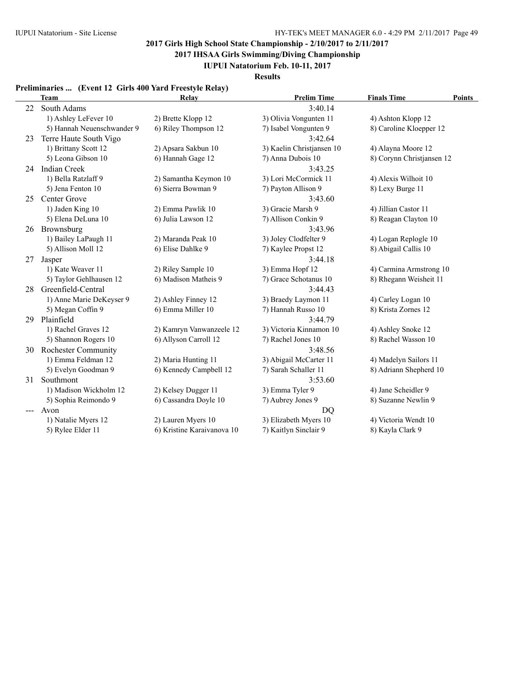**2017 IHSAA Girls Swimming/Diving Championship**

**IUPUI Natatorium Feb. 10-11, 2017**

**Results**

### **Preliminaries ... (Event 12 Girls 400 Yard Freestyle Relay)**

|    | <b>Team</b>                | Relay                      | <b>Prelim Time</b>        | <b>Finals Time</b><br>Points |
|----|----------------------------|----------------------------|---------------------------|------------------------------|
| 22 | South Adams                |                            | 3:40.14                   |                              |
|    | 1) Ashley LeFever 10       | 2) Brette Klopp 12         | 3) Olivia Vongunten 11    | 4) Ashton Klopp 12           |
|    | 5) Hannah Neuenschwander 9 | 6) Riley Thompson 12       | 7) Isabel Vongunten 9     | 8) Caroline Kloepper 12      |
| 23 | Terre Haute South Vigo     |                            | 3:42.64                   |                              |
|    | 1) Brittany Scott 12       | 2) Apsara Sakbun 10        | 3) Kaelin Christjansen 10 | 4) Alayna Moore 12           |
|    | 5) Leona Gibson 10         | 6) Hannah Gage 12          | 7) Anna Dubois 10         | 8) Corynn Christjansen 12    |
| 24 | <b>Indian Creek</b>        |                            | 3:43.25                   |                              |
|    | 1) Bella Ratzlaff 9        | 2) Samantha Keymon 10      | 3) Lori McCormick 11      | 4) Alexis Wilhoit 10         |
|    | 5) Jena Fenton 10          | 6) Sierra Bowman 9         | 7) Payton Allison 9       | 8) Lexy Burge 11             |
| 25 | Center Grove               |                            | 3:43.60                   |                              |
|    | 1) Jaden King 10           | 2) Emma Pawlik 10          | 3) Gracie Marsh 9         | 4) Jillian Castor 11         |
|    | 5) Elena DeLuna 10         | 6) Julia Lawson 12         | 7) Allison Conkin 9       | 8) Reagan Clayton 10         |
| 26 | Brownsburg                 |                            | 3:43.96                   |                              |
|    | 1) Bailey LaPaugh 11       | 2) Maranda Peak 10         | 3) Joley Clodfelter 9     | 4) Logan Replogle 10         |
|    | 5) Allison Moll 12         | 6) Elise Dahlke 9          | 7) Kaylee Propst 12       | 8) Abigail Callis 10         |
| 27 | Jasper                     |                            | 3:44.18                   |                              |
|    | 1) Kate Weaver 11          | 2) Riley Sample 10         | 3) Emma Hopf 12           | 4) Carmina Armstrong 10      |
|    | 5) Taylor Gehlhausen 12    | 6) Madison Matheis 9       | 7) Grace Schotanus 10     | 8) Rhegann Weisheit 11       |
| 28 | Greenfield-Central         |                            | 3:44.43                   |                              |
|    | 1) Anne Marie DeKeyser 9   | 2) Ashley Finney 12        | 3) Braedy Laymon 11       | 4) Carley Logan 10           |
|    | 5) Megan Coffin 9          | 6) Emma Miller 10          | 7) Hannah Russo 10        | 8) Krista Zornes 12          |
| 29 | Plainfield                 |                            | 3:44.79                   |                              |
|    | 1) Rachel Graves 12        | 2) Kamryn Vanwanzeele 12   | 3) Victoria Kinnamon 10   | 4) Ashley Snoke 12           |
|    | 5) Shannon Rogers 10       | 6) Allyson Carroll 12      | 7) Rachel Jones 10        | 8) Rachel Wasson 10          |
| 30 | <b>Rochester Community</b> |                            | 3:48.56                   |                              |
|    | 1) Emma Feldman 12         | 2) Maria Hunting 11        | 3) Abigail McCarter 11    | 4) Madelyn Sailors 11        |
|    | 5) Evelyn Goodman 9        | 6) Kennedy Campbell 12     | 7) Sarah Schaller 11      | 8) Adriann Shepherd 10       |
| 31 | Southmont                  |                            | 3:53.60                   |                              |
|    | 1) Madison Wickholm 12     | 2) Kelsey Dugger 11        | 3) Emma Tyler 9           | 4) Jane Scheidler 9          |
|    | 5) Sophia Reimondo 9       | 6) Cassandra Doyle 10      | 7) Aubrey Jones 9         | 8) Suzanne Newlin 9          |
|    | Avon                       |                            | <b>DQ</b>                 |                              |
|    | 1) Natalie Myers 12        | 2) Lauren Myers 10         | 3) Elizabeth Myers 10     | 4) Victoria Wendt 10         |
|    | 5) Rylee Elder 11          | 6) Kristine Karaivanova 10 | 7) Kaitlyn Sinclair 9     | 8) Kayla Clark 9             |
|    |                            |                            |                           |                              |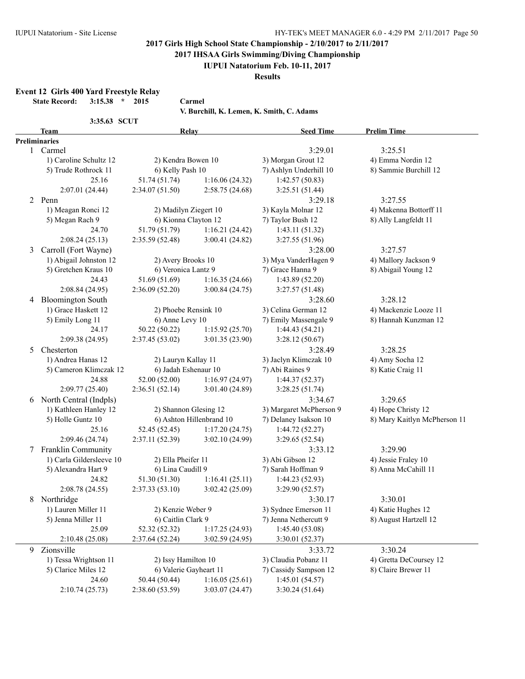**2017 IHSAA Girls Swimming/Diving Championship**

#### **IUPUI Natatorium Feb. 10-11, 2017**

**Results**

**Event 12 Girls 400 Yard Freestyle Relay**

**State Record: 3:15.38 \* 2015 Carmel**

**V. Burchill, K. Lemen, K. Smith, C. Adams**

|  | /. Burchill, K. Lemen, K. Smith, C. Adams |  |  |  |  |  |  |
|--|-------------------------------------------|--|--|--|--|--|--|
|--|-------------------------------------------|--|--|--|--|--|--|

|   |                             |                        | V. DUTCHIII, N. LEINEN, N. ƏMIUN, U. AUAINS |                         |                              |
|---|-----------------------------|------------------------|---------------------------------------------|-------------------------|------------------------------|
|   | 3:35.63 SCUT<br><b>Team</b> | Relay                  |                                             | <b>Seed Time</b>        | <b>Prelim Time</b>           |
|   | <b>Preliminaries</b>        |                        |                                             |                         |                              |
|   | 1 Carmel                    |                        |                                             | 3:29.01                 | 3:25.51                      |
|   | 1) Caroline Schultz 12      | 2) Kendra Bowen 10     |                                             | 3) Morgan Grout 12      | 4) Emma Nordin 12            |
|   | 5) Trude Rothrock 11        | 6) Kelly Pash 10       |                                             | 7) Ashlyn Underhill 10  | 8) Sammie Burchill 12        |
|   | 25.16                       | 51.74 (51.74)          | 1:16.06(24.32)                              | 1:42.57(50.83)          |                              |
|   | 2:07.01 (24.44)             | 2:34.07(51.50)         | 2:58.75(24.68)                              | 3:25.51 (51.44)         |                              |
|   | 2 Penn                      |                        |                                             | 3:29.18                 | 3:27.55                      |
|   | 1) Meagan Ronci 12          | 2) Madilyn Ziegert 10  |                                             | 3) Kayla Molnar 12      | 4) Makenna Bottorff 11       |
|   | 5) Megan Rach 9             | 6) Kionna Clayton 12   |                                             | 7) Taylor Bush 12       | 8) Ally Langfeldt 11         |
|   | 24.70                       | 51.79 (51.79)          | 1:16.21(24.42)                              | 1:43.11(51.32)          |                              |
|   | 2:08.24(25.13)              | 2:35.59 (52.48)        | 3:00.41 (24.82)                             | 3:27.55 (51.96)         |                              |
| 3 | Carroll (Fort Wayne)        |                        |                                             | 3:28.00                 | 3:27.57                      |
|   | 1) Abigail Johnston 12      | 2) Avery Brooks 10     |                                             | 3) Mya VanderHagen 9    | 4) Mallory Jackson 9         |
|   | 5) Gretchen Kraus 10        | 6) Veronica Lantz 9    |                                             | 7) Grace Hanna 9        | 8) Abigail Young 12          |
|   | 24.43                       | 51.69 (51.69)          | 1:16.35(24.66)                              | 1:43.89 (52.20)         |                              |
|   | 2:08.84 (24.95)             | 2:36.09(52.20)         | 3:00.84(24.75)                              | 3:27.57(51.48)          |                              |
| 4 | <b>Bloomington South</b>    |                        |                                             | 3:28.60                 | 3:28.12                      |
|   | 1) Grace Haskett 12         | 2) Phoebe Rensink 10   |                                             | 3) Celina German 12     | 4) Mackenzie Looze 11        |
|   | 5) Emily Long 11            | 6) Anne Levy 10        |                                             | 7) Emily Massengale 9   | 8) Hannah Kunzman 12         |
|   | 24.17                       | 50.22 (50.22)          | 1:15.92(25.70)                              | 1:44.43(54.21)          |                              |
|   |                             |                        |                                             |                         |                              |
|   | 2:09.38 (24.95)             | 2:37.45(53.02)         | 3:01.35 (23.90)                             | 3:28.12(50.67)          |                              |
| 5 | Chesterton                  |                        |                                             | 3:28.49                 | 3:28.25                      |
|   | 1) Andrea Hanas 12          | 2) Lauryn Kallay 11    |                                             | 3) Jaclyn Klimczak 10   | 4) Amy Socha 12              |
|   | 5) Cameron Klimczak 12      | 6) Jadah Eshenaur 10   |                                             | 7) Abi Raines 9         | 8) Katie Craig 11            |
|   | 24.88                       | 52.00 (52.00)          | 1:16.97(24.97)                              | 1:44.37(52.37)          |                              |
|   | 2:09.77(25.40)              | 2:36.51(52.14)         | 3:01.40 (24.89)                             | 3:28.25(51.74)          |                              |
| 6 | North Central (Indpls)      |                        |                                             | 3:34.67                 | 3:29.65                      |
|   | 1) Kathleen Hanley 12       | 2) Shannon Glesing 12  |                                             | 3) Margaret McPherson 9 | 4) Hope Christy 12           |
|   | 5) Holle Guntz 10           |                        | 6) Ashton Hillenbrand 10                    | 7) Delaney Isakson 10   | 8) Mary Kaitlyn McPherson 11 |
|   | 25.16                       | 52.45 (52.45)          | 1:17.20(24.75)                              | 1:44.72(52.27)          |                              |
|   | 2:09.46 (24.74)             | 2:37.11(52.39)         | 3:02.10 (24.99)                             | 3:29.65(52.54)          |                              |
| 7 | <b>Franklin Community</b>   |                        |                                             | 3:33.12                 | 3:29.90                      |
|   | 1) Carla Gildersleeve 10    | 2) Ella Pheifer 11     |                                             | 3) Abi Gibson 12        | 4) Jessie Fraley 10          |
|   | 5) Alexandra Hart 9         | 6) Lina Caudill 9      |                                             | 7) Sarah Hoffman 9      | 8) Anna McCahill 11          |
|   | 24.82                       | 51.30 (51.30)          | 1:16.41(25.11)                              | 1:44.23(52.93)          |                              |
|   | 2:08.78 (24.55)             | 2:37.33(53.10)         | 3:02.42 (25.09)                             | 3:29.90 (52.57)         |                              |
| 8 | Northridge                  |                        |                                             | 3:30.17                 | 3:30.01                      |
|   | 1) Lauren Miller 11         | 2) Kenzie Weber 9      |                                             | 3) Sydnee Emerson 11    | 4) Katie Hughes 12           |
|   | 5) Jenna Miller 11          | 6) Caitlin Clark 9     |                                             | 7) Jenna Nethercutt 9   | 8) August Hartzell 12        |
|   | 25.09                       | 52.32 (52.32)          | 1:17.25(24.93)                              | 1:45.40 (53.08)         |                              |
|   | 2:10.48(25.08)              | 2:37.64 (52.24)        | 3:02.59(24.95)                              | 3:30.01 (52.37)         |                              |
| 9 | Zionsville                  |                        |                                             | 3:33.72                 | 3:30.24                      |
|   | 1) Tessa Wrightson 11       | 2) Issy Hamilton 10    |                                             | 3) Claudia Pobanz 11    | 4) Gretta DeCoursey 12       |
|   | 5) Clarice Miles 12         | 6) Valerie Gayheart 11 |                                             | 7) Cassidy Sampson 12   | 8) Claire Brewer 11          |
|   | 24.60                       | 50.44 (50.44)          | 1:16.05(25.61)                              | 1:45.01(54.57)          |                              |
|   | 2:10.74(25.73)              | 2:38.60(53.59)         | 3:03.07(24.47)                              | 3:30.24 (51.64)         |                              |
|   |                             |                        |                                             |                         |                              |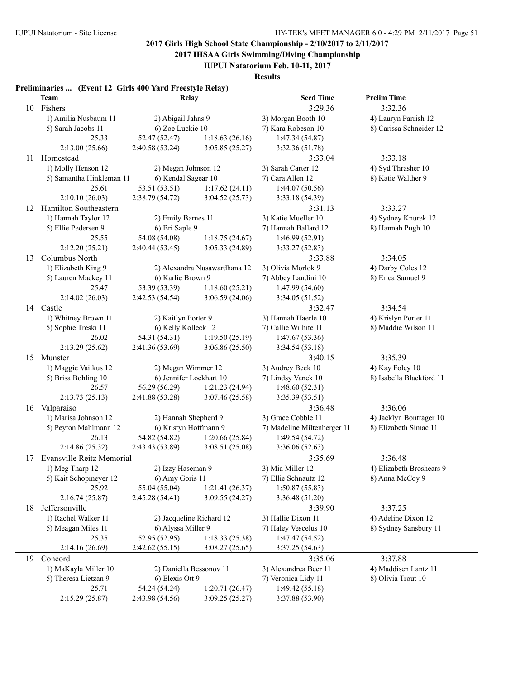**2017 IHSAA Girls Swimming/Diving Championship**

**IUPUI Natatorium Feb. 10-11, 2017**

**Results**

|    | Preliminaries  (Event 12 Girls 400 Yard Freestyle Relay)<br><b>Team</b>              | Relay                                      |                              | <b>Seed Time</b>            | <b>Prelim Time</b>       |
|----|--------------------------------------------------------------------------------------|--------------------------------------------|------------------------------|-----------------------------|--------------------------|
| 10 | Fishers                                                                              |                                            |                              | 3:29.36                     | 3:32.36                  |
|    | 1) Amilia Nusbaum 11                                                                 | 2) Abigail Jahns 9                         |                              | 3) Morgan Booth 10          | 4) Lauryn Parrish 12     |
|    | 5) Sarah Jacobs 11                                                                   | 6) Zoe Luckie 10                           |                              | 7) Kara Robeson 10          | 8) Carissa Schneider 12  |
|    | 25.33                                                                                | 52.47 (52.47)                              | 1:18.63(26.16)               | 1:47.34(54.87)              |                          |
|    | 2:13.00(25.66)                                                                       | 2:40.58(53.24)                             | 3:05.85(25.27)               | 3:32.36 (51.78)             |                          |
| 11 | Homestead                                                                            |                                            |                              | 3:33.04                     | 3:33.18                  |
|    | 1) Molly Henson 12                                                                   | 2) Megan Johnson 12                        |                              | 3) Sarah Carter 12          | 4) Syd Thrasher 10       |
|    | 5) Samantha Hinkleman 11                                                             | 6) Kendal Sagear 10                        |                              | 7) Cara Allen 12            | 8) Katie Walther 9       |
|    | 25.61                                                                                | 53.51 (53.51)                              | 1:17.62(24.11)               | 1:44.07(50.56)              |                          |
|    | 2:10.10(26.03)                                                                       | 2:38.79 (54.72)                            | 3:04.52(25.73)               | 3:33.18 (54.39)             |                          |
| 12 | Hamilton Southeastern                                                                |                                            |                              | 3:31.13                     | 3:33.27                  |
|    | 1) Hannah Taylor 12                                                                  | 2) Emily Barnes 11                         |                              | 3) Katie Mueller 10         | 4) Sydney Knurek 12      |
|    | 5) Ellie Pedersen 9                                                                  | 6) Bri Saple 9                             |                              | 7) Hannah Ballard 12        | 8) Hannah Pugh 10        |
|    | 25.55                                                                                | 54.08 (54.08)                              | 1:18.75(24.67)               | 1:46.99(52.91)              |                          |
|    | 2:12.20(25.21)                                                                       | 2:40.44(53.45)                             | 3:05.33(24.89)               | 3:33.27(52.83)              |                          |
|    | Columbus North                                                                       |                                            |                              | 3:33.88                     | 3:34.05                  |
| 13 | 1) Elizabeth King 9                                                                  |                                            | 2) Alexandra Nusawardhana 12 | 3) Olivia Morlok 9          | 4) Darby Coles 12        |
|    |                                                                                      |                                            |                              | 7) Abbey Landini 10         | 8) Erica Samuel 9        |
|    | 5) Lauren Mackey 11<br>6) Karlie Brown 9<br>1:18.60(25.21)<br>25.47<br>53.39 (53.39) |                                            | 1:47.99(54.60)               |                             |                          |
|    | 2:14.02(26.03)                                                                       | 2:42.53(54.54)                             | 3:06.59(24.06)               | 3:34.05 (51.52)             |                          |
|    |                                                                                      |                                            |                              | 3:32.47                     | 3:34.54                  |
|    | 14 Castle<br>1) Whitney Brown 11                                                     |                                            |                              |                             |                          |
|    |                                                                                      | 2) Kaitlyn Porter 9<br>6) Kelly Kolleck 12 |                              | 3) Hannah Haerle 10         | 4) Krislyn Porter 11     |
|    | 5) Sophie Treski 11                                                                  |                                            |                              | 7) Callie Wilhite 11        | 8) Maddie Wilson 11      |
|    | 26.02                                                                                | 54.31 (54.31)                              | 1:19.50(25.19)               | 1:47.67(53.36)              |                          |
|    | 2:13.29(25.62)                                                                       | 2:41.36(53.69)                             | 3:06.86(25.50)               | 3:34.54(53.18)              |                          |
| 15 | Munster                                                                              |                                            |                              | 3:40.15                     | 3:35.39                  |
|    | 1) Maggie Vaitkus 12                                                                 | 2) Megan Wimmer 12                         |                              | 3) Audrey Beck 10           | 4) Kay Foley 10          |
|    | 5) Brisa Bohling 10                                                                  | 6) Jennifer Lockhart 10                    |                              | 7) Lindsy Vanek 10          | 8) Isabella Blackford 11 |
|    | 26.57                                                                                | 56.29 (56.29)                              | 1:21.23(24.94)               | 1:48.60(52.31)              |                          |
|    | 2:13.73(25.13)                                                                       | 2:41.88(53.28)                             | 3:07.46 (25.58)              | 3:35.39(53.51)              |                          |
| 16 | Valparaiso                                                                           |                                            |                              | 3:36.48                     | 3:36.06                  |
|    | 1) Marisa Johnson 12                                                                 | 2) Hannah Shepherd 9                       |                              | 3) Grace Cobble 11          | 4) Jacklyn Bontrager 10  |
|    | 5) Peyton Mahlmann 12                                                                | 6) Kristyn Hoffmann 9                      |                              | 7) Madeline Miltenberger 11 | 8) Elizabeth Simac 11    |
|    | 26.13                                                                                | 54.82 (54.82)                              | 1:20.66(25.84)               | 1:49.54(54.72)              |                          |
|    | 2:14.86 (25.32)                                                                      | 2:43.43 (53.89)                            | 3:08.51(25.08)               | 3:36.06(52.63)              |                          |
|    | 17 Evansville Reitz Memorial                                                         |                                            |                              | 3:35.69                     | 3:36.48                  |
|    | 1) Meg Tharp 12                                                                      | 2) Izzy Haseman 9                          |                              | 3) Mia Miller 12            | 4) Elizabeth Broshears 9 |
|    | 5) Kait Schopmeyer 12                                                                | 6) Amy Goris 11                            |                              | 7) Ellie Schnautz 12        | 8) Anna McCoy 9          |
|    | 25.92                                                                                | 55.04 (55.04)                              | 1:21.41(26.37)               | 1:50.87(55.83)              |                          |
|    | 2:16.74(25.87)                                                                       | 2:45.28 (54.41)                            | 3:09.55(24.27)               | 3:36.48 (51.20)             |                          |
| 18 | Jeffersonville                                                                       |                                            |                              | 3:39.90                     | 3:37.25                  |
|    | 1) Rachel Walker 11                                                                  | 2) Jacqueline Richard 12                   |                              | 3) Hallie Dixon 11          | 4) Adeline Dixon 12      |
|    | 5) Meagan Miles 11                                                                   | 6) Alyssa Miller 9                         |                              | 7) Haley Vescelus 10        | 8) Sydney Sansbury 11    |
|    | 25.35                                                                                | 52.95 (52.95)                              | 1:18.33(25.38)               | 1:47.47(54.52)              |                          |
|    | 2:14.16(26.69)                                                                       | 2:42.62(55.15)                             | 3:08.27(25.65)               | 3:37.25(54.63)              |                          |
| 19 | Concord                                                                              |                                            |                              | 3:35.06                     | 3:37.88                  |
|    | 1) MaKayla Miller 10                                                                 |                                            | 2) Daniella Bessonov 11      | 3) Alexandrea Beer 11       | 4) Maddisen Lantz 11     |
|    | 5) Theresa Lietzan 9                                                                 | 6) Elexis Ott 9                            |                              | 7) Veronica Lidy 11         | 8) Olivia Trout 10       |
|    | 25.71                                                                                | 54.24 (54.24)                              | 1:20.71(26.47)               | 1:49.42(55.18)              |                          |
|    | 2:15.29(25.87)                                                                       | 2:43.98 (54.56)                            | 3:09.25(25.27)               | 3:37.88 (53.90)             |                          |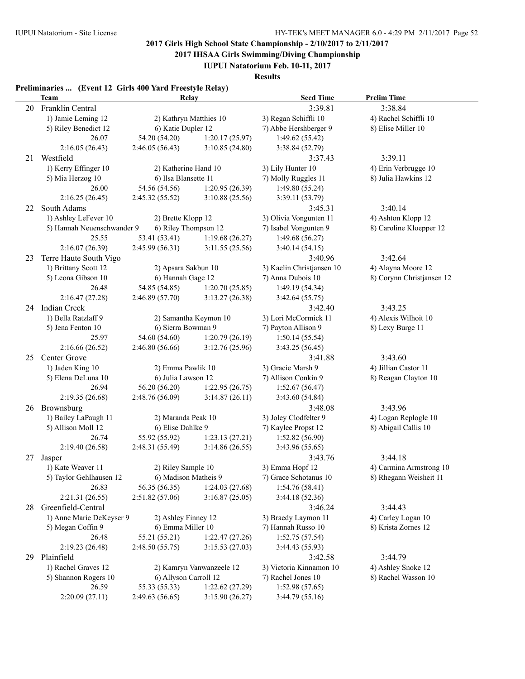**2017 IHSAA Girls Swimming/Diving Championship**

**IUPUI Natatorium Feb. 10-11, 2017**

**Results**

|    | Preliminaries  (Event 12 Girls 400 Yard Freestyle Relay)<br>Team | Relay                                      |                | <b>Seed Time</b>                     | <b>Prelim Time</b>        |
|----|------------------------------------------------------------------|--------------------------------------------|----------------|--------------------------------------|---------------------------|
| 20 | Franklin Central                                                 |                                            |                | 3:39.81                              | 3:38.84                   |
|    | 1) Jamie Leming 12                                               | 2) Kathryn Matthies 10                     |                | 3) Regan Schiffli 10                 | 4) Rachel Schiffli 10     |
|    | 5) Riley Benedict 12                                             | 6) Katie Dupler 12                         |                | 7) Abbe Hershberger 9                | 8) Elise Miller 10        |
|    | 26.07                                                            | 54.20 (54.20)                              | 1:20.17(25.97) | 1:49.62(55.42)                       |                           |
|    | 2:16.05(26.43)                                                   | 2:46.05(56.43)                             | 3:10.85(24.80) | 3:38.84 (52.79)                      |                           |
| 21 | Westfield                                                        |                                            |                | 3:37.43                              | 3:39.11                   |
|    | 1) Kerry Effinger 10                                             | 2) Katherine Hand 10                       |                | 3) Lily Hunter 10                    | 4) Erin Verbrugge 10      |
|    | 5) Mia Herzog 10                                                 | 6) Ilsa Blansette 11                       |                | 7) Molly Ruggles 11                  | 8) Julia Hawkins 12       |
|    | 26.00                                                            | 54.56 (54.56)                              | 1:20.95(26.39) | 1:49.80(55.24)                       |                           |
|    | 2:16.25(26.45)                                                   | 2:45.32(55.52)                             | 3:10.88(25.56) | 3:39.11 (53.79)                      |                           |
| 22 | South Adams                                                      |                                            |                | 3:45.31                              | 3:40.14                   |
|    | 1) Ashley LeFever 10                                             | 2) Brette Klopp 12                         |                | 3) Olivia Vongunten 11               | 4) Ashton Klopp 12        |
|    | 5) Hannah Neuenschwander 9                                       | 6) Riley Thompson 12                       |                | 7) Isabel Vongunten 9                | 8) Caroline Kloepper 12   |
|    | 25.55                                                            | 53.41 (53.41)                              | 1:19.68(26.27) | 1:49.68(56.27)                       |                           |
|    | 2:16.07(26.39)                                                   | 2:45.99(56.31)                             | 3:11.55(25.56) | 3:40.14(54.15)                       |                           |
| 23 | Terre Haute South Vigo                                           |                                            |                | 3:40.96                              | 3:42.64                   |
|    | 1) Brittany Scott 12                                             | 2) Apsara Sakbun 10                        |                | 3) Kaelin Christjansen 10            | 4) Alayna Moore 12        |
|    | 5) Leona Gibson 10                                               | 6) Hannah Gage 12                          |                | 7) Anna Dubois 10                    | 8) Corynn Christjansen 12 |
|    | 26.48                                                            | 54.85 (54.85)                              | 1:20.70(25.85) | 1:49.19(54.34)                       |                           |
|    | 2:16.47(27.28)                                                   | 2:46.89(57.70)                             | 3:13.27(26.38) | 3:42.64(55.75)                       |                           |
|    | 24 Indian Creek                                                  |                                            |                | 3:42.40                              | 3:43.25                   |
|    | 1) Bella Ratzlaff 9                                              | 2) Samantha Keymon 10                      |                | 3) Lori McCormick 11                 | 4) Alexis Wilhoit 10      |
|    | 5) Jena Fenton 10                                                | 6) Sierra Bowman 9                         |                | 7) Payton Allison 9                  | 8) Lexy Burge 11          |
|    | 25.97                                                            | 54.60 (54.60)                              | 1:20.79(26.19) | 1:50.14(55.54)                       |                           |
|    | 2:16.66(26.52)                                                   | 2:46.80(56.66)                             | 3:12.76(25.96) | 3:43.25 (56.45)                      |                           |
| 25 | Center Grove                                                     |                                            |                | 3:41.88                              | 3:43.60                   |
|    | 1) Jaden King 10                                                 | 2) Emma Pawlik 10                          |                | 3) Gracie Marsh 9                    | 4) Jillian Castor 11      |
|    | 5) Elena DeLuna 10                                               | 6) Julia Lawson 12                         |                | 7) Allison Conkin 9                  | 8) Reagan Clayton 10      |
|    | 26.94                                                            | 56.20 (56.20)                              | 1:22.95(26.75) | 1:52.67(56.47)                       |                           |
|    | 2:19.35(26.68)                                                   | 2:48.76(56.09)                             | 3:14.87(26.11) | 3:43.60 (54.84)                      |                           |
| 26 | Brownsburg                                                       |                                            |                | 3:48.08                              | 3:43.96                   |
|    | 1) Bailey LaPaugh 11                                             | 2) Maranda Peak 10                         |                | 3) Joley Clodfelter 9                | 4) Logan Replogle 10      |
|    | 5) Allison Moll 12                                               | 6) Elise Dahlke 9                          |                | 7) Kaylee Propst 12                  | 8) Abigail Callis 10      |
|    | 26.74                                                            | 55.92 (55.92)                              | 1:23.13(27.21) | 1:52.82(56.90)                       |                           |
|    | 2:19.40 (26.58)                                                  | 2:48.31(55.49)                             | 3:14.86(26.55) | 3:43.96 (55.65)                      |                           |
| 27 | Jasper                                                           |                                            |                | 3:43.76                              | 3:44.18                   |
|    | 1) Kate Weaver 11                                                |                                            |                | 3) Emma Hopf 12                      | 4) Carmina Armstrong 10   |
|    | 5) Taylor Gehlhausen 12                                          | 2) Riley Sample 10<br>6) Madison Matheis 9 |                | 7) Grace Schotanus 10                | 8) Rhegann Weisheit 11    |
|    | 26.83                                                            | 56.35 (56.35)                              | 1:24.03(27.68) | 1:54.76(58.41)                       |                           |
|    | 2:21.31 (26.55)                                                  | 2:51.82 (57.06)                            | 3:16.87(25.05) | 3:44.18(52.36)                       |                           |
| 28 | Greenfield-Central                                               |                                            |                | 3:46.24                              | 3:44.43                   |
|    | 1) Anne Marie DeKeyser 9                                         | 2) Ashley Finney 12                        |                | 3) Braedy Laymon 11                  | 4) Carley Logan 10        |
|    | 5) Megan Coffin 9                                                | 6) Emma Miller 10                          |                | 7) Hannah Russo 10                   | 8) Krista Zornes 12       |
|    | 26.48                                                            | 55.21 (55.21)                              | 1:22.47(27.26) | 1:52.75(57.54)                       |                           |
|    | 2:19.23 (26.48)                                                  | 2:48.50(55.75)                             | 3:15.53(27.03) | 3:44.43 (55.93)                      |                           |
|    |                                                                  |                                            |                |                                      | 3:44.79                   |
| 29 | Plainfield<br>1) Rachel Graves 12                                |                                            |                | 3:42.58                              |                           |
|    |                                                                  | 2) Kamryn Vanwanzeele 12                   |                | 3) Victoria Kinnamon 10              | 4) Ashley Snoke 12        |
|    |                                                                  |                                            |                |                                      |                           |
|    | 5) Shannon Rogers 10<br>26.59                                    | 6) Allyson Carroll 12<br>55.33 (55.33)     | 1:22.62(27.29) | 7) Rachel Jones 10<br>1:52.98(57.65) | 8) Rachel Wasson 10       |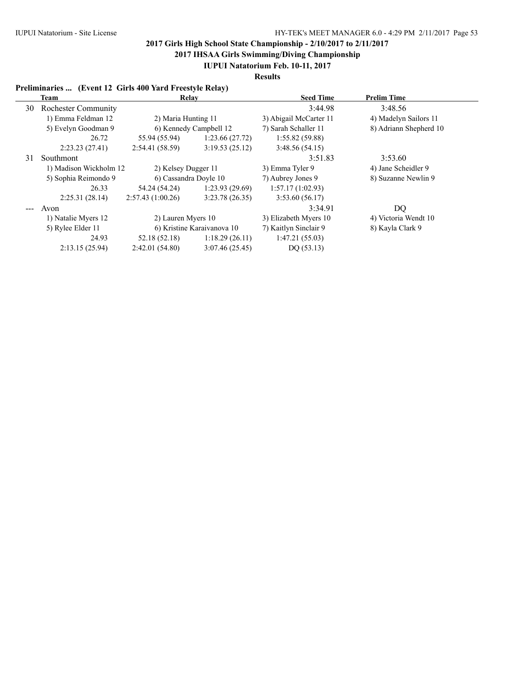**2017 IHSAA Girls Swimming/Diving Championship**

**IUPUI Natatorium Feb. 10-11, 2017**

**Results**

### **Preliminaries ... (Event 12 Girls 400 Yard Freestyle Relay)**

|    | <b>Team</b>                | Relay                      |                | <b>Seed Time</b>       | <b>Prelim Time</b>     |
|----|----------------------------|----------------------------|----------------|------------------------|------------------------|
| 30 | <b>Rochester Community</b> |                            |                | 3:44.98                | 3:48.56                |
|    | 1) Emma Feldman 12         | 2) Maria Hunting 11        |                | 3) Abigail McCarter 11 | 4) Madelyn Sailors 11  |
|    | 5) Evelyn Goodman 9        | 6) Kennedy Campbell 12     |                | 7) Sarah Schaller 11   | 8) Adriann Shepherd 10 |
|    | 26.72                      | 55.94 (55.94)              | 1:23.66(27.72) | 1:55.82(59.88)         |                        |
|    | 2:23.23(27.41)             | 2:54.41(58.59)             | 3:19.53(25.12) | 3:48.56(54.15)         |                        |
| 31 | Southmont                  |                            |                | 3:51.83                | 3:53.60                |
|    | 1) Madison Wickholm 12     | 2) Kelsey Dugger 11        |                | 3) Emma Tyler 9        | 4) Jane Scheidler 9    |
|    | 5) Sophia Reimondo 9       | 6) Cassandra Doyle 10      |                | 7) Aubrey Jones 9      | 8) Suzanne Newlin 9    |
|    | 26.33                      | 54.24 (54.24)              | 1:23.93(29.69) | 1:57.17(1:02.93)       |                        |
|    | 2:25.31(28.14)             | 2:57.43(1:00.26)           | 3:23.78(26.35) | 3:53.60(56.17)         |                        |
|    | Avon                       |                            |                | 3:34.91                | DQ                     |
|    | 1) Natalie Myers 12        | 2) Lauren Myers 10         |                | 3) Elizabeth Myers 10  | 4) Victoria Wendt 10   |
|    | 5) Rylee Elder 11          | 6) Kristine Karaivanova 10 |                | 7) Kaitlyn Sinclair 9  | 8) Kayla Clark 9       |
|    | 24.93                      | 52.18 (52.18)              | 1:18.29(26.11) | 1:47.21(55.03)         |                        |
|    | 2:13.15(25.94)             | 2:42.01(54.80)             | 3:07.46(25.45) | DQ(53.13)              |                        |